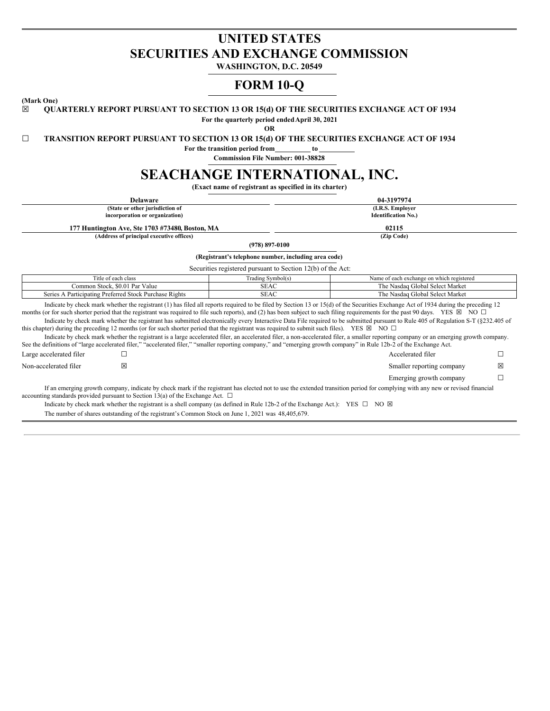## **UNITED STATES SECURITIES AND EXCHANGE COMMISSION**

**WASHINGTON, D.C. 20549**

## **FORM 10-Q**

**(Mark One)**

☒ **QUARTERLY REPORT PURSUANT TO SECTION 13 OR 15(d) OF THE SECURITIES EXCHANGE ACT OF 1934**

**For the quarterly period endedApril 30, 2021**

**OR**

☐ **TRANSITION REPORT PURSUANT TO SECTION 13 OR 15(d) OF THE SECURITIES EXCHANGE ACT OF 1934**

**For the transition period from to**

**Commission File Number: 001-38828**

# **SEACHANGE INTERNATIONAL, INC.**

**(Exact name of registrant as specified in its charter)**

| 04-3197974<br><b>Delaware</b>                                                                                                                                        |                                                             |                                                                                                                                                                                                                                                                                                                                                                                                                                                                                                                                                                              |  |  |  |  |
|----------------------------------------------------------------------------------------------------------------------------------------------------------------------|-------------------------------------------------------------|------------------------------------------------------------------------------------------------------------------------------------------------------------------------------------------------------------------------------------------------------------------------------------------------------------------------------------------------------------------------------------------------------------------------------------------------------------------------------------------------------------------------------------------------------------------------------|--|--|--|--|
| (State or other jurisdiction of                                                                                                                                      |                                                             | (I.R.S. Employer                                                                                                                                                                                                                                                                                                                                                                                                                                                                                                                                                             |  |  |  |  |
| incorporation or organization)                                                                                                                                       |                                                             | <b>Identification No.)</b>                                                                                                                                                                                                                                                                                                                                                                                                                                                                                                                                                   |  |  |  |  |
| 177 Huntington Ave, Ste 1703 #73480, Boston, MA                                                                                                                      |                                                             | 02115                                                                                                                                                                                                                                                                                                                                                                                                                                                                                                                                                                        |  |  |  |  |
| (Address of principal executive offices)                                                                                                                             |                                                             | (Zip Code)                                                                                                                                                                                                                                                                                                                                                                                                                                                                                                                                                                   |  |  |  |  |
|                                                                                                                                                                      | $(978) 897 - 0100$                                          |                                                                                                                                                                                                                                                                                                                                                                                                                                                                                                                                                                              |  |  |  |  |
|                                                                                                                                                                      | (Registrant's telephone number, including area code)        |                                                                                                                                                                                                                                                                                                                                                                                                                                                                                                                                                                              |  |  |  |  |
|                                                                                                                                                                      | Securities registered pursuant to Section 12(b) of the Act: |                                                                                                                                                                                                                                                                                                                                                                                                                                                                                                                                                                              |  |  |  |  |
| Title of each class                                                                                                                                                  | Name of each exchange on which registered                   |                                                                                                                                                                                                                                                                                                                                                                                                                                                                                                                                                                              |  |  |  |  |
| Common Stock, \$0.01 Par Value                                                                                                                                       | <b>SEAC</b>                                                 | The Nasdaq Global Select Market                                                                                                                                                                                                                                                                                                                                                                                                                                                                                                                                              |  |  |  |  |
| Series A Participating Preferred Stock Purchase Rights                                                                                                               | <b>SEAC</b>                                                 | The Nasdaq Global Select Market                                                                                                                                                                                                                                                                                                                                                                                                                                                                                                                                              |  |  |  |  |
| this chapter) during the preceding 12 months (or for such shorter period that the registrant was required to submit such files). YES $\boxtimes$ NO $\Box$           |                                                             | Indicate by check mark whether the registrant (1) has filed all reports required to be filed by Section 13 or 15(d) of the Securities Exchange Act of 1934 during the preceding 12<br>months (or for such shorter period that the registrant was required to file such reports), and (2) has been subject to such filing requirements for the past 90 days. YES $\boxtimes$ NO $\Box$<br>Indicate by check mark whether the registrant has submitted electronically every Interactive Data File required to be submitted pursuant to Rule 405 of Regulation S-T (§232.405 of |  |  |  |  |
| See the definitions of "large accelerated filer," "accelerated filer," "smaller reporting company," and "emerging growth company" in Rule 12b-2 of the Exchange Act. |                                                             | Indicate by check mark whether the registrant is a large accelerated filer, an accelerated filer, a non-accelerated filer, a smaller reporting company or an emerging growth company.                                                                                                                                                                                                                                                                                                                                                                                        |  |  |  |  |
| Large accelerated filer<br>⊔                                                                                                                                         |                                                             | Accelerated filer<br>⊔                                                                                                                                                                                                                                                                                                                                                                                                                                                                                                                                                       |  |  |  |  |
| ⊠<br>Non-accelerated filer                                                                                                                                           |                                                             | ⊠<br>Smaller reporting company                                                                                                                                                                                                                                                                                                                                                                                                                                                                                                                                               |  |  |  |  |
|                                                                                                                                                                      |                                                             | □<br>Emerging growth company                                                                                                                                                                                                                                                                                                                                                                                                                                                                                                                                                 |  |  |  |  |
| accounting standards provided pursuant to Section 13(a) of the Exchange Act. $\square$                                                                               |                                                             | If an emerging growth company, indicate by check mark if the registrant has elected not to use the extended transition period for complying with any new or revised financial                                                                                                                                                                                                                                                                                                                                                                                                |  |  |  |  |
| Indicate by check mark whether the registrant is a shell company (as defined in Rule 12b-2 of the Exchange Act.): YES $\Box$ NO $\boxtimes$                          |                                                             |                                                                                                                                                                                                                                                                                                                                                                                                                                                                                                                                                                              |  |  |  |  |
| The number of shares outstanding of the registrant's Common Stock on June 1, 2021 was 48,405,679.                                                                    |                                                             |                                                                                                                                                                                                                                                                                                                                                                                                                                                                                                                                                                              |  |  |  |  |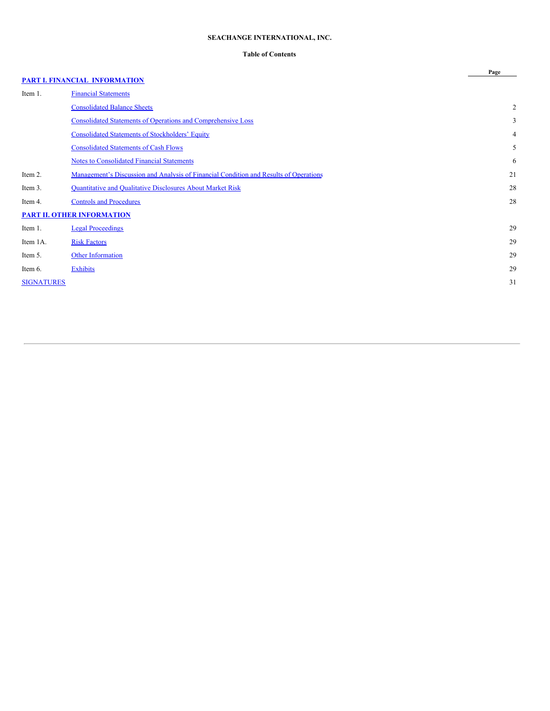## **SEACHANGE INTERNATIONAL, INC.**

## **Table of Contents**

**Page**

## **PART I. FINANCIAL [INFORMATION](#page-2-0)**

| Item 1.           | <b>Financial Statements</b>                                                           |    |
|-------------------|---------------------------------------------------------------------------------------|----|
|                   | <b>Consolidated Balance Sheets</b>                                                    | 2  |
|                   | <b>Consolidated Statements of Operations and Comprehensive Loss</b>                   | 3  |
|                   | <b>Consolidated Statements of Stockholders' Equity</b>                                | 4  |
|                   | <b>Consolidated Statements of Cash Flows</b>                                          | 5  |
|                   | <b>Notes to Consolidated Financial Statements</b>                                     | 6  |
| Item 2.           | Management's Discussion and Analysis of Financial Condition and Results of Operations | 21 |
| Item 3.           | <b>Quantitative and Qualitative Disclosures About Market Risk</b>                     | 28 |
| Item 4.           | <b>Controls and Procedures</b>                                                        | 28 |
|                   | <b>PART II. OTHER INFORMATION</b>                                                     |    |
| Item 1.           | <b>Legal Proceedings</b>                                                              | 29 |
| Item 1A.          | <b>Risk Factors</b>                                                                   | 29 |
| Item 5.           | Other Information                                                                     | 29 |
| Item 6.           | Exhibits                                                                              | 29 |
| <b>SIGNATURES</b> |                                                                                       | 31 |
|                   |                                                                                       |    |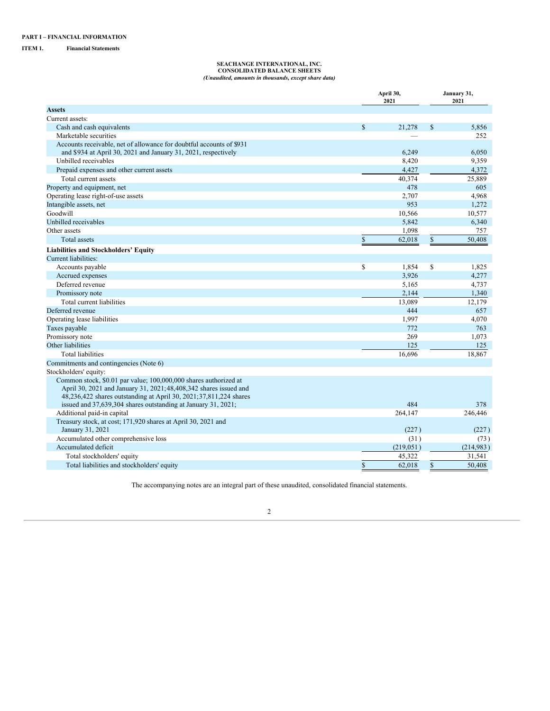## <span id="page-2-2"></span><span id="page-2-1"></span><span id="page-2-0"></span>**ITEM 1. Financial Statements**

# **SEACHANGE INTERNATIONAL, INC. CONSOLIDATED BALANCE SHEETS** *(Unaudited, amounts in thousands, except share data)*

|                                                                                                                                         |              | April 30,<br>2021 |    | January 31,<br>2021 |
|-----------------------------------------------------------------------------------------------------------------------------------------|--------------|-------------------|----|---------------------|
| <b>Assets</b>                                                                                                                           |              |                   |    |                     |
| Current assets:                                                                                                                         |              |                   |    |                     |
| Cash and cash equivalents                                                                                                               | $\mathbb{S}$ | 21,278            | \$ | 5,856               |
| Marketable securities                                                                                                                   |              |                   |    | 252                 |
| Accounts receivable, net of allowance for doubtful accounts of \$931                                                                    |              |                   |    |                     |
| and \$934 at April 30, 2021 and January 31, 2021, respectively                                                                          |              | 6,249             |    | 6,050               |
| Unbilled receivables                                                                                                                    |              | 8,420             |    | 9,359               |
| Prepaid expenses and other current assets                                                                                               |              | 4,427             |    | 4,372               |
| Total current assets                                                                                                                    |              | 40,374            |    | 25,889              |
| Property and equipment, net                                                                                                             |              | 478               |    | 605                 |
| Operating lease right-of-use assets                                                                                                     |              | 2,707             |    | 4,968               |
| Intangible assets, net                                                                                                                  |              | 953               |    | 1,272               |
| Goodwill                                                                                                                                |              | 10,566            |    | 10,577              |
| Unbilled receivables                                                                                                                    |              | 5,842             |    | 6,340               |
| Other assets                                                                                                                            |              | 1,098             |    | 757                 |
| <b>Total</b> assets                                                                                                                     | $\mathbb{S}$ | 62,018            | \$ | 50,408              |
| <b>Liabilities and Stockholders' Equity</b>                                                                                             |              |                   |    |                     |
| Current liabilities:                                                                                                                    |              |                   |    |                     |
| Accounts payable                                                                                                                        | \$           | 1,854             | \$ | 1,825               |
| Accrued expenses                                                                                                                        |              | 3,926             |    | 4,277               |
| Deferred revenue                                                                                                                        |              | 5,165             |    | 4,737               |
| Promissory note                                                                                                                         |              | 2,144             |    | 1,340               |
| Total current liabilities                                                                                                               |              | 13,089            |    | 12,179              |
| Deferred revenue                                                                                                                        |              | 444               |    | 657                 |
| Operating lease liabilities                                                                                                             |              | 1,997             |    | 4,070               |
| Taxes payable                                                                                                                           |              | 772               |    | 763                 |
| Promissory note                                                                                                                         |              | 269               |    | 1,073               |
| Other liabilities                                                                                                                       |              | 125               |    | 125                 |
| <b>Total liabilities</b>                                                                                                                |              | 16,696            |    | 18,867              |
| Commitments and contingencies (Note 6)                                                                                                  |              |                   |    |                     |
| Stockholders' equity:                                                                                                                   |              |                   |    |                     |
| Common stock, \$0.01 par value; 100,000,000 shares authorized at<br>April 30, 2021 and January 31, 2021; 48, 408, 342 shares issued and |              |                   |    |                     |
| 48,236,422 shares outstanding at April 30, 2021;37,811,224 shares                                                                       |              |                   |    |                     |
| issued and 37,639,304 shares outstanding at January 31, 2021;                                                                           |              | 484               |    | 378                 |
| Additional paid-in capital                                                                                                              |              | 264,147           |    | 246,446             |
| Treasury stock, at cost; 171,920 shares at April 30, 2021 and<br>January 31, 2021                                                       |              | (227)             |    | (227)               |
| Accumulated other comprehensive loss                                                                                                    |              | (31)              |    | (73)                |
| Accumulated deficit                                                                                                                     |              | (219, 051)        |    | (214,983)           |
| Total stockholders' equity                                                                                                              |              | 45,322            |    | 31,541              |
| Total liabilities and stockholders' equity                                                                                              | \$           | 62,018            | \$ | 50.408              |

The accompanying notes are an integral part of these unaudited, consolidated financial statements.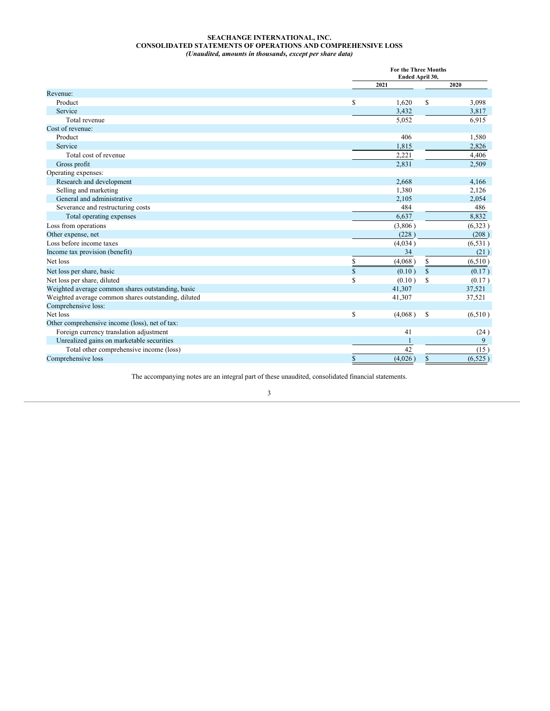#### **SEACHANGE INTERNATIONAL, INC. CONSOLIDATED STATEMENTS OF OPERATIONS AND COMPREHENSIVE LOSS** *(Unaudited, amounts in thousands, except per share data)*

<span id="page-3-0"></span>

|                                                     |               | <b>For the Three Months</b><br>Ended April 30, |               |          |  |
|-----------------------------------------------------|---------------|------------------------------------------------|---------------|----------|--|
|                                                     |               | 2021                                           |               | 2020     |  |
| Revenue:                                            |               |                                                |               |          |  |
| Product                                             | \$            | 1,620                                          | \$            | 3,098    |  |
| Service                                             |               | 3,432                                          |               | 3,817    |  |
| Total revenue                                       |               | 5,052                                          |               | 6,915    |  |
| Cost of revenue:                                    |               |                                                |               |          |  |
| Product                                             |               | 406                                            |               | 1,580    |  |
| Service                                             |               | 1,815                                          |               | 2,826    |  |
| Total cost of revenue                               |               | 2,221                                          |               | 4,406    |  |
| Gross profit                                        |               | 2,831                                          |               | 2,509    |  |
| Operating expenses:                                 |               |                                                |               |          |  |
| Research and development                            |               | 2,668                                          |               | 4,166    |  |
| Selling and marketing                               |               | 1,380                                          |               | 2,126    |  |
| General and administrative                          |               | 2,105                                          |               | 2,054    |  |
| Severance and restructuring costs                   |               | 484                                            |               | 486      |  |
| Total operating expenses                            |               | 6,637                                          |               | 8,832    |  |
| Loss from operations                                |               | (3,806)                                        |               | (6,323)  |  |
| Other expense, net                                  |               | (228)                                          |               | (208)    |  |
| Loss before income taxes                            |               | (4,034)                                        |               | (6, 531) |  |
| Income tax provision (benefit)                      |               | 34                                             |               | (21)     |  |
| Net loss                                            | \$            | (4,068)                                        | \$            | (6,510)  |  |
| Net loss per share, basic                           | \$            | (0.10)                                         | <sup>\$</sup> | (0.17)   |  |
| Net loss per share, diluted                         | <sup>\$</sup> | (0.10)                                         | S             | (0.17)   |  |
| Weighted average common shares outstanding, basic   |               | 41,307                                         |               | 37,521   |  |
| Weighted average common shares outstanding, diluted |               | 41,307                                         |               | 37,521   |  |
| Comprehensive loss:                                 |               |                                                |               |          |  |
| Net loss                                            | \$            | (4,068)                                        | \$            | (6,510)  |  |
| Other comprehensive income (loss), net of tax:      |               |                                                |               |          |  |
| Foreign currency translation adjustment             |               | 41                                             |               | (24)     |  |
| Unrealized gains on marketable securities           |               | $\mathbf{1}$                                   |               | 9        |  |
| Total other comprehensive income (loss)             |               | 42                                             |               | (15)     |  |
| Comprehensive loss                                  | \$            | (4,026)                                        | \$            | (6,525)  |  |

The accompanying notes are an integral part of these unaudited, consolidated financial statements.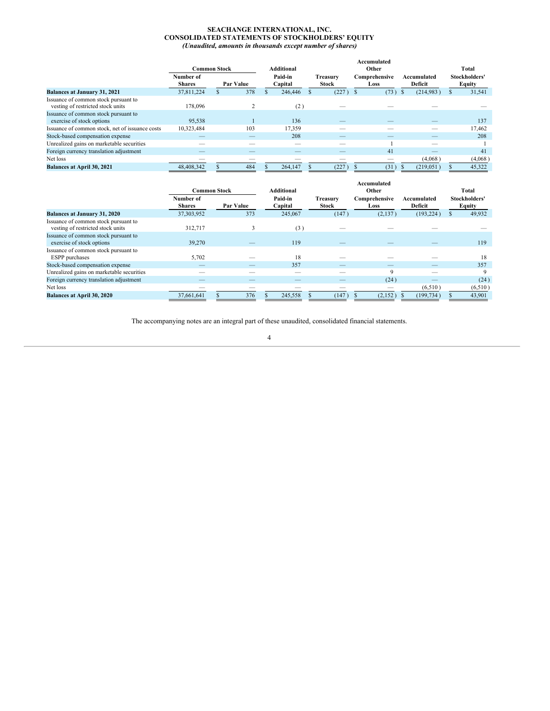#### **SEACHANGE INTERNATIONAL, INC. CONSOLIDATED STATEMENTS OF STOCKHOLDERS' EQUITY** *(Unaudited, amounts in thousands except number of shares)*

<span id="page-4-0"></span>

|                                                                           | <b>Common Stock</b>        |  |           |  | Additional         |                          | Accumulated<br>Other |                       |  |                          | Total                   |
|---------------------------------------------------------------------------|----------------------------|--|-----------|--|--------------------|--------------------------|----------------------|-----------------------|--|--------------------------|-------------------------|
|                                                                           | Number of<br><b>Shares</b> |  | Par Value |  | Paid-in<br>Capital | Treasurv<br><b>Stock</b> |                      | Comprehensive<br>Loss |  | Accumulated<br>Deficit   | Stockholders'<br>Equity |
| Balances at January 31, 2021                                              | 37.811.224                 |  | 378       |  | 246,446            | (227)                    |                      | (73)                  |  | (214,983)                | 31,541                  |
| Issuance of common stock pursuant to<br>vesting of restricted stock units | 178,096                    |  |           |  | (2)                |                          |                      |                       |  |                          |                         |
| Issuance of common stock pursuant to                                      |                            |  |           |  |                    |                          |                      |                       |  |                          |                         |
| exercise of stock options                                                 | 95,538                     |  |           |  | 136                |                          |                      |                       |  |                          | 137                     |
| Issuance of common stock, net of issuance costs                           | 10,323,484                 |  | 103       |  | 17,359             |                          |                      |                       |  |                          | 17,462                  |
| Stock-based compensation expense                                          |                            |  |           |  | 208                |                          |                      |                       |  |                          | 208                     |
| Unrealized gains on marketable securities                                 |                            |  |           |  |                    |                          |                      |                       |  |                          |                         |
| Foreign currency translation adjustment                                   | _                          |  | _         |  |                    |                          |                      | 41                    |  | $\overline{\phantom{a}}$ | 41                      |
| Net loss                                                                  |                            |  | __        |  |                    |                          |                      |                       |  | (4,068)                  | (4,068)                 |
| Balances at April 30, 2021                                                | 48,408,342                 |  | 484       |  | 264,147            | (227)                    |                      | (31)                  |  | (219, 051)               | 45,322                  |

|                                                                           |                            | <b>Common Stock</b> | <b>Additional</b>  |                          | Accumulated<br>Other  |                        | <b>Total</b>            |
|---------------------------------------------------------------------------|----------------------------|---------------------|--------------------|--------------------------|-----------------------|------------------------|-------------------------|
|                                                                           | Number of<br><b>Shares</b> | Par Value           | Paid-in<br>Capital | Treasury<br><b>Stock</b> | Comprehensive<br>Loss | Accumulated<br>Deficit | Stockholders'<br>Equity |
| Balances at January 31, 2020                                              | 37,303,952                 | 373                 | 245,067            | (147)                    | (2, 137)              | (193, 224)             | 49,932                  |
| Issuance of common stock pursuant to<br>vesting of restricted stock units | 312,717                    | 3                   | (3)                |                          |                       |                        |                         |
| Issuance of common stock pursuant to<br>exercise of stock options         | 39,270                     | __                  | 119                |                          |                       |                        | 119                     |
| Issuance of common stock pursuant to<br>ESPP purchases                    | 5,702                      |                     | 18                 |                          |                       |                        | 18                      |
| Stock-based compensation expense                                          | __                         |                     | 357                |                          |                       |                        | 357                     |
| Unrealized gains on marketable securities                                 |                            |                     |                    |                          | 9                     |                        | 9                       |
| Foreign currency translation adjustment                                   |                            |                     |                    |                          | (24)                  |                        | (24)                    |
| Net loss                                                                  |                            |                     |                    |                          |                       | (6,510)                | (6,510)                 |
| Balances at April 30, 2020                                                | 37,661,641                 | 376                 | 245,558            | (147)                    | (2,152)               | (199, 734)             | 43,901                  |

The accompanying notes are an integral part of these unaudited, consolidated financial statements.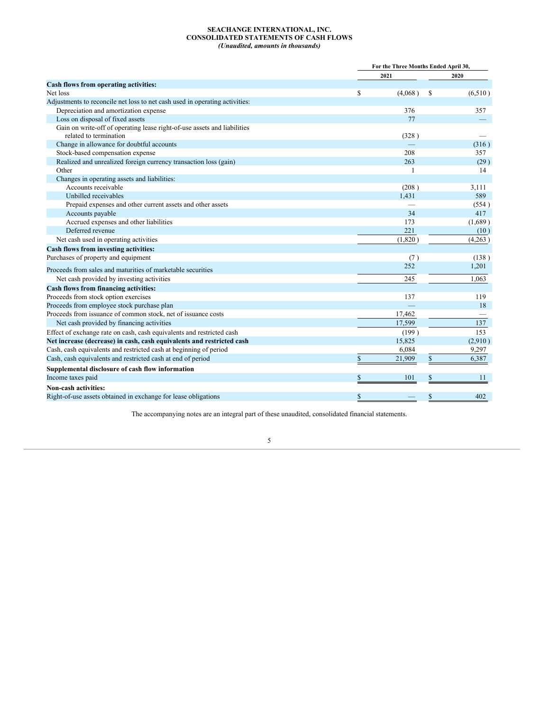#### **SEACHANGE INTERNATIONAL, INC. CONSOLIDATED STATEMENTS OF CASH FLOWS** *(Unaudited, amounts in thousands)*

<span id="page-5-0"></span>

|                                                                                                    | For the Three Months Ended April 30, |    |         |
|----------------------------------------------------------------------------------------------------|--------------------------------------|----|---------|
|                                                                                                    | 2021                                 |    | 2020    |
| Cash flows from operating activities:                                                              |                                      |    |         |
| Net loss                                                                                           | \$<br>(4,068)                        | \$ | (6,510) |
| Adjustments to reconcile net loss to net cash used in operating activities:                        |                                      |    |         |
| Depreciation and amortization expense                                                              | 376                                  |    | 357     |
| Loss on disposal of fixed assets                                                                   | 77                                   |    |         |
| Gain on write-off of operating lease right-of-use assets and liabilities<br>related to termination | (328)                                |    |         |
| Change in allowance for doubtful accounts                                                          |                                      |    | (316)   |
| Stock-based compensation expense                                                                   | 208                                  |    | 357     |
| Realized and unrealized foreign currency transaction loss (gain)                                   | 263                                  |    | (29)    |
| Other                                                                                              | 1                                    |    | 14      |
| Changes in operating assets and liabilities:                                                       |                                      |    |         |
| Accounts receivable                                                                                | (208)                                |    | 3,111   |
| Unbilled receivables                                                                               | 1,431                                |    | 589     |
| Prepaid expenses and other current assets and other assets                                         |                                      |    | (554)   |
| Accounts payable                                                                                   | 34                                   |    | 417     |
| Accrued expenses and other liabilities                                                             | 173                                  |    | (1,689) |
| Deferred revenue                                                                                   | 221                                  |    | (10)    |
| Net cash used in operating activities                                                              | (1,820)                              |    | (4,263) |
| Cash flows from investing activities:                                                              |                                      |    |         |
| Purchases of property and equipment                                                                | (7)                                  |    | (138)   |
| Proceeds from sales and maturities of marketable securities                                        | 252                                  |    | 1,201   |
| Net cash provided by investing activities                                                          | 245                                  |    | 1,063   |
| Cash flows from financing activities:                                                              |                                      |    |         |
| Proceeds from stock option exercises                                                               | 137                                  |    | 119     |
| Proceeds from employee stock purchase plan                                                         |                                      |    | 18      |
| Proceeds from issuance of common stock, net of issuance costs                                      | 17,462                               |    |         |
| Net cash provided by financing activities                                                          | 17,599                               |    | 137     |
| Effect of exchange rate on cash, cash equivalents and restricted cash                              | (199)                                |    | 153     |
| Net increase (decrease) in cash, cash equivalents and restricted cash                              | 15,825                               |    | (2,910) |
| Cash, cash equivalents and restricted cash at beginning of period                                  | 6,084                                |    | 9,297   |
| Cash, cash equivalents and restricted cash at end of period                                        | \$<br>21,909                         | \$ | 6,387   |
| Supplemental disclosure of cash flow information                                                   |                                      |    |         |
| Income taxes paid                                                                                  | \$<br>101                            | \$ | 11      |
| Non-cash activities:                                                                               |                                      |    |         |
| Right-of-use assets obtained in exchange for lease obligations                                     | \$                                   | \$ | 402     |
|                                                                                                    |                                      |    |         |

The accompanying notes are an integral part of these unaudited, consolidated financial statements.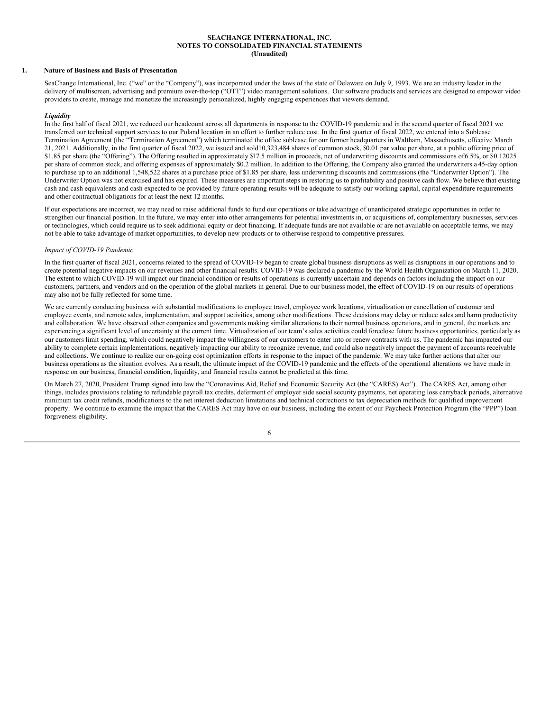#### **SEACHANGE INTERNATIONAL, INC. NOTES TO CONSOLIDATED FINANCIAL STATEMENTS (Unaudited)**

#### <span id="page-6-0"></span>**1. Nature of Business and Basis of Presentation**

SeaChange International, Inc. ("we" or the "Company"), was incorporated under the laws of the state of Delaware on July 9, 1993. We are an industry leader in the delivery of multiscreen, advertising and premium over-the-top ("OTT") video management solutions. Our software products and services are designed to empower video providers to create, manage and monetize the increasingly personalized, highly engaging experiences that viewers demand.

#### *Liquidity*

In the first half of fiscal 2021, we reduced our headcount across all departments in response to the COVID-19 pandemic and in the second quarter of fiscal 2021 we transferred our technical support services to our Poland location in an effort to further reduce cost. In the first quarter of fiscal 2022, we entered into a Sublease Termination Agreement (the "Termination Agreement") which terminated the office sublease for our former headquarters in Waltham, Massachusetts, effective March 21, 2021. Additionally, in the first quarter of fiscal 2022, we issued and sold10,323,484 shares of common stock, \$0.01 par value per share, at a public offering price of \$1.85 per share (the "Offering"). The Offering resulted in approximately \$17.5 million in proceeds, net of underwriting discounts and commissions of 6.5%, or \$0.12025 per share of common stock, and offering expenses of approximately \$0.2 million. In addition to the Offering, the Company also granted the underwriters a 45-day option to purchase up to an additional 1,548,522 shares at a purchase price of \$1.85 per share, less underwriting discounts and commissions (the "Underwriter Option"). The Underwriter Option was not exercised and has expired. These measures are important steps in restoring us to profitability and positive cash flow. We believe that existing cash and cash equivalents and cash expected to be provided by future operating results will be adequate to satisfy our working capital, capital expenditure requirements and other contractual obligations for at least the next 12 months.

If our expectations are incorrect, we may need to raise additional funds to fund our operations or take advantage of unanticipated strategic opportunities in order to strengthen our financial position. In the future, we may enter into other arrangements for potential investments in, or acquisitions of, complementary businesses, services or technologies, which could require us to seek additional equity or debt financing. If adequate funds are not available or are not available on acceptable terms, we may not be able to take advantage of market opportunities, to develop new products or to otherwise respond to competitive pressures.

#### *Impact of COVID-19 Pandemic*

In the first quarter of fiscal 2021, concerns related to the spread of COVID-19 began to create global business disruptions as well as disruptions in our operations and to create potential negative impacts on our revenues and other financial results. COVID-19 was declared a pandemic by the World Health Organization on March 11, 2020. The extent to which COVID-19 will impact our financial condition or results of operations is currently uncertain and depends on factors including the impact on our customers, partners, and vendors and on the operation of the global markets in general. Due to our business model, the effect of COVID-19 on our results of operations may also not be fully reflected for some time.

We are currently conducting business with substantial modifications to employee travel, employee work locations, virtualization or cancellation of customer and employee events, and remote sales, implementation, and support activities, among other modifications. These decisions may delay or reduce sales and harm productivity and collaboration. We have observed other companies and governments making similar alterations to their normal business operations, and in general, the markets are experiencing a significant level of uncertainty at the current time. Virtualization of our team's sales activities could foreclose future business opportunities, particularly as our customers limit spending, which could negatively impact the willingness of our customers to enter into or renew contracts with us. The pandemic has impacted our ability to complete certain implementations, negatively impacting our ability to recognize revenue, and could also negatively impact the payment of accounts receivable and collections. We continue to realize our on-going cost optimization efforts in response to the impact of the pandemic. We may take further actions that alter our business operations as the situation evolves. As a result, the ultimate impact of the COVID-19 pandemic and the effects of the operational alterations we have made in response on our business, financial condition, liquidity, and financial results cannot be predicted at this time.

On March 27, 2020, President Trump signed into law the "Coronavirus Aid, Relief and Economic Security Act (the "CARES) Act"). The CARES Act, among other things, includes provisions relating to refundable payroll tax credits, deferment of employer side social security payments, net operating loss carryback periods, alternative minimum tax credit refunds, modifications to the net interest deduction limitations and technical corrections to tax depreciation methods for qualified improvement property. We continue to examine the impact that the CARES Act may have on our business, including the extent of our Paycheck Protection Program (the "PPP") loan forgiveness eligibility.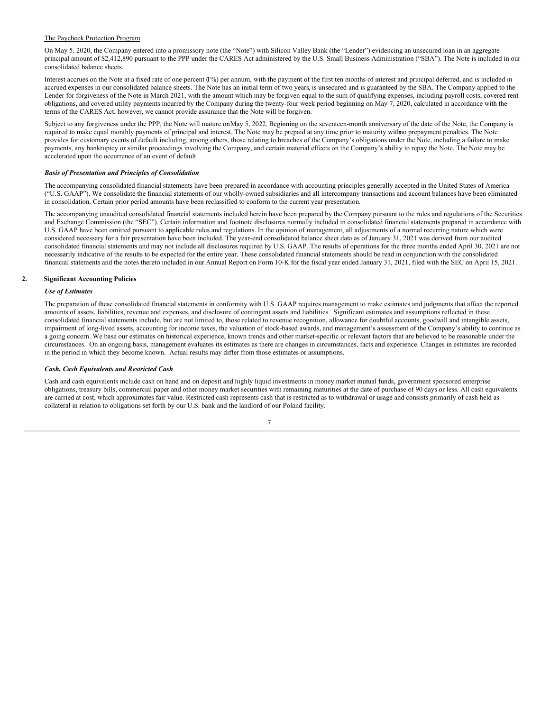#### The Paycheck Protection Program

On May 5, 2020, the Company entered into a promissory note (the "Note") with Silicon Valley Bank (the "Lender") evidencing an unsecured loan in an aggregate principal amount of \$2,412,890 pursuant to the PPP under the CARES Act administered by the U.S. Small Business Administration ("SBA"). The Note is included in our consolidated balance sheets.

Interest accrues on the Note at a fixed rate of one percent (1%) per annum, with the payment of the first ten months of interest and principal deferred, and is included in accrued expenses in our consolidated balance sheets. The Note has an initial term of two years, is unsecured and is guaranteed by the SBA. The Company applied to the Lender for forgiveness of the Note in March 2021, with the amount which may be forgiven equal to the sum of qualifying expenses, including payroll costs, covered rent obligations, and covered utility payments incurred by the Company during the twenty-four week period beginning on May 7, 2020, calculated in accordance with the terms of the CARES Act, however, we cannot provide assurance that the Note will be forgiven.

Subject to any forgiveness under the PPP, the Note will mature onMay 5, 2022. Beginning on the seventeen-month anniversary of the date of the Note, the Company is required to make equal monthly payments of principal and interest. The Note may be prepaid at any time prior to maturity withno prepayment penalties. The Note provides for customary events of default including, among others, those relating to breaches of the Company's obligations under the Note, including a failure to make payments, any bankruptcy or similar proceedings involving the Company, and certain material effects on the Company's ability to repay the Note. The Note may be accelerated upon the occurrence of an event of default.

#### *Basis of Presentation and Principles of Consolidation*

The accompanying consolidated financial statements have been prepared in accordance with accounting principles generally accepted in the United States of America ("U.S. GAAP"). We consolidate the financial statements of our wholly-owned subsidiaries and all intercompany transactions and account balances have been eliminated in consolidation. Certain prior period amounts have been reclassified to conform to the current year presentation.

The accompanying unaudited consolidated financial statements included herein have been prepared by the Company pursuant to the rules and regulations of the Securities and Exchange Commission (the "SEC"). Certain information and footnote disclosures normally included in consolidated financial statements prepared in accordance with U.S. GAAP have been omitted pursuant to applicable rules and regulations. In the opinion of management, all adjustments of a normal recurring nature which were considered necessary for a fair presentation have been included. The year-end consolidated balance sheet data as of January 31, 2021 was derived from our audited consolidated financial statements and may not include all disclosures required by U.S. GAAP. The results of operations for the three months ended April 30, 2021 are not necessarily indicative of the results to be expected for the entire year. These consolidated financial statements should be read in conjunction with the consolidated financial statements and the notes thereto included in our Annual Report on Form 10-K for the fiscal year ended January 31, 2021, filed with the SEC on April 15, 2021.

#### **2. Significant Accounting Policies**

#### *Use of Estimates*

The preparation of these consolidated financial statements in conformity with U.S. GAAP requires management to make estimates and judgments that affect the reported amounts of assets, liabilities, revenue and expenses, and disclosure of contingent assets and liabilities. Significant estimates and assumptions reflected in these consolidated financial statements include, but are not limited to, those related to revenue recognition, allowance for doubtful accounts, goodwill and intangible assets, impairment of long-lived assets, accounting for income taxes, the valuation of stock-based awards, and management's assessment of the Company's ability to continue as a going concern. We base our estimates on historical experience, known trends and other market-specific or relevant factors that are believed to be reasonable under the circumstances. On an ongoing basis, management evaluates its estimates as there are changes in circumstances, facts and experience. Changes in estimates are recorded in the period in which they become known. Actual results may differ from those estimates or assumptions.

#### *Cash, Cash Equivalents and Restricted Cash*

Cash and cash equivalents include cash on hand and on deposit and highly liquid investments in money market mutual funds, government sponsored enterprise obligations, treasury bills, commercial paper and other money market securities with remaining maturities at the date of purchase of 90 days or less. All cash equivalents are carried at cost, which approximates fair value. Restricted cash represents cash that is restricted as to withdrawal or usage and consists primarily of cash held as collateral in relation to obligations set forth by our U.S. bank and the landlord of our Poland facility.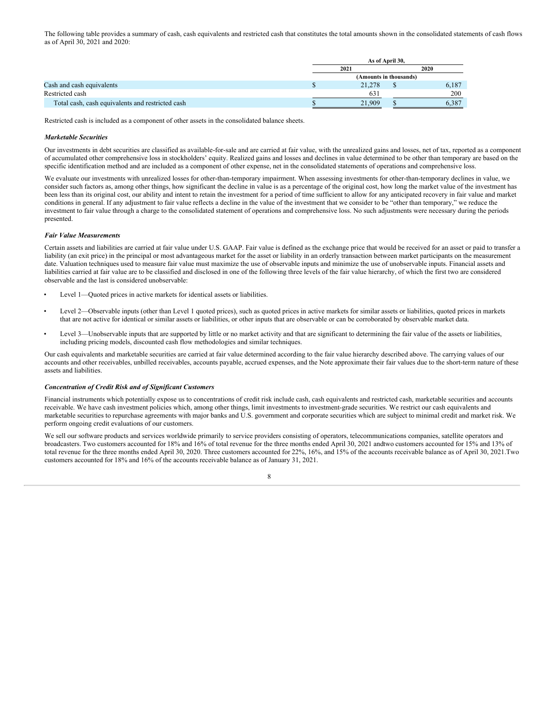The following table provides a summary of cash, cash equivalents and restricted cash that constitutes the total amounts shown in the consolidated statements of cash flows as of April 30, 2021 and 2020:

|                                                  | As of April 30,        |        |  |       |  |  |
|--------------------------------------------------|------------------------|--------|--|-------|--|--|
|                                                  | 2021                   | 2020   |  |       |  |  |
|                                                  | (Amounts in thousands) |        |  |       |  |  |
| Cash and cash equivalents                        |                        | 21,278 |  | 6,187 |  |  |
| Restricted cash                                  |                        | 631    |  | 200   |  |  |
| Total cash, cash equivalents and restricted cash |                        | 21,909 |  | 6,387 |  |  |

Restricted cash is included as a component of other assets in the consolidated balance sheets.

#### *Marketable Securities*

Our investments in debt securities are classified as available-for-sale and are carried at fair value, with the unrealized gains and losses, net of tax, reported as a component of accumulated other comprehensive loss in stockholders' equity. Realized gains and losses and declines in value determined to be other than temporary are based on the specific identification method and are included as a component of other expense, net in the consolidated statements of operations and comprehensive loss.

We evaluate our investments with unrealized losses for other-than-temporary impairment. When assessing investments for other-than-temporary declines in value, we consider such factors as, among other things, how significant the decline in value is as a percentage of the original cost, how long the market value of the investment has been less than its original cost, our ability and intent to retain the investment for a period of time sufficient to allow for any anticipated recovery in fair value and market conditions in general. If any adjustment to fair value reflects a decline in the value of the investment that we consider to be "other than temporary," we reduce the investment to fair value through a charge to the consolidated statement of operations and comprehensive loss. No such adjustments were necessary during the periods presented.

#### *Fair Value Measurements*

Certain assets and liabilities are carried at fair value under U.S. GAAP. Fair value is defined as the exchange price that would be received for an asset or paid to transfer a liability (an exit price) in the principal or most advantageous market for the asset or liability in an orderly transaction between market participants on the measurement date. Valuation techniques used to measure fair value must maximize the use of observable inputs and minimize the use of unobservable inputs. Financial assets and liabilities carried at fair value are to be classified and disclosed in one of the following three levels of the fair value hierarchy, of which the first two are considered observable and the last is considered unobservable:

- Level 1—Quoted prices in active markets for identical assets or liabilities.
- Level 2—Observable inputs (other than Level 1 quoted prices), such as quoted prices in active markets for similar assets or liabilities, quoted prices in markets that are not active for identical or similar assets or liabilities, or other inputs that are observable or can be corroborated by observable market data.
- Level 3—Unobservable inputs that are supported by little or no market activity and that are significant to determining the fair value of the assets or liabilities, including pricing models, discounted cash flow methodologies and similar techniques.

Our cash equivalents and marketable securities are carried at fair value determined according to the fair value hierarchy described above. The carrying values of our accounts and other receivables, unbilled receivables, accounts payable, accrued expenses, and the Note approximate their fair values due to the short-term nature of these assets and liabilities.

#### *Concentration of Credit Risk and of Significant Customers*

Financial instruments which potentially expose us to concentrations of credit risk include cash, cash equivalents and restricted cash, marketable securities and accounts receivable. We have cash investment policies which, among other things, limit investments to investment-grade securities. We restrict our cash equivalents and marketable securities to repurchase agreements with major banks and U.S. government and corporate securities which are subject to minimal credit and market risk. We perform ongoing credit evaluations of our customers.

We sell our software products and services worldwide primarily to service providers consisting of operators, telecommunications companies, satellite operators and broadcasters. Two customers accounted for 18% and 16% of total revenue for the three months ended April 30, 2021 andtwo customers accounted for 15% and 13% of total revenue for the three months ended April 30, 2020. Three customers accounted for 22%, 16%, and 15% of the accounts receivable balance as of April 30, 2021.Two customers accounted for 18% and 16% of the accounts receivable balance as of January 31, 2021.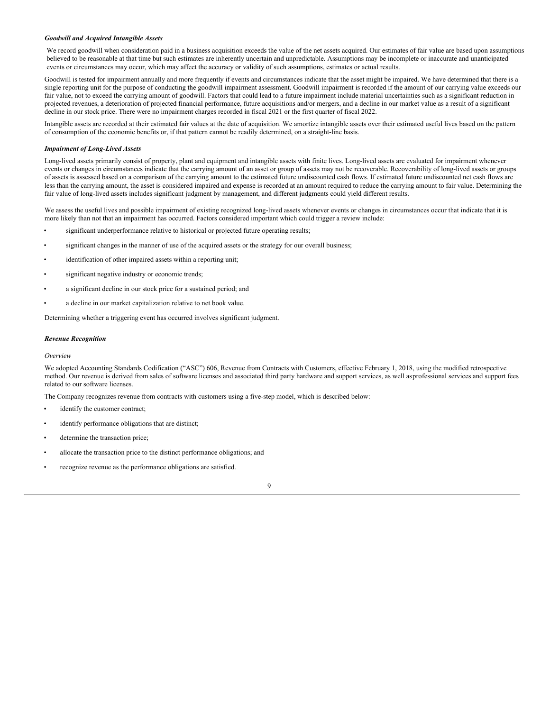#### *Goodwill and Acquired Intangible Assets*

We record goodwill when consideration paid in a business acquisition exceeds the value of the net assets acquired. Our estimates of fair value are based upon assumptions believed to be reasonable at that time but such estimates are inherently uncertain and unpredictable. Assumptions may be incomplete or inaccurate and unanticipated events or circumstances may occur, which may affect the accuracy or validity of such assumptions, estimates or actual results.

Goodwill is tested for impairment annually and more frequently if events and circumstances indicate that the asset might be impaired. We have determined that there is a single reporting unit for the purpose of conducting the goodwill impairment assessment. Goodwill impairment is recorded if the amount of our carrying value exceeds our fair value, not to exceed the carrying amount of goodwill. Factors that could lead to a future impairment include material uncertainties such as a significant reduction in projected revenues, a deterioration of projected financial performance, future acquisitions and/or mergers, and a decline in our market value as a result of a significant decline in our stock price. There were no impairment charges recorded in fiscal 2021 or the first quarter of fiscal 2022.

Intangible assets are recorded at their estimated fair values at the date of acquisition. We amortize intangible assets over their estimated useful lives based on the pattern of consumption of the economic benefits or, if that pattern cannot be readily determined, on a straight-line basis.

#### *Impairment of Long-Lived Assets*

Long-lived assets primarily consist of property, plant and equipment and intangible assets with finite lives. Long-lived assets are evaluated for impairment whenever events or changes in circumstances indicate that the carrying amount of an asset or group of assets may not be recoverable. Recoverability of long-lived assets or groups of assets is assessed based on a comparison of the carrying amount to the estimated future undiscounted cash flows. If estimated future undiscounted net cash flows are less than the carrying amount, the asset is considered impaired and expense is recorded at an amount required to reduce the carrying amount to fair value. Determining the fair value of long-lived assets includes significant judgment by management, and different judgments could yield different results.

We assess the useful lives and possible impairment of existing recognized long-lived assets whenever events or changes in circumstances occur that indicate that it is more likely than not that an impairment has occurred. Factors considered important which could trigger a review include:

- significant underperformance relative to historical or projected future operating results;
- significant changes in the manner of use of the acquired assets or the strategy for our overall business;
- identification of other impaired assets within a reporting unit;
- significant negative industry or economic trends;
- a significant decline in our stock price for a sustained period; and
- a decline in our market capitalization relative to net book value.

Determining whether a triggering event has occurred involves significant judgment.

#### *Revenue Recognition*

#### *Overview*

We adopted Accounting Standards Codification ("ASC") 606, Revenue from Contracts with Customers, effective February 1, 2018, using the modified retrospective method. Our revenue is derived from sales of software licenses and associated third party hardware and support services, as well asprofessional services and support fees related to our software licenses.

The Company recognizes revenue from contracts with customers using a five-step model, which is described below:

- identify the customer contract;
- identify performance obligations that are distinct;
- determine the transaction price;
- allocate the transaction price to the distinct performance obligations; and
- recognize revenue as the performance obligations are satisfied.

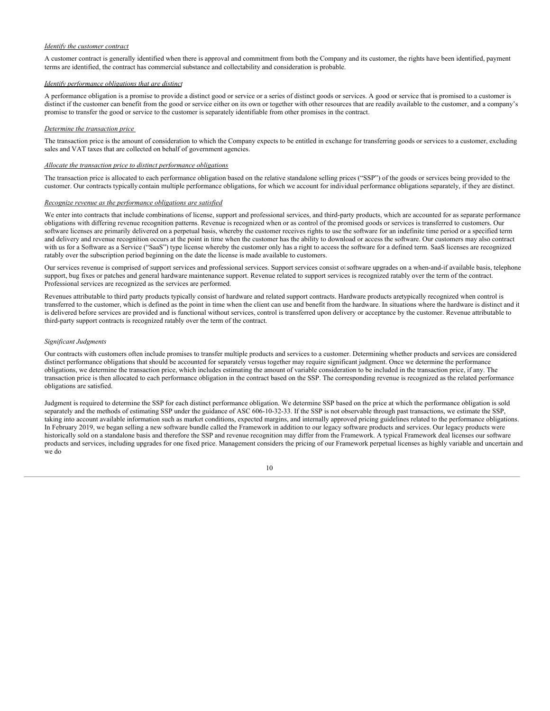#### *Identify the customer contract*

A customer contract is generally identified when there is approval and commitment from both the Company and its customer, the rights have been identified, payment terms are identified, the contract has commercial substance and collectability and consideration is probable.

#### *Identify performance obligations that are distinct*

A performance obligation is a promise to provide a distinct good or service or a series of distinct goods or services. A good or service that is promised to a customer is distinct if the customer can benefit from the good or service either on its own or together with other resources that are readily available to the customer, and a company's promise to transfer the good or service to the customer is separately identifiable from other promises in the contract.

#### *Determine the transaction price*

The transaction price is the amount of consideration to which the Company expects to be entitled in exchange for transferring goods or services to a customer, excluding sales and VAT taxes that are collected on behalf of government agencies.

#### *Allocate the transaction price to distinct performance obligations*

The transaction price is allocated to each performance obligation based on the relative standalone selling prices ("SSP") of the goods or services being provided to the customer. Our contracts typically contain multiple performance obligations, for which we account for individual performance obligations separately, if they are distinct.

## *Recognize revenue as the performance obligations are satisfied*

We enter into contracts that include combinations of license, support and professional services, and third-party products, which are accounted for as separate performance obligations with differing revenue recognition patterns. Revenue is recognized when or as control of the promised goods or services is transferred to customers. Our software licenses are primarily delivered on a perpetual basis, whereby the customer receives rights to use the software for an indefinite time period or a specified term and delivery and revenue recognition occurs at the point in time when the customer has the ability to download or access the software. Our customers may also contract with us for a Software as a Service ("SaaS") type license whereby the customer only has a right to access the software for a defined term. SaaS licenses are recognized ratably over the subscription period beginning on the date the license is made available to customers.

Our services revenue is comprised of support services and professional services. Support services consist of software upgrades on a when-and-if available basis, telephone support, bug fixes or patches and general hardware maintenance support. Revenue related to support services is recognized ratably over the term of the contract. Professional services are recognized as the services are performed.

Revenues attributable to third party products typically consist of hardware and related support contracts. Hardware products aretypically recognized when control is transferred to the customer, which is defined as the point in time when the client can use and benefit from the hardware. In situations where the hardware is distinct and it is delivered before services are provided and is functional without services, control is transferred upon delivery or acceptance by the customer. Revenue attributable to third-party support contracts is recognized ratably over the term of the contract.

#### *Significant Judgments*

Our contracts with customers often include promises to transfer multiple products and services to a customer. Determining whether products and services are considered distinct performance obligations that should be accounted for separately versus together may require significant judgment. Once we determine the performance obligations, we determine the transaction price, which includes estimating the amount of variable consideration to be included in the transaction price, if any. The transaction price is then allocated to each performance obligation in the contract based on the SSP. The corresponding revenue is recognized as the related performance obligations are satisfied.

Judgment is required to determine the SSP for each distinct performance obligation. We determine SSP based on the price at which the performance obligation is sold separately and the methods of estimating SSP under the guidance of ASC 606-10-32-33. If the SSP is not observable through past transactions, we estimate the SSP, taking into account available information such as market conditions, expected margins, and internally approved pricing guidelines related to the performance obligations. In February 2019, we began selling a new software bundle called the Framework in addition to our legacy software products and services. Our legacy products were historically sold on a standalone basis and therefore the SSP and revenue recognition may differ from the Framework. A typical Framework deal licenses our software products and services, including upgrades for one fixed price. Management considers the pricing of our Framework perpetual licenses as highly variable and uncertain and we do

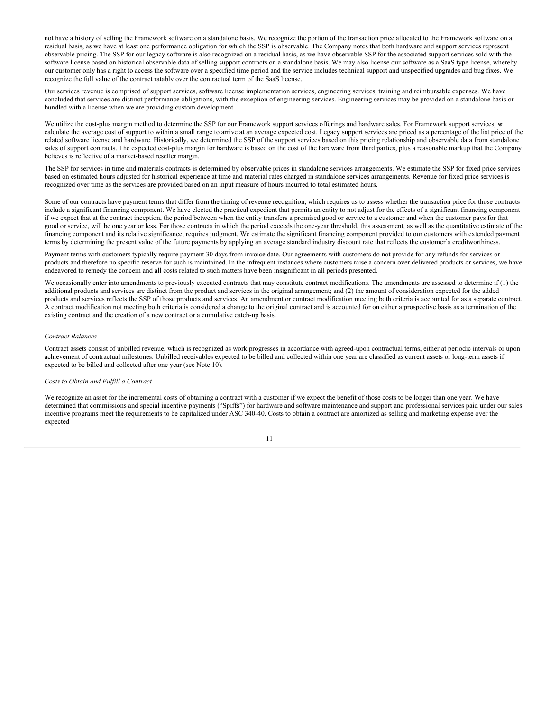not have a history of selling the Framework software on a standalone basis. We recognize the portion of the transaction price allocated to the Framework software on a residual basis, as we have at least one performance obligation for which the SSP is observable. The Company notes that both hardware and support services represent observable pricing. The SSP for our legacy software is also recognized on a residual basis, as we have observable SSP for the associated support services sold with the software license based on historical observable data of selling support contracts on a standalone basis. We may also license our software as a SaaS type license, whereby our customer only has a right to access the software over a specified time period and the service includes technical support and unspecified upgrades and bug fixes. We recognize the full value of the contract ratably over the contractual term of the SaaS license.

Our services revenue is comprised of support services, software license implementation services, engineering services, training and reimbursable expenses. We have concluded that services are distinct performance obligations, with the exception of engineering services. Engineering services may be provided on a standalone basis or bundled with a license when we are providing custom development.

We utilize the cost-plus margin method to determine the SSP for our Framework support services offerings and hardware sales. For Framework support services, we calculate the average cost of support to within a small range to arrive at an average expected cost. Legacy support services are priced as a percentage of the list price of the related software license and hardware. Historically, we determined the SSP of the support services based on this pricing relationship and observable data from standalone sales of support contracts. The expected cost-plus margin for hardware is based on the cost of the hardware from third parties, plus a reasonable markup that the Company believes is reflective of a market-based reseller margin.

The SSP for services in time and materials contracts is determined by observable prices in standalone services arrangements. We estimate the SSP for fixed price services based on estimated hours adjusted for historical experience at time and material rates charged in standalone services arrangements. Revenue for fixed price services is recognized over time as the services are provided based on an input measure of hours incurred to total estimated hours.

Some of our contracts have payment terms that differ from the timing of revenue recognition, which requires us to assess whether the transaction price for those contracts include a significant financing component. We have elected the practical expedient that permits an entity to not adjust for the effects of a significant financing component if we expect that at the contract inception, the period between when the entity transfers a promised good or service to a customer and when the customer pays for that good or service, will be one year or less. For those contracts in which the period exceeds the one-year threshold, this assessment, as well as the quantitative estimate of the financing component and its relative significance, requires judgment. We estimate the significant financing component provided to our customers with extended payment terms by determining the present value of the future payments by applying an average standard industry discount rate that reflects the customer's creditworthiness.

Payment terms with customers typically require payment 30 days from invoice date. Our agreements with customers do not provide for any refunds for services or products and therefore no specific reserve for such is maintained. In the infrequent instances where customers raise a concern over delivered products or services, we have endeavored to remedy the concern and all costs related to such matters have been insignificant in all periods presented.

We occasionally enter into amendments to previously executed contracts that may constitute contract modifications. The amendments are assessed to determine if (1) the additional products and services are distinct from the product and services in the original arrangement; and (2) the amount of consideration expected for the added products and services reflects the SSP of those products and services. An amendment or contract modification meeting both criteria is accounted for as a separate contract. A contract modification not meeting both criteria is considered a change to the original contract and is accounted for on either a prospective basis as a termination of the existing contract and the creation of a new contract or a cumulative catch-up basis.

#### *Contract Balances*

Contract assets consist of unbilled revenue, which is recognized as work progresses in accordance with agreed-upon contractual terms, either at periodic intervals or upon achievement of contractual milestones. Unbilled receivables expected to be billed and collected within one year are classified as current assets or long-term assets if expected to be billed and collected after one year (see Note 10).

#### *Costs to Obtain and Fulfill a Contract*

We recognize an asset for the incremental costs of obtaining a contract with a customer if we expect the benefit of those costs to be longer than one year. We have determined that commissions and special incentive payments ("Spiffs") for hardware and software maintenance and support and professional services paid under our sales incentive programs meet the requirements to be capitalized under ASC 340-40. Costs to obtain a contract are amortized as selling and marketing expense over the expected

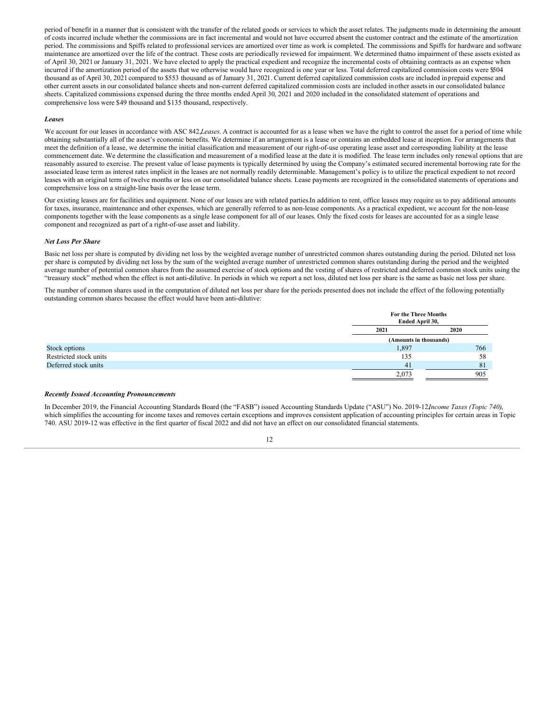period of benefit in a manner that is consistent with the transfer of the related goods or services to which the asset relates. The judgments made in determining the amount of costs incurred include whether the commissions are in fact incremental and would not have occurred absent the customer contract and the estimate of the amortization period. The commissions and Spiffs related to professional services are amortized over time as work is completed. The commissions and Spiffs for hardware and software maintenance are amortized over the life of the contract. These costs are periodically reviewed for impairment. We determined thatno impairment of these assets existed as of April 30, 2021 or January 31, 2021. We have elected to apply the practical expedient and recognize the incremental costs of obtaining contracts as an expense when incurred if the amortization period of the assets that we otherwise would have recognized is one year or less. Total deferred capitalized commission costs were \$504 thousand as of April 30, 2021 compared to \$553 thousand as of January 31, 2021. Current deferred capitalized commission costs are included inprepaid expense and other current assets in our consolidated balance sheets and non-current deferred capitalized commission costs are included inother assetsin our consolidated balance sheets. Capitalized commissions expensed during the three months ended April 30, 2021 and 2020 included in the consolidated statement of operations and comprehensive loss were \$49 thousand and \$135 thousand, respectively.

#### *Leases*

We account for our leases in accordance with ASC 842,*Leases*. A contract is accounted for as a lease when we have the right to control the asset for a period of time while obtaining substantially all of the asset's economic benefits. We determine if an arrangement is a lease or contains an embedded lease at inception. For arrangements that meet the definition of a lease, we determine the initial classification and measurement of our right-of-use operating lease asset and corresponding liability at the lease commencement date. We determine the classification and measurement of a modified lease at the date it is modified. The lease term includes only renewal options that are reasonably assured to exercise. The present value of lease payments is typically determined by using the Company's estimated secured incremental borrowing rate for the associated lease term as interest rates implicit in the leases are not normally readily determinable. Management's policy is to utilize the practical expedient to not record leases with an original term of twelve months or less on our consolidated balance sheets. Lease payments are recognized in the consolidated statements of operations and comprehensive loss on a straight-line basis over the lease term.

Our existing leases are for facilities and equipment. None of our leases are with related parties.In addition to rent, office leases may require us to pay additional amounts for taxes, insurance, maintenance and other expenses, which are generally referred to as non-lease components. As a practical expedient, we account for the non-lease components together with the lease components as a single lease component for all of our leases. Only the fixed costs for leases are accounted for as a single lease component and recognized as part of a right-of-use asset and liability.

#### *Net Loss Per Share*

Basic net loss per share is computed by dividing net loss by the weighted average number of unrestricted common shares outstanding during the period. Diluted net loss per share is computed by dividing net loss by the sum of the weighted average number of unrestricted common shares outstanding during the period and the weighted average number of potential common shares from the assumed exercise of stock options and the vesting of shares of restricted and deferred common stock units using the "treasury stock" method when the effect is not anti-dilutive. In periods in which we report a net loss, diluted net loss per share is the same as basic net loss per share.

The number of common shares used in the computation of diluted net loss per share for the periods presented does not include the effect of the following potentially outstanding common shares because the effect would have been anti-dilutive:

|                        |      | For the Three Months<br>Ended April 30, |     |  |  |
|------------------------|------|-----------------------------------------|-----|--|--|
|                        | 2021 | 2020                                    |     |  |  |
|                        |      | (Amounts in thousands)                  |     |  |  |
| Stock options          |      | 1,897                                   | 766 |  |  |
| Restricted stock units |      | 135                                     | 58  |  |  |
| Deferred stock units   |      | 41                                      | 81  |  |  |
|                        |      | 2,073                                   | 905 |  |  |

#### *Recently Issued Accounting Pronouncements*

In December 2019, the Financial Accounting Standards Board (the "FASB") issued Accounting Standards Update ("ASU") No. 2019-12,*Income Taxes (Topic 740)*, which simplifies the accounting for income taxes and removes certain exceptions and improves consistent application of accounting principles for certain areas in Topic 740. ASU 2019-12 was effective in the first quarter of fiscal 2022 and did not have an effect on our consolidated financial statements.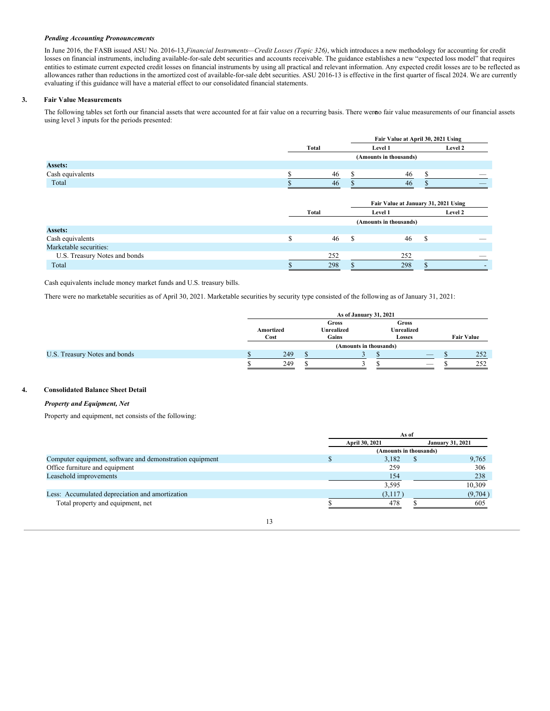#### *Pending Accounting Pronouncements*

In June 2016, the FASB issued ASU No. 2016-13,*Financial Instruments—Credit Losses (Topic 326)*, which introduces a new methodology for accounting for credit losses on financial instruments, including available-for-sale debt securities and accounts receivable. The guidance establishes a new "expected loss model" that requires entities to estimate current expected credit losses on financial instruments by using all practical and relevant information. Any expected credit losses are to be reflected as allowances rather than reductions in the amortized cost of available-for-sale debt securities. ASU 2016-13 is effective in the first quarter of fiscal 2024. We are currently evaluating if this guidance will have a material effect to our consolidated financial statements.

#### **3. Fair Value Measurements**

The following tables set forth our financial assets that were accounted for at fair value on a recurring basis. There were of air value measurements of our financial assets using level 3 inputs for the periods presented:

|                               | Total |       |               | Fair Value at April 30, 2021 Using   |         |         |  |  |  |
|-------------------------------|-------|-------|---------------|--------------------------------------|---------|---------|--|--|--|
|                               |       |       |               | Level 1                              | Level 2 |         |  |  |  |
|                               |       |       |               | (Amounts in thousands)               |         |         |  |  |  |
| <b>Assets:</b>                |       |       |               |                                      |         |         |  |  |  |
| Cash equivalents              | œ     | 46    | ¢             | 46                                   | ¢       |         |  |  |  |
| Total                         |       | 46    |               | 46                                   |         |         |  |  |  |
|                               |       |       |               |                                      |         |         |  |  |  |
|                               |       |       |               | Fair Value at January 31, 2021 Using |         |         |  |  |  |
|                               |       | Total |               | Level 1                              |         | Level 2 |  |  |  |
|                               |       |       |               | (Amounts in thousands)               |         |         |  |  |  |
| <b>Assets:</b>                |       |       |               |                                      |         |         |  |  |  |
| Cash equivalents              | S     | 46    | <sup>\$</sup> | 46                                   | S       |         |  |  |  |
| Marketable securities:        |       |       |               |                                      |         |         |  |  |  |
| U.S. Treasury Notes and bonds |       | 252   |               | 252                                  |         |         |  |  |  |
| Total                         |       | 298   |               | 298                                  |         |         |  |  |  |

Cash equivalents include money market funds and U.S. treasury bills.

There were no marketable securities as of April 30, 2021. Marketable securities by security type consisted of the following as of January 31, 2021:

|                               | As of January 31, 2021 |  |                                                                                    |  |                          |                   |     |  |
|-------------------------------|------------------------|--|------------------------------------------------------------------------------------|--|--------------------------|-------------------|-----|--|
|                               | Amortized<br>Cost      |  | Gross<br>Gross<br><b>Unrealized</b><br><b>Unrealized</b><br>Gains<br><b>Losses</b> |  |                          | <b>Fair Value</b> |     |  |
|                               |                        |  | (Amounts in thousands)                                                             |  |                          |                   |     |  |
| U.S. Treasury Notes and bonds | 249                    |  |                                                                                    |  | $\qquad \qquad - \qquad$ |                   | 252 |  |
|                               | 249                    |  |                                                                                    |  | $\overline{\phantom{a}}$ |                   | 252 |  |

#### **4. Consolidated Balance Sheet Detail**

#### *Property and Equipment, Net*

Property and equipment, net consists of the following:

|                                                          | As of          |                         |  |  |  |
|----------------------------------------------------------|----------------|-------------------------|--|--|--|
|                                                          | April 30, 2021 | <b>January 31, 2021</b> |  |  |  |
|                                                          |                | (Amounts in thousands)  |  |  |  |
| Computer equipment, software and demonstration equipment | 3,182          | 9,765                   |  |  |  |
| Office furniture and equipment                           | 259            | 306                     |  |  |  |
| Leasehold improvements                                   | 154            | 238                     |  |  |  |
|                                                          | 3,595          | 10,309                  |  |  |  |
| Less: Accumulated depreciation and amortization          | (3,117)        | (9,704)                 |  |  |  |
| Total property and equipment, net                        | 478            | 605                     |  |  |  |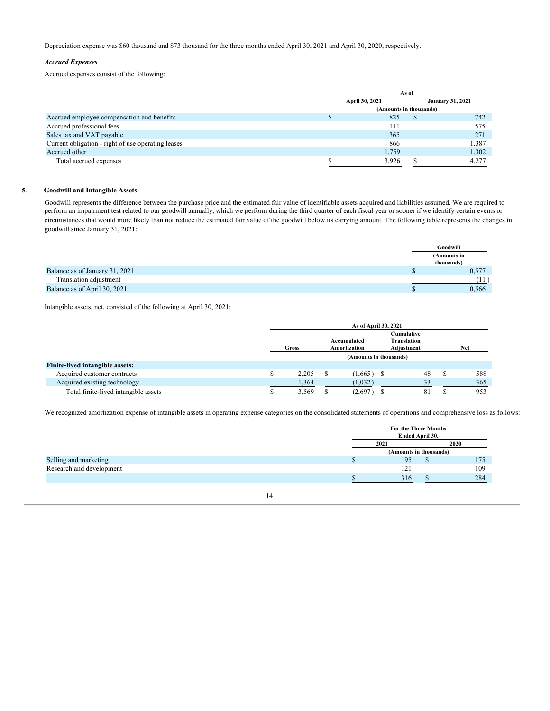Depreciation expense was \$60 thousand and \$73 thousand for the three months ended April 30, 2021 and April 30, 2020, respectively.

#### *Accrued Expenses*

Accrued expenses consist of the following:

|                                                    | As of                  |  |                         |  |
|----------------------------------------------------|------------------------|--|-------------------------|--|
|                                                    | April 30, 2021         |  | <b>January 31, 2021</b> |  |
|                                                    | (Amounts in thousands) |  |                         |  |
| Accrued employee compensation and benefits         | 825                    |  | 742                     |  |
| Accrued professional fees                          | 111                    |  | 575                     |  |
| Sales tax and VAT payable                          | 365                    |  | 271                     |  |
| Current obligation - right of use operating leases | 866                    |  | 1,387                   |  |
| Accrued other                                      | 1,759                  |  | 1,302                   |  |
| Total accrued expenses                             | 3,926                  |  | 4.277                   |  |

#### **5**. **Goodwill and Intangible Assets**

Goodwill represents the difference between the purchase price and the estimated fair value of identifiable assets acquired and liabilities assumed. We are required to perform an impairment test related to our goodwill annually, which we perform during the third quarter of each fiscal year or sooner if we identify certain events or circumstances that would more likely than not reduce the estimated fair value of the goodwill below its carrying amount. The following table represents the changes in goodwill since January 31, 2021:

|                                | Goodwill                  |
|--------------------------------|---------------------------|
|                                | (Amounts in<br>thousands) |
| Balance as of January 31, 2021 | 10.577                    |
| Translation adjustment         | 11                        |
| Balance as of April 30, 2021   | 10.566                    |

Intangible assets, net, consisted of the following at April 30, 2021:

|                                      | As of April 30, 2021 |       |  |                             |                        |                                                |            |
|--------------------------------------|----------------------|-------|--|-----------------------------|------------------------|------------------------------------------------|------------|
|                                      |                      | Gross |  | Accumulated<br>Amortization |                        | Cumulative<br><b>Translation</b><br>Adjustment | <b>Net</b> |
|                                      |                      |       |  |                             | (Amounts in thousands) |                                                |            |
| Finite-lived intangible assets:      |                      |       |  |                             |                        |                                                |            |
| Acquired customer contracts          |                      | 2,205 |  | $(1,665)$ \$                |                        | 48                                             | 588        |
| Acquired existing technology         |                      | 1,364 |  | (1,032)                     |                        | 33                                             | 365        |
| Total finite-lived intangible assets |                      | 3,569 |  | (2,697)                     |                        | 81                                             | 953        |

We recognized amortization expense of intangible assets in operating expense categories on the consolidated statements of operations and comprehensive loss as follows:

|                          | For the Three Months<br>Ended April 30, |  |     |  |
|--------------------------|-----------------------------------------|--|-----|--|
|                          | 2020<br>2021                            |  |     |  |
|                          | (Amounts in thousands)                  |  |     |  |
| Selling and marketing    | 195                                     |  | 175 |  |
| Research and development | 121                                     |  | 109 |  |
|                          | 316                                     |  | 284 |  |

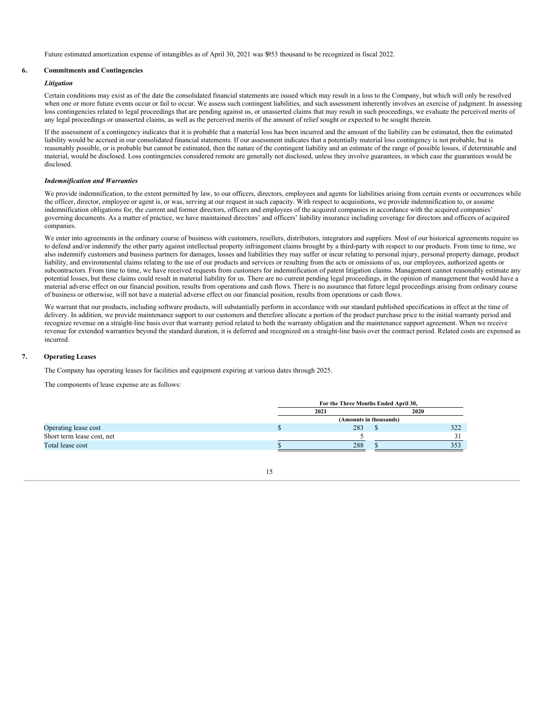Future estimated amortization expense of intangibles as of April 30, 2021 was \$953 thousand to be recognized in fiscal 2022.

#### **6. Commitments and Contingencies**

### *Litigation*

Certain conditions may exist as of the date the consolidated financial statements are issued which may result in a loss to the Company, but which will only be resolved when one or more future events occur or fail to occur. We assess such contingent liabilities, and such assessment inherently involves an exercise of judgment. In assessing loss contingencies related to legal proceedings that are pending against us, or unasserted claims that may result in such proceedings, we evaluate the perceived merits of any legal proceedings or unasserted claims, as well as the perceived merits of the amount of relief sought or expected to be sought therein.

If the assessment of a contingency indicates that it is probable that a material loss has been incurred and the amount of the liability can be estimated, then the estimated liability would be accrued in our consolidated financial statements. If our assessment indicates that a potentially material loss contingency is not probable, but is reasonably possible, or is probable but cannot be estimated, then the nature of the contingent liability and an estimate of the range of possible losses, if determinable and material, would be disclosed. Loss contingencies considered remote are generally not disclosed, unless they involve guarantees, in which case the guarantees would be disclosed.

#### *Indemnification and Warranties*

We provide indemnification, to the extent permitted by law, to our officers, directors, employees and agents for liabilities arising from certain events or occurrences while the officer, director, employee or agent is, or was, serving at our request in such capacity. With respect to acquisitions, we provide indemnification to, or assume indemnification obligations for, the current and former directors, officers and employees of the acquired companies in accordance with the acquired companies' governing documents. As a matter of practice, we have maintained directors' and officers' liability insurance including coverage for directors and officers of acquired companies.

We enter into agreements in the ordinary course of business with customers, resellers, distributors, integrators and suppliers. Most of our historical agreements require us to defend and/or indemnify the other party against intellectual property infringement claims brought by a third-party with respect to our products. From time to time, we also indemnify customers and business partners for damages, losses and liabilities they may suffer or incur relating to personal injury, personal property damage, product liability, and environmental claims relating to the use of our products and services or resulting from the acts or omissions of us, our employees, authorized agents or subcontractors. From time to time, we have received requests from customers for indemnification of patent litigation claims. Management cannot reasonably estimate any potential losses, but these claims could result in material liability for us. There are no current pending legal proceedings, in the opinion of management that would have a material adverse effect on our financial position, results from operations and cash flows. There is no assurance that future legal proceedings arising from ordinary course of business or otherwise, will not have a material adverse effect on our financial position, results from operations or cash flows.

We warrant that our products, including software products, will substantially perform in accordance with our standard published specifications in effect at the time of delivery. In addition, we provide maintenance support to our customers and therefore allocate a portion of the product purchase price to the initial warranty period and recognize revenue on a straight-line basis over that warranty period related to both the warranty obligation and the maintenance support agreement. When we receive revenue for extended warranties beyond the standard duration, it is deferred and recognized on a straight-line basis over the contract period. Related costs are expensed as incurred.

## **7. Operating Leases**

The Company has operating leases for facilities and equipment expiring at various dates through 2025.

The components of lease expense are as follows:

|                            | For the Three Months Ended April 30, |     |  |  |      |  |
|----------------------------|--------------------------------------|-----|--|--|------|--|
|                            | 2021                                 |     |  |  | 2020 |  |
|                            | (Amounts in thousands)               |     |  |  |      |  |
| Operating lease cost       |                                      | 283 |  |  | 322  |  |
| Short term lease cost, net |                                      |     |  |  |      |  |
| Total lease cost           |                                      | 288 |  |  |      |  |

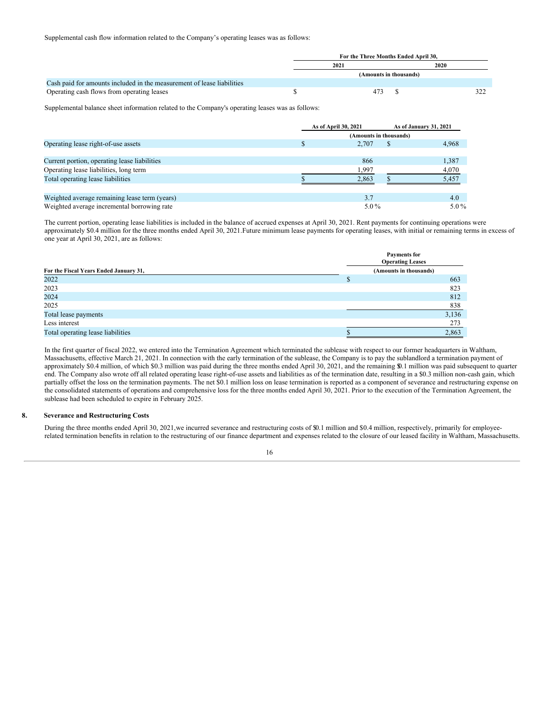Supplemental cash flow information related to the Company's operating leases was as follows:

|                                                                        | For the Three Months Ended April 30. |     |  |  |  |
|------------------------------------------------------------------------|--------------------------------------|-----|--|--|--|
|                                                                        | 2020<br>2021                         |     |  |  |  |
|                                                                        | (Amounts in thousands)               |     |  |  |  |
| Cash paid for amounts included in the measurement of lease liabilities |                                      |     |  |  |  |
| Operating cash flows from operating leases                             |                                      | 473 |  |  |  |

Supplemental balance sheet information related to the Company's operating leases was as follows:

|                                               | As of April 30, 2021   |  | As of January 31, 2021 |
|-----------------------------------------------|------------------------|--|------------------------|
|                                               | (Amounts in thousands) |  |                        |
| Operating lease right-of-use assets           | 2.707                  |  | 4,968                  |
|                                               |                        |  |                        |
| Current portion, operating lease liabilities  | 866                    |  | 1,387                  |
| Operating lease liabilities, long term        | 1.997                  |  | 4,070                  |
| Total operating lease liabilities             | 2.863                  |  | 5.457                  |
|                                               |                        |  |                        |
| Weighted average remaining lease term (years) | 3.7                    |  | 4.0                    |
| Weighted average incremental borrowing rate   | $5.0\%$                |  | $5.0\%$                |

The current portion, operating lease liabilities is included in the balance of accrued expenses at April 30, 2021. Rent payments for continuing operations were approximately \$0.4 million for the three months ended April 30, 2021.Future minimum lease payments for operating leases, with initial or remaining terms in excess of one year at April 30, 2021, are as follows:

|                                        | <b>Payments for</b><br><b>Operating Leases</b> |       |
|----------------------------------------|------------------------------------------------|-------|
| For the Fiscal Years Ended January 31, | (Amounts in thousands)                         |       |
| 2022                                   |                                                | 663   |
| 2023                                   |                                                | 823   |
| 2024                                   |                                                | 812   |
| 2025                                   |                                                | 838   |
| Total lease payments                   |                                                | 3,136 |
| Less interest                          |                                                | 273   |
| Total operating lease liabilities      |                                                | 2,863 |

In the first quarter of fiscal 2022, we entered into the Termination Agreement which terminated the sublease with respect to our former headquarters in Waltham, Massachusetts, effective March 21, 2021. In connection with the early termination of the sublease, the Company is to pay the sublandlord a termination payment of approximately \$0.4 million, of which \$0.3 million was paid during the three months ended April 30, 2021, and the remaining \$0.1 million was paid subsequent to quarter end. The Company also wrote off all related operating lease right-of-use assets and liabilities as of the termination date, resulting in a \$0.3 million non-cash gain, which partially offset the loss on the termination payments. The net \$0.1 million loss on lease termination is reported as a component of severance and restructuring expense on the consolidated statements of operations and comprehensive loss for the three months ended April 30, 2021. Prior to the execution of the Termination Agreement, the sublease had been scheduled to expire in February 2025.

#### **8. Severance and Restructuring Costs**

During the three months ended April 30, 2021, we incurred severance and restructuring costs of \$0.1 million and \$0.4 million, respectively, primarily for employeerelated termination benefits in relation to the restructuring of our finance department and expenses related to the closure of our leased facility in Waltham, Massachusetts.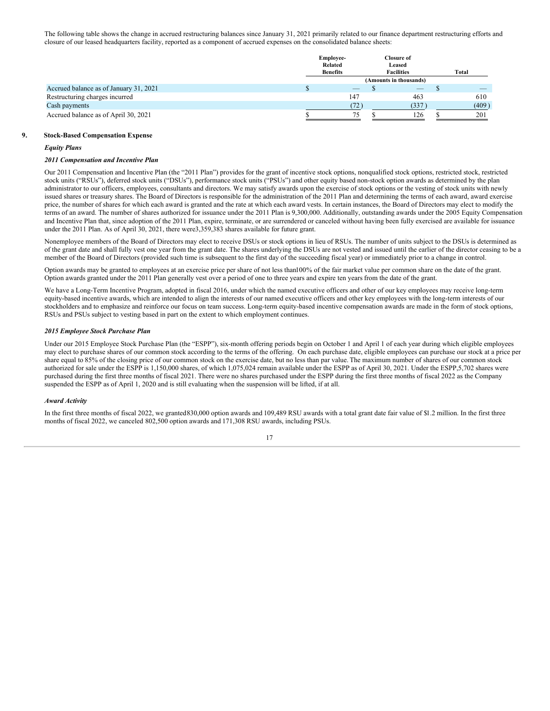The following table shows the change in accrued restructuring balances since January 31, 2021 primarily related to our finance department restructuring efforts and closure of our leased headquarters facility, reported as a component of accrued expenses on the consolidated balance sheets:

|                                        | <b>Employee-</b><br>Related<br><b>Benefits</b> |      | <b>Closure of</b><br>Leased<br><b>Facilities</b> | Total |
|----------------------------------------|------------------------------------------------|------|--------------------------------------------------|-------|
|                                        |                                                |      | (Amounts in thousands)                           |       |
| Accrued balance as of January 31, 2021 |                                                | $-$  | $\qquad \qquad - \qquad$                         |       |
| Restructuring charges incurred         |                                                | 147  | 463                                              | 610   |
| Cash payments                          |                                                | (72) | (337)                                            | (409) |
| Accrued balance as of April 30, 2021   |                                                | 75   | 126                                              | 201   |

#### **9. Stock-Based Compensation Expense**

#### *Equity Plans*

#### *2011 Compensation and Incentive Plan*

Our 2011 Compensation and Incentive Plan (the "2011 Plan") provides for the grant of incentive stock options, nonqualified stock options, restricted stock, restricted stock units ("RSUs"), deferred stock units ("DSUs"), performance stock units ("PSUs") and other equity based non-stock option awards as determined by the plan administrator to our officers, employees, consultants and directors. We may satisfy awards upon the exercise of stock options or the vesting of stock units with newly issued shares or treasury shares. The Board of Directors is responsible for the administration of the 2011 Plan and determining the terms of each award, award exercise price, the number of shares for which each award is granted and the rate at which each award vests. In certain instances, the Board of Directors may elect to modify the terms of an award. The number of shares authorized for issuance under the 2011 Plan is 9,300,000. Additionally, outstanding awards under the 2005 Equity Compensation and Incentive Plan that, since adoption of the 2011 Plan, expire, terminate, or are surrendered or canceled without having been fully exercised are available for issuance under the 2011 Plan. As of April 30, 2021, there were3,359,383 shares available for future grant.

Nonemployee members of the Board of Directors may elect to receive DSUs or stock options in lieu of RSUs. The number of units subject to the DSUs is determined as of the grant date and shall fully vest one year from the grant date. The shares underlying the DSUs are not vested and issued until the earlier of the director ceasing to be a member of the Board of Directors (provided such time is subsequent to the first day of the succeeding fiscal year) or immediately prior to a change in control.

Option awards may be granted to employees at an exercise price per share of not less than100% of the fair market value per common share on the date of the grant. Option awards granted under the 2011 Plan generally vest over a period of one to three years and expire ten years from the date of the grant.

We have a Long-Term Incentive Program, adopted in fiscal 2016, under which the named executive officers and other of our key employees may receive long-term equity-based incentive awards, which are intended to align the interests of our named executive officers and other key employees with the long-term interests of our stockholders and to emphasize and reinforce our focus on team success. Long-term equity-based incentive compensation awards are made in the form of stock options, RSUs and PSUs subject to vesting based in part on the extent to which employment continues.

#### *2015 Employee Stock Purchase Plan*

Under our 2015 Employee Stock Purchase Plan (the "ESPP"), six-month offering periods begin on October 1 and April 1 of each year during which eligible employees may elect to purchase shares of our common stock according to the terms of the offering. On each purchase date, eligible employees can purchase our stock at a price per share equal to 85% of the closing price of our common stock on the exercise date, but no less than par value. The maximum number of shares of our common stock authorized for sale under the ESPP is 1,150,000 shares, of which 1,075,024 remain available under the ESPP as of April 30, 2021. Under the ESPP,5,702 shares were purchased during the first three months of fiscal 2021. There were no shares purchased under the ESPP during the first three months of fiscal 2022 as the Company suspended the ESPP as of April 1, 2020 and is still evaluating when the suspension will be lifted, if at all.

#### *Award Activity*

In the first three months of fiscal 2022, we granted830,000 option awards and 109,489 RSU awards with a total grant date fair value of \$1.2 million. In the first three months of fiscal 2022, we canceled 802,500 option awards and 171,308 RSU awards, including PSUs.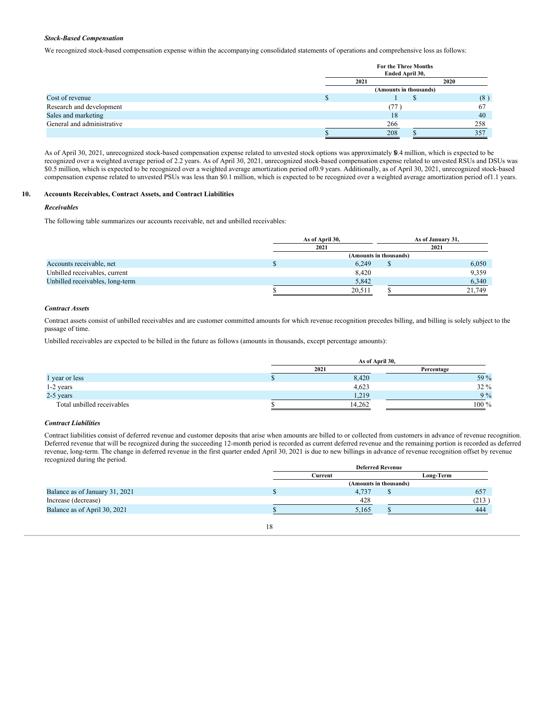#### *Stock-Based Compensation*

We recognized stock-based compensation expense within the accompanying consolidated statements of operations and comprehensive loss as follows:

|                            | <b>For the Three Months</b><br>Ended April 30, |  |     |  |
|----------------------------|------------------------------------------------|--|-----|--|
|                            | 2020<br>2021                                   |  |     |  |
|                            | (Amounts in thousands)                         |  |     |  |
| Cost of revenue            |                                                |  | (8) |  |
| Research and development   | (77                                            |  | 67  |  |
| Sales and marketing        | 18                                             |  | 40  |  |
| General and administrative | 266                                            |  | 258 |  |
|                            | 208                                            |  | 357 |  |

As of April 30, 2021, unrecognized stock-based compensation expense related to unvested stock options was approximately \$0.4 million, which is expected to be recognized over a weighted average period of 2.2 years. As of April 30, 2021, unrecognized stock-based compensation expense related to unvested RSUs and DSUs was \$0.5 million, which is expected to be recognized over a weighted average amortization period of0.9 years. Additionally, as of April 30, 2021, unrecognized stock-based compensation expense related to unvested PSUs was less than \$0.1 million, which is expected to be recognized over a weighted average amortization period of1.1 years.

#### **10. Accounts Receivables, Contract Assets, and Contract Liabilities**

#### *Receivables*

The following table summarizes our accounts receivable, net and unbilled receivables:

|                                 |  | As of April 30,<br>2021 |  | As of January 31. |  |  |
|---------------------------------|--|-------------------------|--|-------------------|--|--|
|                                 |  |                         |  | 2021              |  |  |
|                                 |  | (Amounts in thousands)  |  |                   |  |  |
| Accounts receivable, net        |  | 6.249                   |  | 6,050             |  |  |
| Unbilled receivables, current   |  | 8,420                   |  | 9,359             |  |  |
| Unbilled receivables, long-term |  | 5,842                   |  | 6,340             |  |  |
|                                 |  | 20,511                  |  | 21,749            |  |  |

## *Contract Assets*

Contract assets consist of unbilled receivables and are customer committed amounts for which revenue recognition precedes billing, and billing is solely subject to the passage of time.

Unbilled receivables are expected to be billed in the future as follows (amounts in thousands, except percentage amounts):

|                            | As of April 30, |             |  |  |
|----------------------------|-----------------|-------------|--|--|
|                            | 2021            |             |  |  |
| 1 year or less             | 8,420           | 59 %        |  |  |
| 1-2 years                  | 4,623           | <b>32</b> % |  |  |
| 2-5 years                  | 1,219           | $9\%$       |  |  |
| Total unbilled receivables | 14.262          | $100\%$     |  |  |

#### *Contract Liabilities*

Contract liabilities consist of deferred revenue and customer deposits that arise when amounts are billed to or collected from customers in advance of revenue recognition. Deferred revenue that will be recognized during the succeeding 12-month period is recorded as current deferred revenue and the remaining portion is recorded as deferred revenue, long-term. The change in deferred revenue in the first quarter ended April 30, 2021 is due to new billings in advance of revenue recognition offset by revenue recognized during the period.

|                                | <b>Deferred Revenue</b> |       |  |       |  |  |  |
|--------------------------------|-------------------------|-------|--|-------|--|--|--|
|                                | Long-Term<br>Current    |       |  |       |  |  |  |
|                                | (Amounts in thousands)  |       |  |       |  |  |  |
| Balance as of January 31, 2021 |                         | 4.737 |  | 657   |  |  |  |
| Increase (decrease)            |                         | 428   |  | (213) |  |  |  |
| Balance as of April 30, 2021   |                         | 5,165 |  | 444   |  |  |  |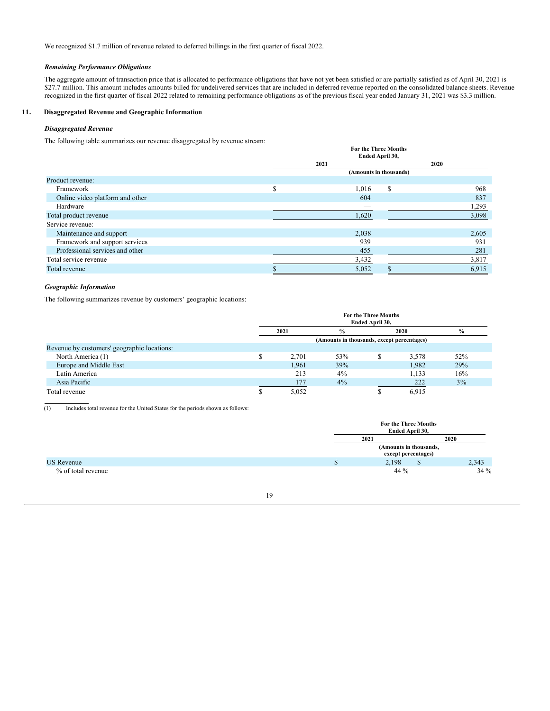We recognized \$1.7 million of revenue related to deferred billings in the first quarter of fiscal 2022.

#### *Remaining Performance Obligations*

The aggregate amount of transaction price that is allocated to performance obligations that have not yet been satisfied or are partially satisfied as of April 30, 2021 is \$27.7 million. This amount includes amounts billed for undelivered services that are included in deferred revenue reported on the consolidated balance sheets. Revenue recognized in the first quarter of fiscal 2022 related to remaining performance obligations as of the previous fiscal year ended January 31, 2021 was \$3.3 million.

## **11. Disaggregated Revenue and Geographic Information**

## *Disaggregated Revenue*

The following table summarizes our revenue disaggregated by revenue stream:

| Ended April 30, |                          |   |                                                       |  |  |  |
|-----------------|--------------------------|---|-------------------------------------------------------|--|--|--|
| 2021            |                          |   | 2020                                                  |  |  |  |
|                 |                          |   |                                                       |  |  |  |
|                 |                          |   |                                                       |  |  |  |
| S               | 1,016                    | S | 968                                                   |  |  |  |
|                 | 604                      |   | 837                                                   |  |  |  |
|                 | $\overline{\phantom{a}}$ |   | 1,293                                                 |  |  |  |
|                 | 1,620                    |   | 3,098                                                 |  |  |  |
|                 |                          |   |                                                       |  |  |  |
|                 | 2,038                    |   | 2,605                                                 |  |  |  |
|                 | 939                      |   | 931                                                   |  |  |  |
|                 | 455                      |   | 281                                                   |  |  |  |
|                 | 3,432                    |   | 3,817                                                 |  |  |  |
|                 | 5,052                    |   | 6,915                                                 |  |  |  |
|                 |                          |   | <b>For the Three Months</b><br>(Amounts in thousands) |  |  |  |

## *Geographic Information*

The following summarizes revenue by customers' geographic locations:

|                                             | For the Three Months<br>Ended April 30,    |               |  |       |               |  |  |  |  |  |
|---------------------------------------------|--------------------------------------------|---------------|--|-------|---------------|--|--|--|--|--|
|                                             | 2021                                       | $\frac{0}{0}$ |  | 2020  | $\frac{6}{9}$ |  |  |  |  |  |
|                                             | (Amounts in thousands, except percentages) |               |  |       |               |  |  |  |  |  |
| Revenue by customers' geographic locations: |                                            |               |  |       |               |  |  |  |  |  |
| North America (1)                           | 2,701                                      | 53%           |  | 3,578 | 52%           |  |  |  |  |  |
| Europe and Middle East                      | 1.961                                      | 39%           |  | 1,982 | 29%           |  |  |  |  |  |
| Latin America                               | 213                                        | $4\%$         |  | 1,133 | 16%           |  |  |  |  |  |
| Asia Pacific                                | 177                                        | 4%            |  | 222   | 3%            |  |  |  |  |  |
| Total revenue                               | 5,052                                      |               |  | 6.915 |               |  |  |  |  |  |

(1) Includes total revenue for the United States for the periods shown as follows:

|                    |      | For the Three Months                          |   |        |  |  |  |
|--------------------|------|-----------------------------------------------|---|--------|--|--|--|
|                    |      | Ended April 30,                               |   |        |  |  |  |
|                    | 2021 |                                               |   | 2020   |  |  |  |
|                    |      | (Amounts in thousands,<br>except percentages) |   |        |  |  |  |
| <b>US Revenue</b>  |      | 2,198                                         | D | 2,343  |  |  |  |
| % of total revenue |      | 44 $%$                                        |   | $34\%$ |  |  |  |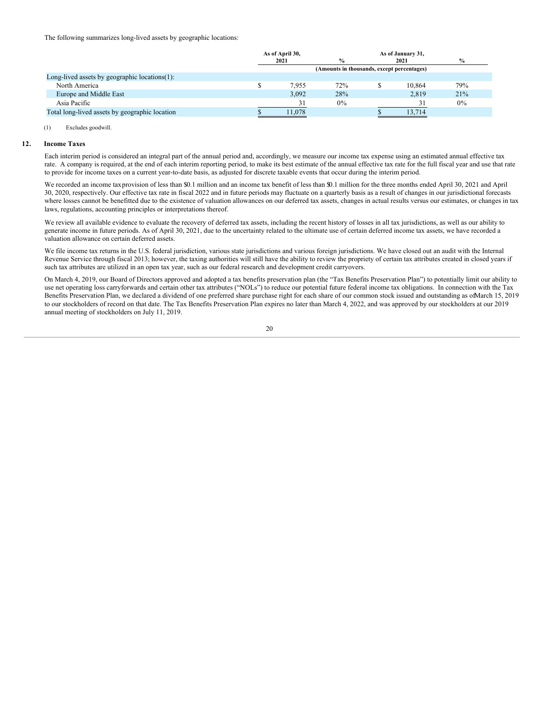The following summarizes long-lived assets by geographic locations:

|                                                   | As of April 30, |                                            | As of January 31, |               |
|---------------------------------------------------|-----------------|--------------------------------------------|-------------------|---------------|
|                                                   | 2021            | $\frac{0}{0}$                              | 2021              | $\frac{6}{9}$ |
|                                                   |                 | (Amounts in thousands, except percentages) |                   |               |
| Long-lived assets by geographic locations $(1)$ : |                 |                                            |                   |               |
| North America                                     | 7.955           | 72%                                        | 10.864            | 79%           |
| Europe and Middle East                            | 3.092           | 28%                                        | 2.819             | 21%           |
| Asia Pacific                                      |                 | $0\%$                                      | 31                | 0%            |
| Total long-lived assets by geographic location    | 11.078          |                                            | 13.714            |               |
|                                                   |                 |                                            |                   |               |

#### (1) Excludes goodwill.

#### **12. Income Taxes**

Each interim period is considered an integral part of the annual period and, accordingly, we measure our income tax expense using an estimated annual effective tax rate. A company is required, at the end of each interim reporting period, to make its best estimate of the annual effective tax rate for the full fiscal year and use that rate to provide for income taxes on a current year-to-date basis, as adjusted for discrete taxable events that occur during the interim period.

We recorded an income taxprovision of less than \$0.1 million and an income tax benefit of less than \$0.1 million for the three months ended April 30, 2021 and April 30, 2020, respectively. Our effective tax rate in fiscal 2022 and in future periods may fluctuate on a quarterly basis as a result of changes in our jurisdictional forecasts where losses cannot be benefitted due to the existence of valuation allowances on our deferred tax assets, changes in actual results versus our estimates, or changes in tax laws, regulations, accounting principles or interpretations thereof.

We review all available evidence to evaluate the recovery of deferred tax assets, including the recent history of losses in all tax jurisdictions, as well as our ability to generate income in future periods. As of April 30, 2021, due to the uncertainty related to the ultimate use of certain deferred income tax assets, we have recorded a valuation allowance on certain deferred assets.

We file income tax returns in the U.S. federal jurisdiction, various state jurisdictions and various foreign jurisdictions. We have closed out an audit with the Internal Revenue Service through fiscal 2013; however, the taxing authorities will still have the ability to review the propriety of certain tax attributes created in closed years if such tax attributes are utilized in an open tax year, such as our federal research and development credit carryovers.

On March 4, 2019, our Board of Directors approved and adopted a tax benefits preservation plan (the "Tax Benefits Preservation Plan") to potentially limit our ability to use net operating loss carryforwards and certain other tax attributes ("NOLs") to reduce our potential future federal income tax obligations. In connection with the Tax Benefits Preservation Plan, we declared a dividend of one preferred share purchase right for each share of our common stock issued and outstanding as ofMarch 15, 2019 to our stockholders of record on that date. The Tax Benefits Preservation Plan expires no later than March 4, 2022, and was approved by our stockholders at our 2019 annual meeting of stockholders on July 11, 2019.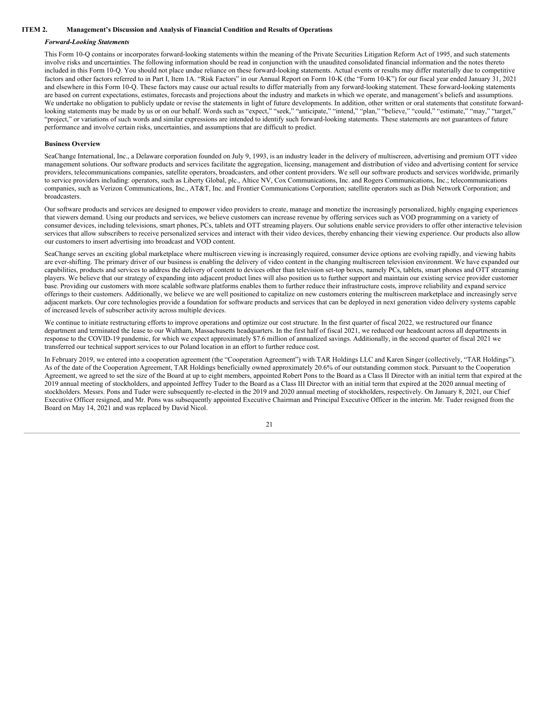#### **ITEM 2. Management's Discussion and Analysis of Financial Condition and Results of Operations**

#### <span id="page-21-0"></span>*Forward-Looking Statements*

This Form 10-Q contains or incorporates forward-looking statements within the meaning of the Private Securities Litigation Reform Act of 1995, and such statements involve risks and uncertainties. The following information should be read in conjunction with the unaudited consolidated financial information and the notes thereto included in this Form 10-Q. You should not place undue reliance on these forward-looking statements. Actual events or results may differ materially due to competitive factors and other factors referred to in Part I, Item 1A. "Risk Factors" in our Annual Report on Form 10-K (the "Form 10-K") for our fiscal year ended January 31, 2021 and elsewhere in this Form 10-Q. These factors may cause our actual results to differ materially from any forward-looking statement. These forward-looking statements are based on current expectations, estimates, forecasts and projections about the industry and markets in which we operate, and management's beliefs and assumptions. We undertake no obligation to publicly update or revise the statements in light of future developments. In addition, other written or oral statements that constitute forwardlooking statements may be made by us or on our behalf. Words such as "expect," "seek," "anticipate," "intend," "plan," "believe," "could," "estimate," "may," "target," "project," or variations of such words and similar expressions are intended to identify such forward-looking statements. These statements are not guarantees of future performance and involve certain risks, uncertainties, and assumptions that are difficult to predict.

#### **Business Overview**

SeaChange International, Inc., a Delaware corporation founded on July 9, 1993, is an industry leader in the delivery of multiscreen, advertising and premium OTT video management solutions. Our software products and services facilitate the aggregation, licensing, management and distribution of video and advertising content for service providers, telecommunications companies, satellite operators, broadcasters, and other content providers. We sell our software products and services worldwide, primarily to service providers including: operators, such as Liberty Global, plc., Altice NV, Cox Communications, Inc. and Rogers Communications, Inc.; telecommunications companies, such as Verizon Communications, Inc., AT&T, Inc. and Frontier Communications Corporation; satellite operators such as Dish Network Corporation; and broadcasters.

Our software products and services are designed to empower video providers to create, manage and monetize the increasingly personalized, highly engaging experiences that viewers demand. Using our products and services, we believe customers can increase revenue by offering services such as VOD programming on a variety of consumer devices, including televisions, smart phones, PCs, tablets and OTT streaming players. Our solutions enable service providers to offer other interactive television services that allow subscribers to receive personalized services and interact with their video devices, thereby enhancing their viewing experience. Our products also allow our customers to insert advertising into broadcast and VOD content.

SeaChange serves an exciting global marketplace where multiscreen viewing is increasingly required, consumer device options are evolving rapidly, and viewing habits are ever-shifting. The primary driver of our business is enabling the delivery of video content in the changing multiscreen television environment. We have expanded our capabilities, products and services to address the delivery of content to devices other than television set-top boxes, namely PCs, tablets, smart phones and OTT streaming players. We believe that our strategy of expanding into adjacent product lines will also position us to further support and maintain our existing service provider customer base. Providing our customers with more scalable software platforms enables them to further reduce their infrastructure costs, improve reliability and expand service offerings to their customers. Additionally, we believe we are well positioned to capitalize on new customers entering the multiscreen marketplace and increasingly serve adjacent markets. Our core technologies provide a foundation for software products and services that can be deployed in next generation video delivery systems capable of increased levels of subscriber activity across multiple devices.

We continue to initiate restructuring efforts to improve operations and optimize our cost structure. In the first quarter of fiscal 2022, we restructured our finance department and terminated the lease to our Waltham, Massachusetts headquarters. In the first half of fiscal 2021, we reduced our headcount across all departments in response to the COVID-19 pandemic, for which we expect approximately \$7.6 million of annualized savings. Additionally, in the second quarter of fiscal 2021 we transferred our technical support services to our Poland location in an effort to further reduce cost.

In February 2019, we entered into a cooperation agreement (the "Cooperation Agreement") with TAR Holdings LLC and Karen Singer (collectively, "TAR Holdings"). As of the date of the Cooperation Agreement, TAR Holdings beneficially owned approximately 20.6% of our outstanding common stock. Pursuant to the Cooperation Agreement, we agreed to set the size of the Board at up to eight members, appointed Robert Pons to the Board as a Class II Director with an initial term that expired at the 2019 annual meeting of stockholders, and appointed Jeffrey Tuder to the Board as a Class III Director with an initial term that expired at the 2020 annual meeting of stockholders. Messrs. Pons and Tuder were subsequently re-elected in the 2019 and 2020 annual meeting of stockholders, respectively. On January 8, 2021, our Chief Executive Officer resigned, and Mr. Pons was subsequently appointed Executive Chairman and Principal Executive Officer in the interim. Mr. Tuder resigned from the Board on May 14, 2021 and was replaced by David Nicol.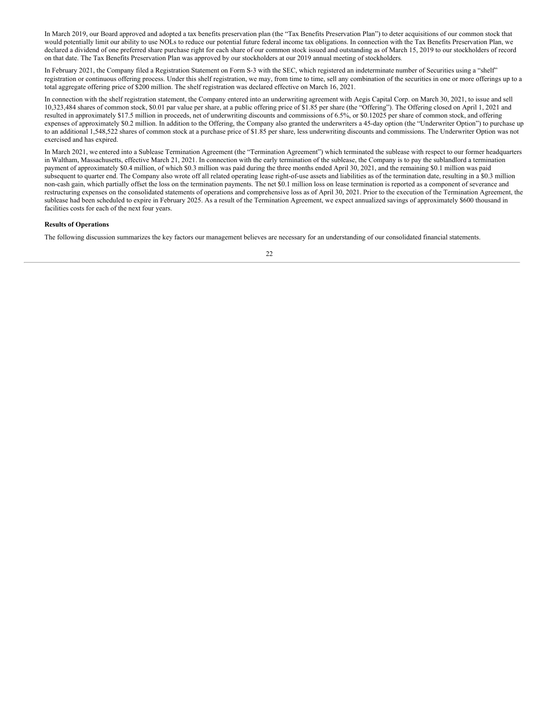In March 2019, our Board approved and adopted a tax benefits preservation plan (the "Tax Benefits Preservation Plan") to deter acquisitions of our common stock that would potentially limit our ability to use NOLs to reduce our potential future federal income tax obligations. In connection with the Tax Benefits Preservation Plan, we declared a dividend of one preferred share purchase right for each share of our common stock issued and outstanding as of March 15, 2019 to our stockholders of record on that date. The Tax Benefits Preservation Plan was approved by our stockholders at our 2019 annual meeting of stockholders.

In February 2021, the Company filed a Registration Statement on Form S-3 with the SEC, which registered an indeterminate number of Securities using a "shelf" registration or continuous offering process. Under this shelf registration, we may, from time to time, sell any combination of the securities in one or more offerings up to a total aggregate offering price of \$200 million. The shelf registration was declared effective on March 16, 2021.

In connection with the shelf registration statement, the Company entered into an underwriting agreement with Aegis Capital Corp. on March 30, 2021, to issue and sell 10,323,484 shares of common stock, \$0.01 par value per share, at a public offering price of \$1.85 per share (the "Offering"). The Offering closed on April 1, 2021 and resulted in approximately \$17.5 million in proceeds, net of underwriting discounts and commissions of 6.5%, or \$0.12025 per share of common stock, and offering expenses of approximately \$0.2 million. In addition to the Offering, the Company also granted the underwriters a 45-day option (the "Underwriter Option") to purchase up to an additional 1,548,522 shares of common stock at a purchase price of \$1.85 per share, less underwriting discounts and commissions. The Underwriter Option was not exercised and has expired.

In March 2021, we entered into a Sublease Termination Agreement (the "Termination Agreement") which terminated the sublease with respect to our former headquarters in Waltham, Massachusetts, effective March 21, 2021. In connection with the early termination of the sublease, the Company is to pay the sublandlord a termination payment of approximately \$0.4 million, of which \$0.3 million was paid during the three months ended April 30, 2021, and the remaining \$0.1 million was paid subsequent to quarter end. The Company also wrote off all related operating lease right-of-use assets and liabilities as of the termination date, resulting in a \$0.3 million non-cash gain, which partially offset the loss on the termination payments. The net \$0.1 million loss on lease termination is reported as a component of severance and restructuring expenses on the consolidated statements of operations and comprehensive loss as of April 30, 2021. Prior to the execution of the Termination Agreement, the sublease had been scheduled to expire in February 2025. As a result of the Termination Agreement, we expect annualized savings of approximately \$600 thousand in facilities costs for each of the next four years.

#### **Results of Operations**

The following discussion summarizes the key factors our management believes are necessary for an understanding of our consolidated financial statements.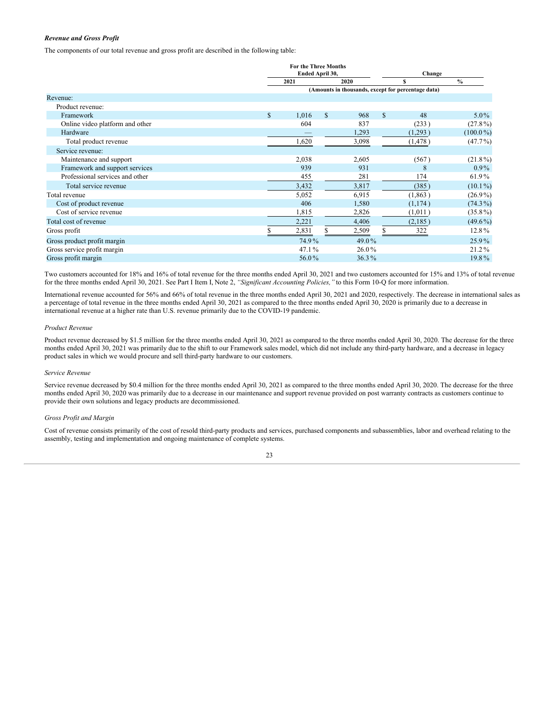#### *Revenue and Gross Profit*

The components of our total revenue and gross profit are described in the following table:

|                                 | <b>For the Three Months</b><br>Ended April 30,     |    |          |   | Change   |               |  |  |
|---------------------------------|----------------------------------------------------|----|----------|---|----------|---------------|--|--|
|                                 | 2021                                               |    | 2020     |   | S        | $\frac{0}{0}$ |  |  |
|                                 | (Amounts in thousands, except for percentage data) |    |          |   |          |               |  |  |
| Revenue:                        |                                                    |    |          |   |          |               |  |  |
| Product revenue:                |                                                    |    |          |   |          |               |  |  |
| Framework                       | \$<br>1,016                                        | \$ | 968      | S | 48       | $5.0\%$       |  |  |
| Online video platform and other | 604                                                |    | 837      |   | (233)    | $(27.8\%)$    |  |  |
| Hardware                        |                                                    |    | 1,293    |   | (1,293)  | $(100.0\%)$   |  |  |
| Total product revenue           | 1,620                                              |    | 3,098    |   | (1, 478) | $(47.7\%)$    |  |  |
| Service revenue:                |                                                    |    |          |   |          |               |  |  |
| Maintenance and support         | 2,038                                              |    | 2,605    |   | (567)    | $(21.8\%)$    |  |  |
| Framework and support services  | 939                                                |    | 931      |   | 8        | $0.9\%$       |  |  |
| Professional services and other | 455                                                |    | 281      |   | 174      | 61.9%         |  |  |
| Total service revenue           | 3,432                                              |    | 3,817    |   | (385)    | $(10.1\%)$    |  |  |
| Total revenue                   | 5,052                                              |    | 6,915    |   | (1, 863) | $(26.9\%)$    |  |  |
| Cost of product revenue         | 406                                                |    | 1,580    |   | (1,174)  | $(74.3\%)$    |  |  |
| Cost of service revenue         | 1,815                                              |    | 2,826    |   | (1,011)  | $(35.8\%)$    |  |  |
| Total cost of revenue           | 2,221                                              |    | 4,406    |   | (2,185)  | $(49.6\%)$    |  |  |
| Gross profit                    | 2,831                                              |    | 2,509    |   | 322      | 12.8%         |  |  |
| Gross product profit margin     | 74.9%                                              |    | 49.0%    |   |          | 25.9%         |  |  |
| Gross service profit margin     | 47.1%                                              |    | 26.0%    |   |          | $21.2\%$      |  |  |
| Gross profit margin             | 56.0%                                              |    | $36.3\%$ |   |          | 19.8%         |  |  |

Two customers accounted for 18% and 16% of total revenue for the three months ended April 30, 2021 and two customers accounted for 15% and 13% of total revenue for the three months ended April 30, 2021. See Part I Item I, Note 2, *"Significant Accounting Policies,"* to this Form 10-Q for more information.

International revenue accounted for 56% and 66% of total revenue in the three months ended April 30, 2021 and 2020, respectively. The decrease in international sales as a percentage of total revenue in the three months ended April 30, 2021 as compared to the three months ended April 30, 2020 is primarily due to a decrease in international revenue at a higher rate than U.S. revenue primarily due to the COVID-19 pandemic.

#### *Product Revenue*

Product revenue decreased by \$1.5 million for the three months ended April 30, 2021 as compared to the three months ended April 30, 2020. The decrease for the three months ended April 30, 2021 was primarily due to the shift to our Framework sales model, which did not include any third-party hardware, and a decrease in legacy product sales in which we would procure and sell third-party hardware to our customers.

#### *Service Revenue*

Service revenue decreased by \$0.4 million for the three months ended April 30, 2021 as compared to the three months ended April 30, 2020. The decrease for the three months ended April 30, 2020 was primarily due to a decrease in our maintenance and support revenue provided on post warranty contracts as customers continue to provide their own solutions and legacy products are decommissioned.

#### *Gross Profit and Margin*

Cost of revenue consists primarily of the cost of resold third-party products and services, purchased components and subassemblies, labor and overhead relating to the assembly, testing and implementation and ongoing maintenance of complete systems.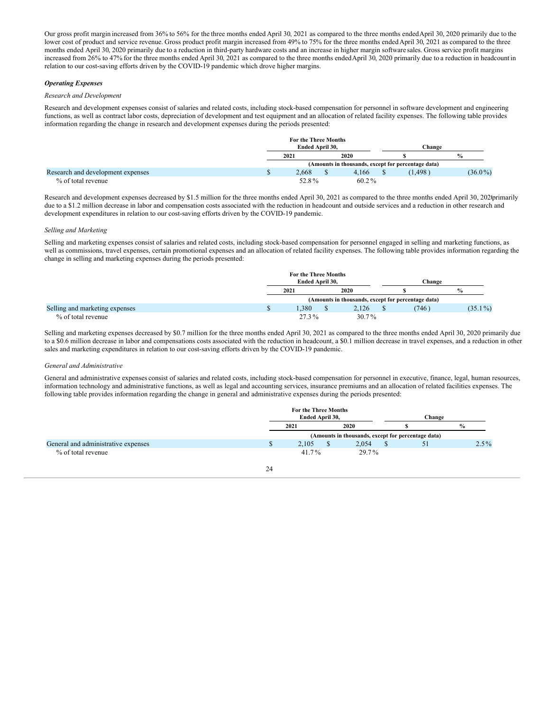Our gross profit margin increased from 36% to 56% for the three months ended April 30, 2021 as compared to the three months endedApril 30, 2020 primarily due to the lower cost of product and service revenue. Gross product profit margin increased from 49% to 75% for the three months ended April 30, 2021 as compared to the three months ended April 30, 2020 primarily due to a reduction in third-party hardware costs and an increase in higher margin software sales. Gross service profit margins increased from 26% to 47% for the three months ended April 30, 2021 as compared to the three months endedApril 30, 2020 primarily due to a reduction in headcount in relation to our cost-saving efforts driven by the COVID-19 pandemic which drove higher margins.

#### *Operating Expenses*

#### *Research and Development*

Research and development expenses consist of salaries and related costs, including stock-based compensation for personnel in software development and engineering functions, as well as contract labor costs, depreciation of development and test equipment and an allocation of related facility expenses. The following table provides information regarding the change in research and development expenses during the periods presented:

|                                   | For the Three Months<br>Ended April 30. |       | Change |                                                    |               |
|-----------------------------------|-----------------------------------------|-------|--------|----------------------------------------------------|---------------|
|                                   | 2021                                    | 2020  |        |                                                    | $\frac{0}{0}$ |
|                                   |                                         |       |        | (Amounts in thousands, except for percentage data) |               |
| Research and development expenses | 2.668                                   | 4.166 |        | (1.498)                                            | $(36.0\%)$    |
| % of total revenue                | 52.8%                                   | 60.2% |        |                                                    |               |

Research and development expenses decreased by \$1.5 million for the three months ended April 30, 2021 as compared to the three months ended April 30, 2020primarily due to a \$1.2 million decrease in labor and compensation costs associated with the reduction in headcount and outside services and a reduction in other research and development expenditures in relation to our cost-saving efforts driven by the COVID-19 pandemic.

#### *Selling and Marketing*

Selling and marketing expenses consist of salaries and related costs, including stock-based compensation for personnel engaged in selling and marketing functions, as well as commissions, travel expenses, certain promotional expenses and an allocation of related facility expenses. The following table provides information regarding the change in selling and marketing expenses during the periods presented:

|                                | For the Three Months<br>Ended April 30. |          | Change                                             |               |
|--------------------------------|-----------------------------------------|----------|----------------------------------------------------|---------------|
|                                | 2021                                    | 2020     |                                                    | $\frac{0}{6}$ |
|                                |                                         |          | (Amounts in thousands, except for percentage data) |               |
| Selling and marketing expenses | .380                                    | 2.126    | (746)                                              | $(35.1\%)$    |
| % of total revenue             | $27.3\%$                                | $30.7\%$ |                                                    |               |

Selling and marketing expenses decreased by \$0.7 million for the three months ended April 30, 2021 as compared to the three months ended April 30, 2020 primarily due to a \$0.6 million decrease in labor and compensations costs associated with the reduction in headcount, a \$0.1 million decrease in travel expenses, and a reduction in other sales and marketing expenditures in relation to our cost-saving efforts driven by the COVID-19 pandemic.

#### *General and Administrative*

General and administrative expenses consist of salaries and related costs, including stock-based compensation for personnel in executive, finance, legal, human resources, information technology and administrative functions, as well as legal and accounting services, insurance premiums and an allocation of related facilities expenses. The following table provides information regarding the change in general and administrative expenses during the periods presented:

|                                     | For the Three Months<br>Ended April 30, |  |       |  | Change                                             |               |  |
|-------------------------------------|-----------------------------------------|--|-------|--|----------------------------------------------------|---------------|--|
|                                     | 2021                                    |  | 2020  |  |                                                    | $\frac{0}{0}$ |  |
|                                     |                                         |  |       |  | (Amounts in thousands, except for percentage data) |               |  |
| General and administrative expenses | 2,105                                   |  | 2.054 |  | 51                                                 | $2.5\%$       |  |
| % of total revenue                  | $41.7\%$                                |  | 29.7% |  |                                                    |               |  |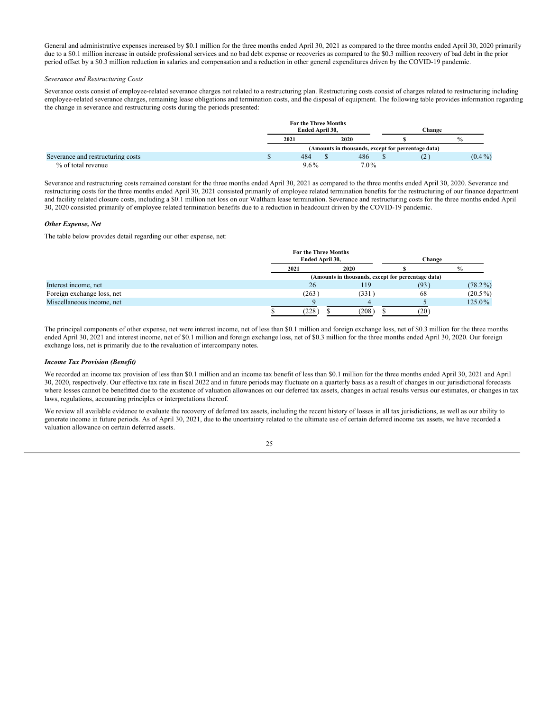General and administrative expenses increased by \$0.1 million for the three months ended April 30, 2021 as compared to the three months ended April 30, 2020 primarily due to a \$0.1 million increase in outside professional services and no bad debt expense or recoveries as compared to the \$0.3 million recovery of bad debt in the prior period offset by a \$0.3 million reduction in salaries and compensation and a reduction in other general expenditures driven by the COVID-19 pandemic.

#### *Severance and Restructuring Costs*

Severance costs consist of employee-related severance charges not related to a restructuring plan. Restructuring costs consist of charges related to restructuring including employee-related severance charges, remaining lease obligations and termination costs, and the disposal of equipment. The following table provides information regarding the change in severance and restructuring costs during the periods presented:

|                                   |      | <b>For the Three Months</b><br>Ended April 30. |         | Change                                             |               |
|-----------------------------------|------|------------------------------------------------|---------|----------------------------------------------------|---------------|
|                                   | 2021 |                                                | 2020    |                                                    | $\frac{0}{0}$ |
|                                   |      |                                                |         | (Amounts in thousands, except for percentage data) |               |
| Severance and restructuring costs | ٠п   | 484                                            | 486     | (2)                                                | $(0.4\%)$     |
| % of total revenue                |      | $9.6\%$                                        | $7.0\%$ |                                                    |               |

Severance and restructuring costs remained constant for the three months ended April 30, 2021 as compared to the three months ended April 30, 2020. Severance and restructuring costs for the three months ended April 30, 2021 consisted primarily of employee related termination benefits for the restructuring of our finance department and facility related closure costs, including a \$0.1 million net loss on our Waltham lease termination. Severance and restructuring costs for the three months ended April 30, 2020 consisted primarily of employee related termination benefits due to a reduction in headcount driven by the COVID-19 pandemic.

#### *Other Expense, Net*

The table below provides detail regarding our other expense, net:

|                            |       | <b>For the Three Months</b>                        |        |            |  |
|----------------------------|-------|----------------------------------------------------|--------|------------|--|
|                            |       | Ended April 30,                                    | Change |            |  |
|                            | 2021  | 2020                                               |        | $\%$       |  |
|                            |       | (Amounts in thousands, except for percentage data) |        |            |  |
| Interest income, net       | 26    | 119                                                | (93)   | $(78.2\%)$ |  |
| Foreign exchange loss, net | (263) | (331)                                              | 68     | $(20.5\%)$ |  |
| Miscellaneous income, net  |       |                                                    |        | 125.0%     |  |
|                            | (228) | (208)                                              | (20)   |            |  |

The principal components of other expense, net were interest income, net of less than \$0.1 million and foreign exchange loss, net of \$0.3 million for the three months ended April 30, 2021 and interest income, net of \$0.1 million and foreign exchange loss, net of \$0.3 million for the three months ended April 30, 2020. Our foreign exchange loss, net is primarily due to the revaluation of intercompany notes.

#### *Income Tax Provision (Benefit)*

We recorded an income tax provision of less than \$0.1 million and an income tax benefit of less than \$0.1 million for the three months ended April 30, 2021 and April 30, 2020, respectively. Our effective tax rate in fiscal 2022 and in future periods may fluctuate on a quarterly basis as a result of changes in our jurisdictional forecasts where losses cannot be benefitted due to the existence of valuation allowances on our deferred tax assets, changes in actual results versus our estimates, or changes in tax laws, regulations, accounting principles or interpretations thereof.

We review all available evidence to evaluate the recovery of deferred tax assets, including the recent history of losses in all tax jurisdictions, as well as our ability to generate income in future periods. As of April 30, 2021, due to the uncertainty related to the ultimate use of certain deferred income tax assets, we have recorded a valuation allowance on certain deferred assets.

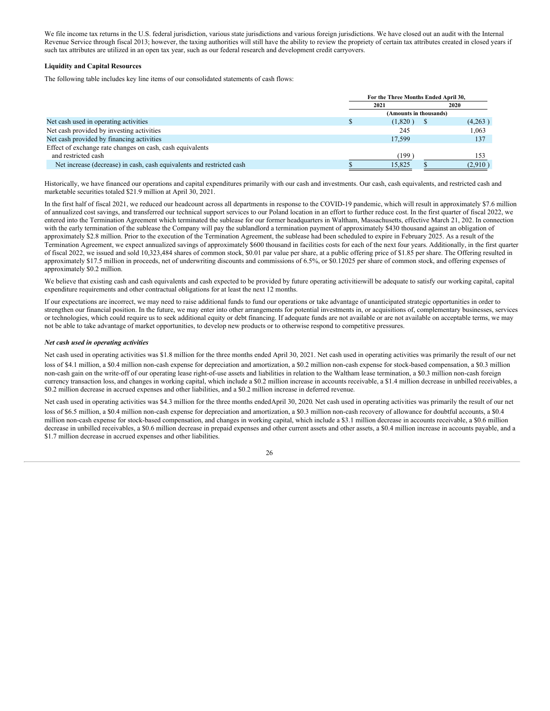We file income tax returns in the U.S. federal jurisdiction, various state jurisdictions and various foreign jurisdictions. We have closed out an audit with the Internal Revenue Service through fiscal 2013; however, the taxing authorities will still have the ability to review the propriety of certain tax attributes created in closed years if such tax attributes are utilized in an open tax year, such as our federal research and development credit carryovers.

#### **Liquidity and Capital Resources**

The following table includes key line items of our consolidated statements of cash flows:

|                                                                       | For the Three Months Ended April 30, |      |         |  |
|-----------------------------------------------------------------------|--------------------------------------|------|---------|--|
|                                                                       | 2021                                 | 2020 |         |  |
|                                                                       | (Amounts in thousands)               |      |         |  |
| Net cash used in operating activities                                 | (1,820)                              |      | (4,263) |  |
| Net cash provided by investing activities                             | 245                                  |      | 1.063   |  |
| Net cash provided by financing activities                             | 17.599                               |      | 137     |  |
| Effect of exchange rate changes on cash, cash equivalents             |                                      |      |         |  |
| and restricted cash                                                   | (199                                 |      | 153     |  |
| Net increase (decrease) in cash, cash equivalents and restricted cash | 15,825                               |      | (2,910) |  |

Historically, we have financed our operations and capital expenditures primarily with our cash and investments. Our cash, cash equivalents, and restricted cash and marketable securities totaled \$21.9 million at April 30, 2021.

In the first half of fiscal 2021, we reduced our headcount across all departments in response to the COVID-19 pandemic, which will result in approximately \$7.6 million of annualized cost savings, and transferred our technical support services to our Poland location in an effort to further reduce cost. In the first quarter of fiscal 2022, we entered into the Termination Agreement which terminated the sublease for our former headquarters in Waltham, Massachusetts, effective March 21, 202. In connection with the early termination of the sublease the Company will pay the sublandlord a termination payment of approximately \$430 thousand against an obligation of approximately \$2.8 million. Prior to the execution of the Termination Agreement, the sublease had been scheduled to expire in February 2025. As a result of the Termination Agreement, we expect annualized savings of approximately \$600 thousand in facilities costs for each of the next four years. Additionally, in the first quarter of fiscal 2022, we issued and sold 10,323,484 shares of common stock, \$0.01 par value per share, at a public offering price of \$1.85 per share. The Offering resulted in approximately \$17.5 million in proceeds, net of underwriting discounts and commissions of 6.5%, or \$0.12025 per share of common stock, and offering expenses of approximately \$0.2 million.

We believe that existing cash and cash equivalents and cash expected to be provided by future operating activitieswill be adequate to satisfy our working capital, capital expenditure requirements and other contractual obligations for at least the next 12 months.

If our expectations are incorrect, we may need to raise additional funds to fund our operations or take advantage of unanticipated strategic opportunities in order to strengthen our financial position. In the future, we may enter into other arrangements for potential investments in, or acquisitions of, complementary businesses, services or technologies, which could require us to seek additional equity or debt financing. If adequate funds are not available or are not available on acceptable terms, we may not be able to take advantage of market opportunities, to develop new products or to otherwise respond to competitive pressures.

#### *Net cash used in operating activities*

Net cash used in operating activities was \$1.8 million for the three months ended April 30, 2021. Net cash used in operating activities was primarily the result of our net loss of \$4.1 million, a \$0.4 million non-cash expense for depreciation and amortization, a \$0.2 million non-cash expense for stock-based compensation, a \$0.3 million non-cash gain on the write-off of our operating lease right-of-use assets and liabilities in relation to the Waltham lease termination, a \$0.3 million non-cash foreign currency transaction loss, and changes in working capital, which include a \$0.2 million increase in accounts receivable, a \$1.4 million decrease in unbilled receivables, a \$0.2 million decrease in accrued expenses and other liabilities, and a \$0.2 million increase in deferred revenue.

Net cash used in operating activities was \$4.3 million for the three months endedApril 30, 2020. Net cash used in operating activities was primarily the result of our net loss of \$6.5 million, a \$0.4 million non-cash expense for depreciation and amortization, a \$0.3 million non-cash recovery of allowance for doubtful accounts, a \$0.4 million non-cash expense for stock-based compensation, and changes in working capital, which include a \$3.1 million decrease in accounts receivable, a \$0.6 million decrease in unbilled receivables, a \$0.6 million decrease in prepaid expenses and other current assets and other assets, a \$0.4 million increase in accounts payable, and a \$1.7 million decrease in accrued expenses and other liabilities.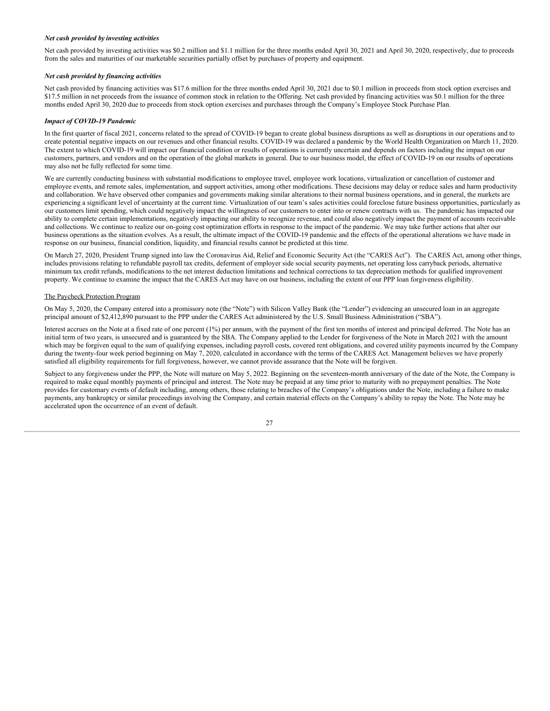#### *Net cash provided by investing activities*

Net cash provided by investing activities was \$0.2 million and \$1.1 million for the three months ended April 30, 2021 and April 30, 2020, respectively, due to proceeds from the sales and maturities of our marketable securities partially offset by purchases of property and equipment.

#### *Net cash provided by financing activities*

Net cash provided by financing activities was \$17.6 million for the three months ended April 30, 2021 due to \$0.1 million in proceeds from stock option exercises and \$17.5 million in net proceeds from the issuance of common stock in relation to the Offering. Net cash provided by financing activities was \$0.1 million for the three months ended April 30, 2020 due to proceeds from stock option exercises and purchases through the Company's Employee Stock Purchase Plan.

#### *Impact of COVID-19 Pandemic*

In the first quarter of fiscal 2021, concerns related to the spread of COVID-19 began to create global business disruptions as well as disruptions in our operations and to create potential negative impacts on our revenues and other financial results. COVID-19 was declared a pandemic by the World Health Organization on March 11, 2020. The extent to which COVID-19 will impact our financial condition or results of operations is currently uncertain and depends on factors including the impact on our customers, partners, and vendors and on the operation of the global markets in general. Due to our business model, the effect of COVID-19 on our results of operations may also not be fully reflected for some time.

We are currently conducting business with substantial modifications to employee travel, employee work locations, virtualization or cancellation of customer and employee events, and remote sales, implementation, and support activities, among other modifications. These decisions may delay or reduce sales and harm productivity and collaboration. We have observed other companies and governments making similar alterations to their normal business operations, and in general, the markets are experiencing a significant level of uncertainty at the current time. Virtualization of our team's sales activities could foreclose future business opportunities, particularly as our customers limit spending, which could negatively impact the willingness of our customers to enter into or renew contracts with us. The pandemic has impacted our ability to complete certain implementations, negatively impacting our ability to recognize revenue, and could also negatively impact the payment of accounts receivable and collections. We continue to realize our on-going cost optimization efforts in response to the impact of the pandemic. We may take further actions that alter our business operations as the situation evolves. As a result, the ultimate impact of the COVID-19 pandemic and the effects of the operational alterations we have made in response on our business, financial condition, liquidity, and financial results cannot be predicted at this time.

On March 27, 2020, President Trump signed into law the Coronavirus Aid, Relief and Economic Security Act (the "CARES Act"). The CARES Act, among other things, includes provisions relating to refundable payroll tax credits, deferment of employer side social security payments, net operating loss carryback periods, alternative minimum tax credit refunds, modifications to the net interest deduction limitations and technical corrections to tax depreciation methods for qualified improvement property. We continue to examine the impact that the CARES Act may have on our business, including the extent of our PPP loan forgiveness eligibility.

#### The Paycheck Protection Program

On May 5, 2020, the Company entered into a promissory note (the "Note") with Silicon Valley Bank (the "Lender") evidencing an unsecured loan in an aggregate principal amount of \$2,412,890 pursuant to the PPP under the CARES Act administered by the U.S. Small Business Administration ("SBA").

Interest accrues on the Note at a fixed rate of one percent (1%) per annum, with the payment of the first ten months of interest and principal deferred. The Note has an initial term of two years, is unsecured and is guaranteed by the SBA. The Company applied to the Lender for forgiveness of the Note in March 2021 with the amount which may be forgiven equal to the sum of qualifying expenses, including payroll costs, covered rent obligations, and covered utility payments incurred by the Company during the twenty-four week period beginning on May 7, 2020, calculated in accordance with the terms of the CARES Act. Management believes we have properly satisfied all eligibility requirements for full forgiveness, however, we cannot provide assurance that the Note will be forgiven.

Subject to any forgiveness under the PPP, the Note will mature on May 5, 2022. Beginning on the seventeen-month anniversary of the date of the Note, the Company is required to make equal monthly payments of principal and interest. The Note may be prepaid at any time prior to maturity with no prepayment penalties. The Note provides for customary events of default including, among others, those relating to breaches of the Company's obligations under the Note, including a failure to make payments, any bankruptcy or similar proceedings involving the Company, and certain material effects on the Company's ability to repay the Note. The Note may be accelerated upon the occurrence of an event of default.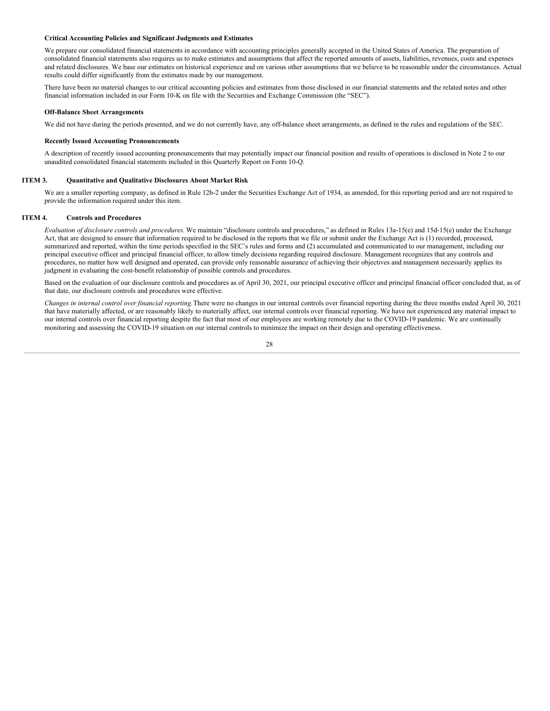#### **Critical Accounting Policies and Significant Judgments and Estimates**

We prepare our consolidated financial statements in accordance with accounting principles generally accepted in the United States of America. The preparation of consolidated financial statements also requires us to make estimates and assumptions that affect the reported amounts of assets, liabilities, revenues, costs and expenses and related disclosures. We base our estimates on historical experience and on various other assumptions that we believe to be reasonable under the circumstances. Actual results could differ significantly from the estimates made by our management.

There have been no material changes to our critical accounting policies and estimates from those disclosed in our financial statements and the related notes and other financial information included in our Form 10-K on file with the Securities and Exchange Commission (the "SEC").

#### **Off-Balance Sheet Arrangements**

We did not have during the periods presented, and we do not currently have, any off-balance sheet arrangements, as defined in the rules and regulations of the SEC.

#### **Recently Issued Accounting Pronouncements**

A description of recently issued accounting pronouncements that may potentially impact our financial position and results of operations is disclosed in Note 2 to our unaudited consolidated financial statements included in this Quarterly Report on Form 10-Q.

#### **ITEM 3. Quantitative and Qualitative Disclosures About Market Risk**

<span id="page-28-0"></span>We are a smaller reporting company, as defined in Rule 12b-2 under the Securities Exchange Act of 1934, as amended, for this reporting period and are not required to provide the information required under this item.

#### **ITEM 4. Controls and Procedures**

<span id="page-28-1"></span>*Evaluation of disclosure controls and procedures.* We maintain "disclosure controls and procedures," as defined in Rules 13a‑15(e) and 15d‑15(e) under the Exchange Act, that are designed to ensure that information required to be disclosed in the reports that we file or submit under the Exchange Act is (1) recorded, processed, summarized and reported, within the time periods specified in the SEC's rules and forms and (2) accumulated and communicated to our management, including our principal executive officer and principal financial officer, to allow timely decisions regarding required disclosure. Management recognizes that any controls and procedures, no matter how well designed and operated, can provide only reasonable assurance of achieving their objectives and management necessarily applies its judgment in evaluating the cost-benefit relationship of possible controls and procedures.

Based on the evaluation of our disclosure controls and procedures as of April 30, 2021, our principal executive officer and principal financial officer concluded that, as of that date, our disclosure controls and procedures were effective.

*Changes in internal control over financial reporting.*There were no changes in our internal controls over financial reporting during the three months ended April 30, 2021 that have materially affected, or are reasonably likely to materially affect, our internal controls over financial reporting. We have not experienced any material impact to our internal controls over financial reporting despite the fact that most of our employees are working remotely due to the COVID-19 pandemic. We are continually monitoring and assessing the COVID-19 situation on our internal controls to minimize the impact on their design and operating effectiveness.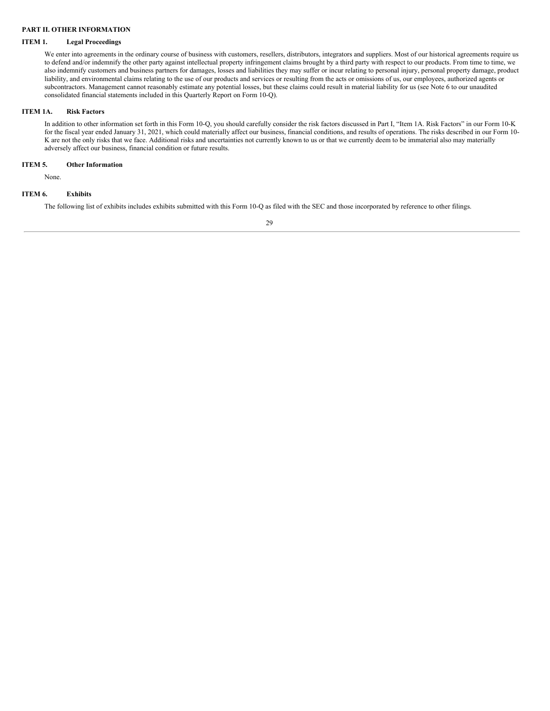## <span id="page-29-0"></span>**PART II. OTHER INFORMATION**

#### **ITEM 1. Legal Proceedings**

<span id="page-29-1"></span>We enter into agreements in the ordinary course of business with customers, resellers, distributors, integrators and suppliers. Most of our historical agreements require us to defend and/or indemnify the other party against intellectual property infringement claims brought by a third party with respect to our products. From time to time, we also indemnify customers and business partners for damages, losses and liabilities they may suffer or incur relating to personal injury, personal property damage, product liability, and environmental claims relating to the use of our products and services or resulting from the acts or omissions of us, our employees, authorized agents or subcontractors. Management cannot reasonably estimate any potential losses, but these claims could result in material liability for us (see Note 6 to our unaudited consolidated financial statements included in this Quarterly Report on Form 10-Q).

#### **ITEM 1A. Risk Factors**

<span id="page-29-2"></span>In addition to other information set forth in this Form 10-Q, you should carefully consider the risk factors discussed in Part I, "Item 1A. Risk Factors" in our Form 10-K for the fiscal year ended January 31, 2021, which could materially affect our business, financial conditions, and results of operations. The risks described in our Form 10- K are not the only risks that we face. Additional risks and uncertainties not currently known to us or that we currently deem to be immaterial also may materially adversely affect our business, financial condition or future results.

#### **ITEM 5. Other Information**

<span id="page-29-3"></span>None.

#### **ITEM 6. Exhibits**

<span id="page-29-4"></span>The following list of exhibits includes exhibits submitted with this Form 10-Q as filed with the SEC and those incorporated by reference to other filings.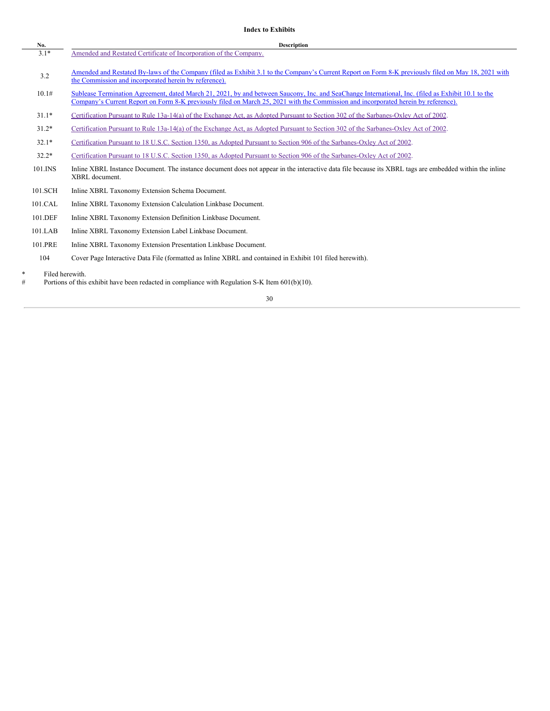## **Index to Exhibits**

| No.                    | <b>Description</b>                                                                                                                                                                                                                                                                       |
|------------------------|------------------------------------------------------------------------------------------------------------------------------------------------------------------------------------------------------------------------------------------------------------------------------------------|
| $3.1*$                 | Amended and Restated Certificate of Incorporation of the Company.                                                                                                                                                                                                                        |
| 3.2                    | Amended and Restated By-laws of the Company (filed as Exhibit 3.1 to the Company's Current Report on Form 8-K previously filed on May 18, 2021 with<br>the Commission and incorporated herein by reference).                                                                             |
| 10.1#                  | Sublease Termination Agreement, dated March 21, 2021, by and between Saucony, Inc. and SeaChange International, Inc. (filed as Exhibit 10.1 to the<br>Company's Current Report on Form 8-K previously filed on March 25, 2021 with the Commission and incorporated herein by reference). |
| $31.1*$                | Certification Pursuant to Rule 13a-14(a) of the Exchange Act, as Adopted Pursuant to Section 302 of the Sarbanes-Oxley Act of 2002.                                                                                                                                                      |
| $31.2*$                | Certification Pursuant to Rule 13a-14(a) of the Exchange Act, as Adopted Pursuant to Section 302 of the Sarbanes-Oxley Act of 2002.                                                                                                                                                      |
| $32.1*$                | Certification Pursuant to 18 U.S.C. Section 1350, as Adopted Pursuant to Section 906 of the Sarbanes-Oxley Act of 2002.                                                                                                                                                                  |
| $32.2*$                | Certification Pursuant to 18 U.S.C. Section 1350, as Adopted Pursuant to Section 906 of the Sarbanes-Oxley Act of 2002.                                                                                                                                                                  |
| 101.INS                | Inline XBRL Instance Document. The instance document does not appear in the interactive data file because its XBRL tags are embedded within the inline<br>XBRL document.                                                                                                                 |
| 101.SCH                | Inline XBRL Taxonomy Extension Schema Document.                                                                                                                                                                                                                                          |
| 101.CAL                | Inline XBRL Taxonomy Extension Calculation Linkbase Document.                                                                                                                                                                                                                            |
| 101.DEF                | Inline XBRL Taxonomy Extension Definition Linkbase Document.                                                                                                                                                                                                                             |
| 101.LAB                | Inline XBRL Taxonomy Extension Label Linkbase Document.                                                                                                                                                                                                                                  |
| 101.PRE                | Inline XBRL Taxonomy Extension Presentation Linkbase Document.                                                                                                                                                                                                                           |
| 104                    | Cover Page Interactive Data File (formatted as Inline XBRL and contained in Exhibit 101 filed herewith).                                                                                                                                                                                 |
| $*$<br>Filed herewith. |                                                                                                                                                                                                                                                                                          |

# Portions of this exhibit have been redacted in compliance with Regulation S-K Item 601(b)(10).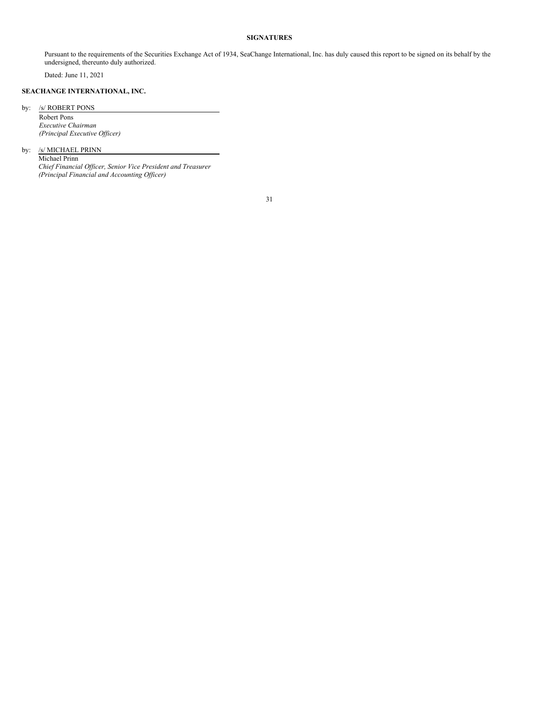#### **SIGNATURES**

<span id="page-31-0"></span>Pursuant to the requirements of the Securities Exchange Act of 1934, SeaChange International, Inc. has duly caused this report to be signed on its behalf by the undersigned, thereunto duly authorized.

Dated: June 11, 2021

## **SEACHANGE INTERNATIONAL, INC.**

## by: /s/ ROBERT PONS

Robert Pons *Executive Chairman (Principal Executive Of icer)*

## by: /s/ MICHAEL PRINN

Michael Prinn *Chief Financial Of icer, Senior Vice President and Treasurer (Principal Financial and Accounting Of icer)*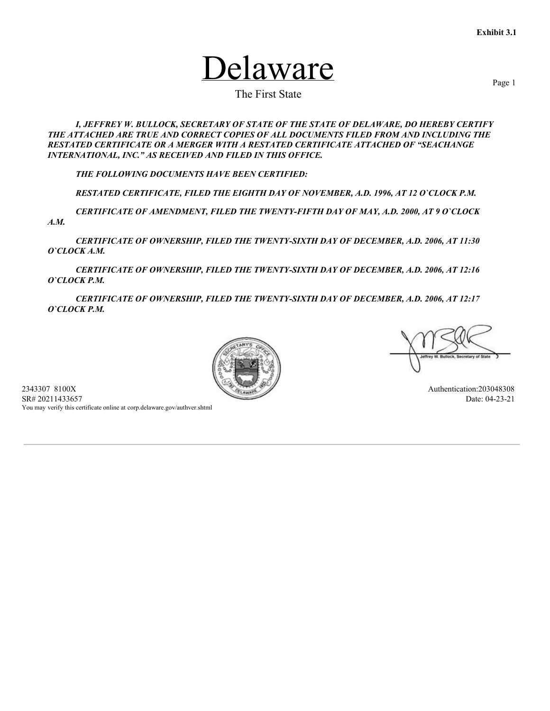

The First State

*I, JEFFREY W. BULLOCK, SECRETARY OF STATE OF THE STATE OF DELAWARE, DO HEREBY CERTIFY THE ATTACHED ARE TRUE AND CORRECT COPIES OF ALL DOCUMENTS FILED FROM AND INCLUDING THE RESTATED CERTIFICATE OR A MERGER WITH A RESTATED CERTIFICATE ATTACHED OF "SEACHANGE INTERNATIONAL, INC." AS RECEIVED AND FILED IN THIS OFFICE.*

*THE FOLLOWING DOCUMENTS HAVE BEEN CERTIFIED:*

*RESTATED CERTIFICATE, FILED THE EIGHTH DAY OF NOVEMBER, A.D. 1996, AT 12 O`CLOCK P.M.*

*CERTIFICATE OF AMENDMENT, FILED THE TWENTY-FIFTH DAY OF MAY, A.D. 2000, AT 9 O`CLOCK A.M.*

*CERTIFICATE OF OWNERSHIP, FILED THE TWENTY-SIXTH DAY OF DECEMBER, A.D. 2006, AT 11:30 O`CLOCK A.M.*

*CERTIFICATE OF OWNERSHIP, FILED THE TWENTY-SIXTH DAY OF DECEMBER, A.D. 2006, AT 12:16 O`CLOCK P.M.*

*CERTIFICATE OF OWNERSHIP, FILED THE TWENTY-SIXTH DAY OF DECEMBER, A.D. 2006, AT 12:17 O`CLOCK P.M.*



2343307 8100X Authentication:203048308 SR# 20211433657 Date: 04-23-21 You may verify this certificate online at corp.delaware.gov/authver.shtml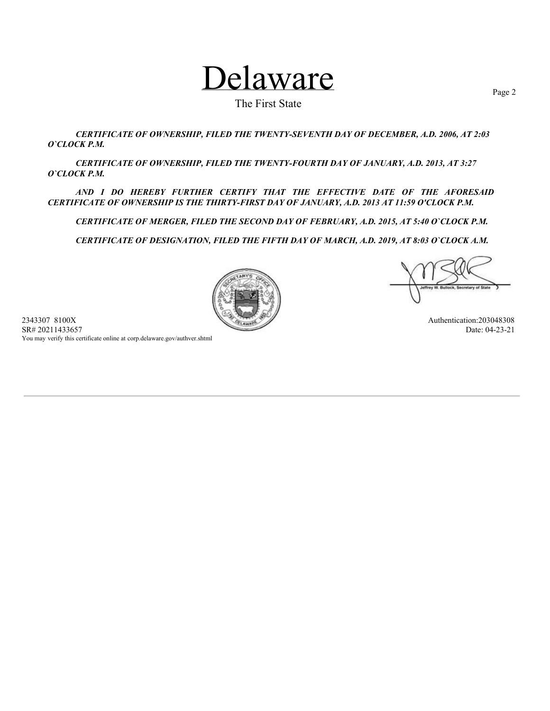# Delaware

The First State

*CERTIFICATE OF OWNERSHIP, FILED THE TWENTY-SEVENTH DAY OF DECEMBER, A.D. 2006, AT 2:03 O`CLOCK P.M.*

*CERTIFICATE OF OWNERSHIP, FILED THE TWENTY-FOURTH DAY OF JANUARY, A.D. 2013, AT 3:27 O`CLOCK P.M.*

*AND I DO HEREBY FURTHER CERTIFY THAT THE EFFECTIVE DATE OF THE AFORESAID CERTIFICATE OF OWNERSHIP IS THE THIRTY-FIRST DAY OF JANUARY, A.D. 2013 AT 11:59 O'CLOCK P.M.*

*CERTIFICATE OF MERGER, FILED THE SECOND DAY OF FEBRUARY, A.D. 2015, AT 5:40 O`CLOCK P.M.*

*CERTIFICATE OF DESIGNATION, FILED THE FIFTH DAY OF MARCH, A.D. 2019, AT 8:03 O`CLOCK A.M.*



2343307 8100X Authentication:203048308 SR# 20211433657 Date: 04-23-21 You may verify this certificate online at corp.delaware.gov/authver.shtml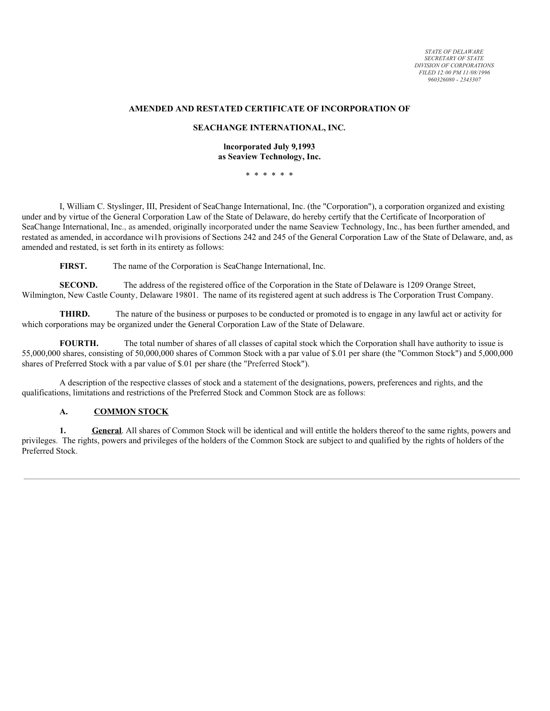*STATE OF DELAWARE SECRETARY OF STATE DIVISION OF CORPORATIONS FILED 12:00 PM 11/08/1996 960326080* - *2343307*

## **AMENDED AND RESTATED CERTIFICATE OF INCORPORATION OF**

## **SEACHANGE INTERNATIONAL, INC.**

## **lncorporated July 9***,***1993 as Seaview Technology, Inc.**

\* \* \* \* \* \*

I, William C. Styslinger, III, President of SeaChange International, Inc. (the "Corporation"), a corporation organized and existing under and by virtue of the General Corporation Law of the State of Delaware, do hereby certify that the Certificate of Incorporation of SeaChange International, Inc., as amended, originally incorporated under the name Seaview Technology, Inc., has been further amended, and restated as amended, in accordance wi1h provisions of Sections 242 and 245 of the General Corporation Law of the State of Delaware, and, as amended and restated, is set forth in its entirety as follows:

**FIRST.** The name of the Corporation is SeaChange International, Inc.

**SECOND.** The address of the registered office of the Corporation in the State of Delaware is 1209 Orange Street, Wilmington, New Castle County, Delaware 19801. The name of its registered agent at such address is The Corporation Trust Company.

**THIRD.** The nature of the business or purposes to be conducted or promoted is to engage in any lawful act or activity for which corporations may be organized under the General Corporation Law of the State of Delaware.

**FOURTH.** The total number of shares of all classes of capital stock which the Corporation shall have authority to issue is 55,000,000 shares, consisting of 50,000,000 shares of Common Stock with a par value of \$.01 per share (the "Common Stock") and 5,000,000 shares of Preferred Stock with a par value of \$.01 per share (the "Preferred Stock").

A description of the respective classes of stock and a statement of the designations, powers, preferences and rights, and the qualifications, limitations and restrictions of the Preferred Stock and Common Stock are as follows:

## **A. COMMON STOCK**

**1. General**. All shares of Common Stock will be identical and will entitle the holders thereof to the same rights, powers and privileges. The rights, powers and privileges of the holders of the Common Stock are subject to and qualified by the rights of holders of the Preferred Stock.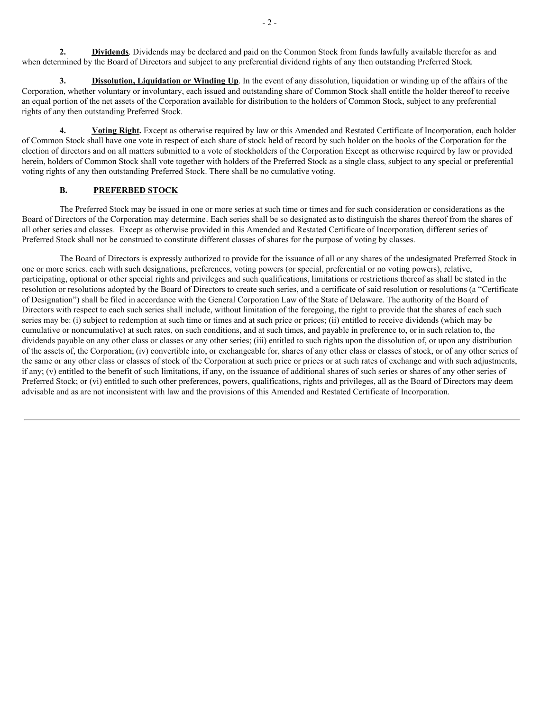**2. Dividends**. Dividends may be declared and paid on the Common Stock from funds lawfully available therefor as and when determined by the Board of Directors and subject to any preferential dividend rights of any then outstanding Preferred Stock.

**3. Dissolution, Liquidation or Winding Up**. In the event of any dissolution, liquidation or winding up of the affairs of the Corporation, whether voluntary or involuntary, each issued and outstanding share of Common Stock shall entitle the holder thereof to receive an equal portion of the net assets of the Corporation available for distribution to the holders of Common Stock, subject to any preferential rights of any then outstanding Preferred Stock.

**4. Voting Right.** Except as otherwise required by law or this Amended and Restated Certificate of Incorporation, each holder of Common Stock shall have one vote in respect of each share of stock held of record by such holder on the books of the Corporation for the election of directors and on all matters submitted to a vote of stockholders of the Corporation Except as otherwise required by law or provided herein, holders of Common Stock shall vote together with holders of the Preferred Stock as a single class, subject to any special or preferential voting rights of any then outstanding Preferred Stock. There shall be no cumulative voting.

## **B. PREFERBED STOCK**

The Preferred Stock may be issued in one or more series at such time or times and for such consideration or considerations as the Board of Directors of the Corporation may determine. Each series shall be so designated asto distinguish the shares thereof from the shares of all other series and classes. Except as otherwise provided in this Amended and Restated Certificate of Incorporation, different series of Preferred Stock shall not be construed to constitute different classes of shares for the purpose of voting by classes.

The Board of Directors is expressly authorized to provide for the issuance of all or any shares of the undesignated Preferred Stock in one or more series. each with such designations, preferences, voting powers (or special, preferential or no voting powers), relative, participating, optional or other special rights and privileges and such qualifications, limitations or restrictions thereof as shall be stated in the resolution or resolutions adopted by the Board of Directors to create such series, and a certificate of said resolution or resolutions (a "Certificate of Designation") shall be filed in accordance with the General Corporation Law of the State of Delaware. The authority of the Board of Directors with respect to each such series shall include, without limitation of the foregoing, the right to provide that the shares of each such series may be: (i) subject to redemption at such time or times and at such price or prices; (ii) entitled to receive dividends (which may be cumulative or noncumulative) at such rates, on such conditions, and at such times, and payable in preference to, or in such relation to, the dividends payable on any other class or classes or any other series; (iii) entitled to such rights upon the dissolution of, or upon any distribution of the assets of, the Corporation; (iv) convertible into, or exchangeable for, shares of any other class or classes of stock, or of any other series of the same or any other class or classes of stock of the Corporation at such price or prices or at such rates of exchange and with such adjustments, if any; (v) entitled to the benefit of such limitations, if any, on the issuance of additional shares of such series or shares of any other series of Preferred Stock; or (vi) entitled to such other preferences, powers, qualifications, rights and privileges, all as the Board of Directors may deem advisable and as are not inconsistent with law and the provisions of this Amended and Restated Certificate of Incorporation.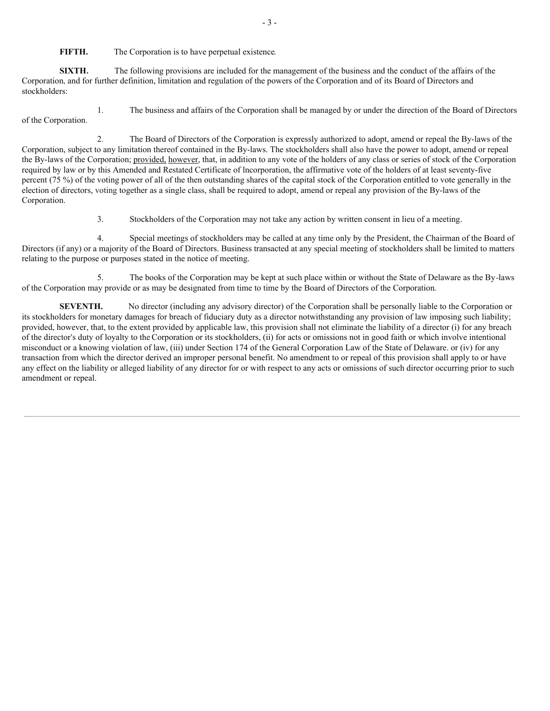FIFTH. The Corporation is to have perpetual existence.

**SIXTH.** The following provisions are included for the management of the business and the conduct of the affairs of the Corporation, and for further definition, limitation and regulation of the powers of the Corporation and of its Board of Directors and stockholders:

1. The business and affairs of the Corporation shall be managed by or under the direction of the Board of Directors of the Corporation.

2. The Board of Directors of the Corporation is expressly authorized to adopt, amend or repeal the By-laws of the Corporation, subject to any limitation thereof contained in the By-laws. The stockholders shall also have the power to adopt, amend or repeal the By-laws of the Corporation; provided, however, that, in addition to any vote of the holders of any class or series of stock of the Corporation required by law or by this Amended and Restated Certificate of lncorporation, the affirmative vote of the holders of at least seventy-five percent (75 %) of the voting power of all of the then outstanding shares of the capital stock of the Corporation entitled to vote generally in the election of directors, voting together as a single class, shall be required to adopt, amend or repeal any provision of the By-laws of the Corporation.

3. Stockholders of the Corporation may not take any action by written consent in lieu of a meeting.

4. Special meetings of stockholders may be called at any time only by the President, the Chairman of the Board of Directors (if any) or a majority of the Board of Directors. Business transacted at any special meeting of stockholders shall be limited to matters relating to the purpose or purposes stated in the notice of meeting.

5. The books of the Corporation may be kept at such place within or without the State of Delaware as the By-laws of the Corporation may provide or as may be designated from time to time by the Board of Directors of the Corporation.

**SEVENTH.** No director (including any advisory director) of the Corporation shall be personally liable to the Corporation or its stockholders for monetary damages for breach of fiduciary duty as a director notwithstanding any provision of law imposing such liability; provided, however, that, to the extent provided by applicable law, this provision shall not eliminate the liability of a director (i) for any breach of the director's duty of loyalty to the Corporation or its stockholders, (ii) for acts or omissions not in good faith or which involve intentional misconduct or a knowing violation of law, (iii) under Section 174 of the General Corporation Law of the State of Delaware. or (iv) for any transaction from which the director derived an improper personal benefit. No amendment to or repeal of this provision shall apply to or have any effect on the liability or alleged liability of any director for or with respect to any acts or omissions of such director occurring prior to such amendment or repeal.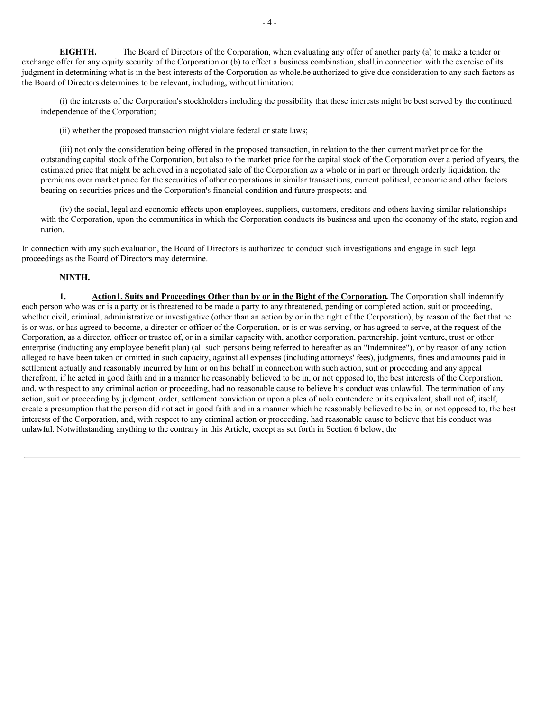**EIGHTH.** The Board of Directors of the Corporation, when evaluating any offer of another party (a) to make a tender or exchange offer for any equity security of the Corporation or (b) to effect a business combination, shall.in connection with the exercise of its judgment in determining what is in the best interests of the Corporation as whole.be authorized to give due consideration to any such factors as the Board of Directors determines to be relevant, including, without limitation:

(i) the interests of the Corporation's stockholders including the possibility that these interests might be best served by the continued independence of the Corporation;

(ii) whether the proposed transaction might violate federal or state laws;

(iii) not only the consideration being offered in the proposed transaction, in relation to the then current market price for the outstanding capital stock of the Corporation, but also to the market price for the capital stock of the Corporation over a period of years, the estimated price that might be achieved in a negotiated sale of the Corporation *as* a whole or in part or through orderly liquidation, the premiums over market price for the securities of other corporations in similar transactions, current political, economic and other factors bearing on securities prices and the Corporation's financial condition and future prospects; and

(iv) the social, legal and economic effects upon employees, suppliers, customers, creditors and others having similar relationships with the Corporation, upon the communities in which the Corporation conducts its business and upon the economy of the state, region and nation.

In connection with any such evaluation, the Board of Directors is authorized to conduct such investigations and engage in such legal proceedings as the Board of Directors may determine.

## **NINTH.**

**1. Action1, Suits and Proceedings Other than by or in the Bight of the Corporation.** The Corporation shall indemnify each person who was or is a party or is threatened to be made a party to any threatened, pending or completed action, suit or proceeding, whether civil, criminal, administrative or investigative (other than an action by or in the right of the Corporation), by reason of the fact that he is or was, or has agreed to become, a director or officer of the Corporation, or is or was serving, or has agreed to serve, at the request of the Corporation, as a director, officer or trustee of, or in a similar capacity with, another corporation, partnership, joint venture, trust or other enterprise (inducting any employee benefit plan) (all such persons being referred to hereafter as an "Indemnitee"), or by reason of any action alleged to have been taken or omitted in such capacity, against all expenses (including attorneys' fees), judgments, fines and amounts paid in settlement actually and reasonably incurred by him or on his behalf in connection with such action, suit or proceeding and any appeal therefrom, if he acted in good faith and in a manner he reasonably believed to be in, or not opposed to, the best interests of the Corporation, and, with respect to any criminal action or proceeding, had no reasonable cause to believe his conduct was unlawful. The termination of any action, suit or proceeding by judgment, order, settlement conviction or upon a plea of nolo contendere or its equivalent, shall not of, itself, create a presumption that the person did not act in good faith and in a manner which he reasonably believed to be in, or not opposed to, the best interests of the Corporation, and, with respect to any criminal action or proceeding, had reasonable cause to believe that his conduct was unlawful. Notwithstanding anything to the contrary in this Article, except as set forth in Section 6 below, the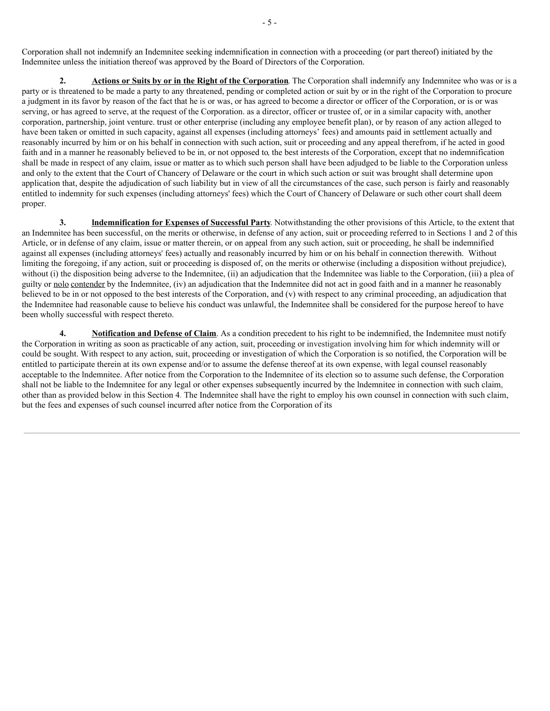Corporation shall not indemnify an Indemnitee seeking indemnification in connection with a proceeding (or part thereof) initiated by the Indemnitee unless the initiation thereof was approved by the Board of Directors of the Corporation.

**2. Actions or Suits by or in the Right of the Corporation**. The Corporation shall indemnify any Indemnitee who was or is a party or is threatened to be made a party to any threatened, pending or completed action or suit by or in the right of the Corporation to procure a judgment in its favor by reason of the fact that he is or was, or has agreed to become a director or officer of the Corporation, or is or was serving, or has agreed to serve, at the request of the Corporation. as a director, officer or trustee of, or in a similar capacity with, another corporation, partnership, joint venture. trust or other enterprise (including any employee benefit plan), or by reason of any action alleged to have been taken or omitted in such capacity, against all expenses (including attorneys' fees) and amounts paid in settlement actually and reasonably incurred by him or on his behalf in connection with such action, suit or proceeding and any appeal therefrom, if he acted in good faith and in a manner he reasonably believed to be in, or not opposed to, the best interests of the Corporation, except that no indemnification shall be made in respect of any claim, issue or matter as to which such person shall have been adjudged to be liable to the Corporation unless and only to the extent that the Court of Chancery of Delaware or the court in which such action or suit was brought shall determine upon application that, despite the adjudication of such liability but in view of all the circumstances of the case, such person is fairly and reasonably entitled to indemnity for such expenses (including attorneys' fees) which the Court of Chancery of Delaware or such other court shall deem proper.

**3. lndemnification for Expenses of Successful Party**. Notwithstanding the other provisions of this Article, to the extent that an Indemnitee has been successful, on the merits or otherwise, in defense of any action, suit or proceeding referred to in Sections 1 and 2 of this Article, or in defense of any claim, issue or matter therein, or on appeal from any such action, suit or proceeding, he shall be indemnified against all expenses (including attorneys' fees) actually and reasonably incurred by him or on his behalf in connection therewith. Without limiting the foregoing, if any action, suit or proceeding is disposed of, on the merits or otherwise (including a disposition without prejudice), without (i) the disposition being adverse to the Indemnitee, (ii) an adjudication that the Indemnitee was liable to the Corporation, (iii) a plea of guilty or nolo contender by the Indemnitee, (iv) an adjudication that the Indemnitee did not act in good faith and in a manner he reasonably believed to be in or not opposed to the best interests of the Corporation, and (v) with respect to any criminal proceeding, an adjudication that the Indemnitee had reasonable cause to believe his conduct was unlawful, the Indemnitee shall be considered for the purpose hereof to have been wholly successful with respect thereto.

**4. Notification and Defense of Claim**. As a condition precedent to his right to be indemnified, the Indemnitee must notify the Corporation in writing as soon as practicable of any action, suit, proceeding or investigation involving him for which indemnity will or could be sought. With respect to any action, suit, proceeding or investigation of which the Corporation is so notified, the Corporation will be entitled to participate therein at its own expense and/or to assume the defense thereof at its own expense, with legal counsel reasonably acceptable to the lndemnitee. After notice from the Corporation to the Indemnitee of its election so to assume such defense, the Corporation shall not be liable to the Indemnitee for any legal or other expenses subsequently incurred by the lndemnitee in connection with such claim, other than as provided below in this Section 4. The Indemnitee shall have the right to employ his own counsel in connection with such claim, but the fees and expenses of such counsel incurred after notice from the Corporation of its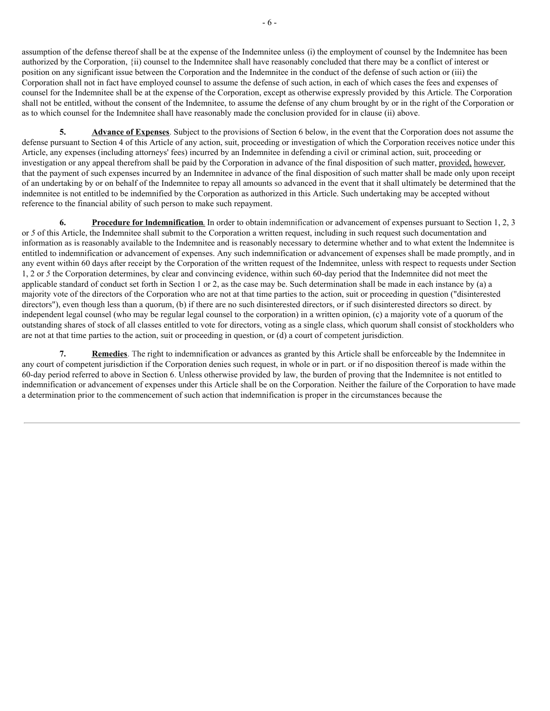assumption of the defense thereof shall be at the expense of the Indemnitee unless (i) the employment of counsel by the Indemnitee has been authorized by the Corporation, {ii) counsel to the Indemnitee shall have reasonably concluded that there may be a conflict of interest or position on any significant issue between the Corporation and the Indemnitee in the conduct of the defense of such action or (iii) the Corporation shall not in fact have employed counsel to assume the defense of such action, in each of which cases the fees and expenses of counsel for the Indemnitee shall be at the expense of the Corporation, except as otherwise expressly provided by this Article. The Corporation shall not be entitled, without the consent of the Indemnitee, to assume the defense of any chum brought by or in the right of the Corporation or as to which counsel for the Indemnitee shall have reasonably made the conclusion provided for in clause (ii) above.

**5. Advance of Expenses**. Subject to the provisions of Section 6 below, in the event that the Corporation does not assume the defense pursuant to Section 4 of this Article of any action, suit, proceeding or investigation of which the Corporation receives notice under this Article, any expenses (including attorneys' fees) incurred by an Indemnitee in defending a civil or criminal action, suit, proceeding or investigation or any appeal therefrom shall be paid by the Corporation in advance of the final disposition of such matter, provided, however, that the payment of such expenses incurred by an Indemnitee in advance of the final disposition of such matter shall be made only upon receipt of an undertaking by or on behalf of the Indemnitee to repay all amounts so advanced in the event that it shall ultimately be determined that the indemnitee is not entitled to be indemnified by the Corporation as authorized in this Article. Such undertaking may be accepted without reference to the financial ability of such person to make such repayment.

**6. Procedure for lndemnification**. In order to obtain indemnification or advancement of expenses pursuant to Section 1, 2, 3 or *5* of this Article, the Indemnitee shall submit to the Corporation a written request, including in such request such documentation and information as is reasonably available to the Indemnitee and is reasonably necessary to determine whether and to what extent the lndemnitee is entitled to indemnification or advancement of expenses. Any such indemnification or advancement of expenses shall be made promptly, and in any event within 60 days after receipt by the Corporation of the written request of the Indemnitee, unless with respect to requests under Section 1, 2 or *5* the Corporation determines, by clear and convincing evidence, within such 60-day period that the Indemnitee did not meet the applicable standard of conduct set forth in Section 1 or 2, as the case may be. Such determination shall be made in each instance by (a) a majority vote of the directors of the Corporation who are not at that time parties to the action, suit or proceeding in question ("disinterested directors"), even though less than a quorum, (b) if there are no such disinterested directors, or if such disinterested directors so direct. by independent legal counsel (who may be regular legal counsel to the corporation) in a written opinion, (c) a majority vote of a quorum of the outstanding shares of stock of all classes entitled to vote for directors, voting as a single class, which quorum shall consist of stockholders who are not at that time parties to the action, suit or proceeding in question, or (d) a court of competent jurisdiction.

**7. Remedies**. The right to indemnification or advances as granted by this Article shall be enforceable by the Indemnitee in any court of competent jurisdiction if the Corporation denies such request, in whole or in part. or if no disposition thereof is made within the 60-day period referred to above in Section 6. Unless otherwise provided by law, the burden of proving that the Indemnitee is not entitled to indemnification or advancement of expenses under this Article shall be on the Corporation. Neither the failure of the Corporation to have made a determination prior to the commencement of such action that indemnification is proper in the circumstances because the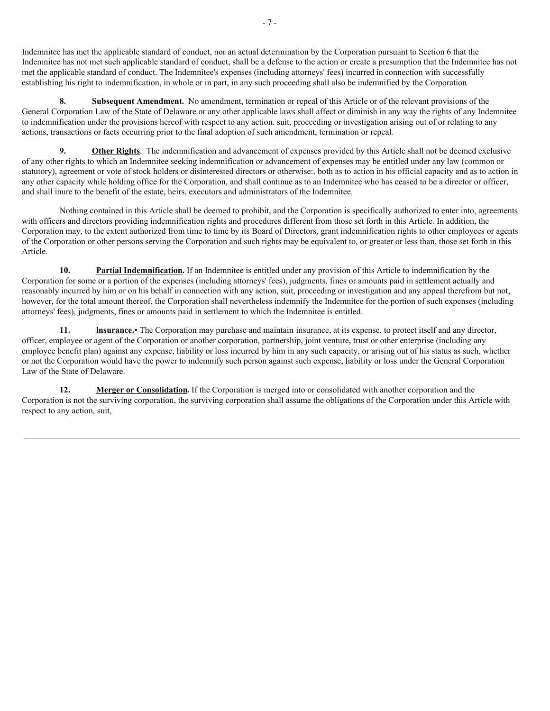Indemnitee has met the applicable standard of conduct, nor an actual determination by the Corporation pursuant to Section 6 that the Indemnitee has not met such applicable standard of conduct, shall be a defense to the action or create a presumption that the Indemnitee has not met the applicable standard of conduct. The Indemnitee's expenses (including attorneys' fees) incurred in connection with successfully establishing his right to indemnification, in whole or in part, in any such proceeding shall also be indemnified by the Corporation.

**8. Subsequent Amendment.** No amendment, termination or repeal of this Article or of the relevant provisions of the General Corporation Law of the State of Delaware or any other applicable laws shall affect or diminish in any way the rights of any Indemnitee to indemnification under the provisions hereof with respect to any action. suit, proceeding or investigation arising out of or relating to any actions, transactions or facts occurring prior to the final adoption of such amendment, termination or repeal.

**9. Other Rights**. The indemnification and advancement of expenses provided by this Article shall not be deemed exclusive of any other rights to which an Indemnitee seeking indemnification or advancement of expenses may be entitled under any law (common or statutory), agreement or vote of stock holders or disinterested directors or otherwise:, both as to action in his official capacity and as to action in any other capacity while holding office for the Corporation, and shall continue as to an Indemnitee who has ceased to be a director or officer, and shall inure to the benefit of the estate, heirs, executors and administrators of the Indemnitee.

Nothing contained in this Article shall be deemed to prohibit, and the Corporation is specifically authorized to enter into, agreements with officers and directors providing indemnification rights and procedures different from those set forth in this Article. In addition, the Corporation may, to the extent authorized from time to time by its Board of Directors, grant indemnification rights to other employees or agents of the Corporation or other persons serving the Corporation and such rights may be equivalent to, or greater or less than, those set forth in this Article.

**10. Partial Indemnification.** If an Indemnitee is entitled under any provision of this Article to indemnification by the Corporation for some or a portion of the expenses (including attorneys' fees), judgments, fines or amounts paid in settlement actually and reasonably incurred by him or on his behalf in connection with any action, suit, proceeding or investigation and any appeal therefrom but not, however, for the total amount thereof, the Corporation shall nevertheless indemnify the Indemnitee for the portion of such expenses (including attorneys' fees), judgments, fines or amounts paid in settlement to which the Indemnitee is entitled.

**11. lnsurance.**• The Corporation may purchase and maintain insurance, at its expense, to protect itself and any director, officer, employee or agent of the Corporation or another corporation, partnership, joint venture, trust or other enterprise (including any employee benefit plan) against any expense, liability or loss incurred by him in any such capacity, or arising out of his status as such, whether or not the Corporation would have the power to indemnify such person against such expense, liability or loss under the General Corporation Law of the State of Delaware.

**12. Merger or Consolidation.** If the Corporation is merged into or consolidated with another corporation and the Corporation is not the surviving corporation, the surviving corporation shall assume the obligations of the Corporation under this Article with respect to any action, suit,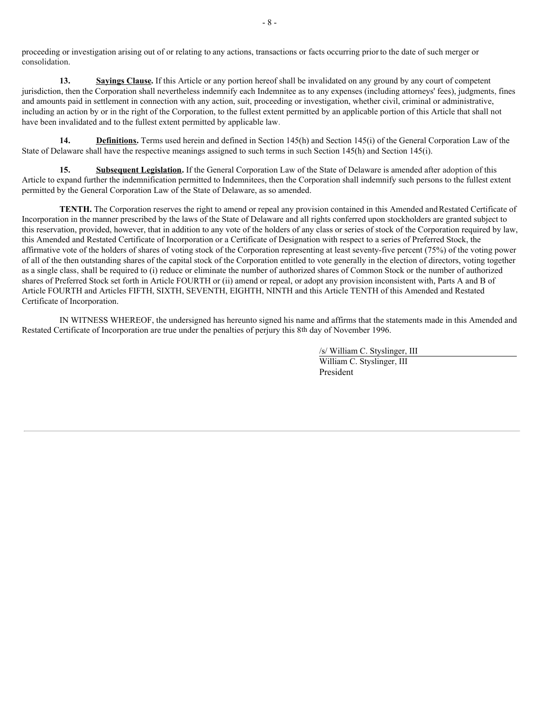proceeding or investigation arising out of or relating to any actions, transactions or facts occurring priorto the date of such merger or consolidation.

**13. Sayings Clause.** If this Article or any portion hereof shall be invalidated on any ground by any court of competent jurisdiction, then the Corporation shall nevertheless indemnify each Indemnitee as to any expenses (including attorneys' fees), judgments, fines and amounts paid in settlement in connection with any action, suit, proceeding or investigation, whether civil, criminal or administrative, including an action by or in the right of the Corporation, to the fullest extent permitted by an applicable portion of this Article that shall not have been invalidated and to the fullest extent permitted by applicable law.

**14. Definitions.** Terms used herein and defined in Section 145(h) and Section 145(i) of the General Corporation Law of the State of Delaware shall have the respective meanings assigned to such terms in such Section 145(h) and Section 145(i).

**15. Subsequent Legislation.** If the General Corporation Law of the State of Delaware is amended after adoption of this Article to expand further the indemnification permitted to Indemnitees, then the Corporation shall indemnify such persons to the fullest extent permitted by the General Corporation Law of the State of Delaware, as so amended.

**TENTH.** The Corporation reserves the right to amend or repeal any provision contained in this Amended andRestated Certificate of Incorporation in the manner prescribed by the laws of the State of Delaware and all rights conferred upon stockholders are granted subject to this reservation, provided, however, that in addition to any vote of the holders of any class or series of stock of the Corporation required by law, this Amended and Restated Certificate of Incorporation or a Certificate of Designation with respect to a series of Preferred Stock, the affirmative vote of the holders of shares of voting stock of the Corporation representing at least seventy-five percent (75%) of the voting power of all of the then outstanding shares of the capital stock of the Corporation entitled to vote generally in the election of directors, voting together as a single class, shall be required to (i) reduce or eliminate the number of authorized shares of Common Stock or the number of authorized shares of Preferred Stock set forth in Article FOURTH or (ii) amend or repeal, or adopt any provision inconsistent with, Parts A and B of Article FOURTH and Articles FIFTH, SIXTH, SEVENTH, EIGHTH, NINTH and this Article TENTH of this Amended and Restated Certificate of Incorporation.

IN WITNESS WHEREOF, the undersigned has hereunto signed his name and affirms that the statements made in this Amended and Restated Certificate of Incorporation are true under the penalties of perjury this 8th day of November 1996.

> /s/ William C. Styslinger, III William C. Styslinger, III President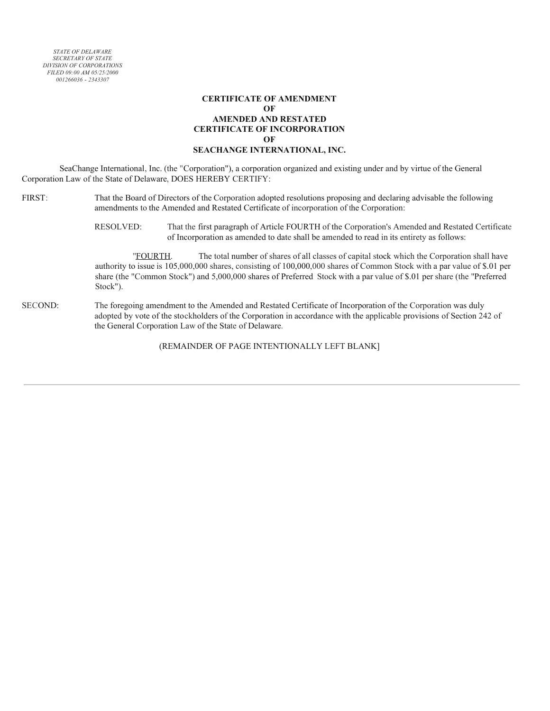*STATE OF DELAWARE SECRETARY OF STATE DIVISION OF CORPORATIONS FILED 09:00 AM 05/25/2000 001266036* - *2343307*

## **CERTIFICATE OF AMENDMENT OF AMENDED AND RESTATED CERTIFICATE OF INCORPORATION OF SEACHANGE INTERNATIONAL, INC.**

SeaChange International, Inc. (the "Corporation"), a corporation organized and existing under and by virtue of the General Corporation Law of the State of Delaware, DOES HEREBY CERTIFY:

FIRST: That the Board of Directors of the Corporation adopted resolutions proposing and declaring advisable the following amendments to the Amended and Restated Certificate of incorporation of the Corporation:

> RESOLVED: That the first paragraph of Article FOURTH of the Corporation's Amended and Restated Certificate of Incorporation as amended to date shall be amended to read in its entirety as follows:

> ''FOURTH. The total number of shares of all classes of capital stock which the Corporation shall have authority to issue is 105,000,000 shares, consisting of 100,000,000 shares of Common Stock with a par value of \$.01 per share (the "Common Stock") and 5,000,000 shares of Preferred Stock with a par value of \$.01 per share (the ''Preferred Stock").

SECOND: The foregoing amendment to the Amended and Restated Certificate of Incorporation of the Corporation was duly adopted by vote of the stockholders of the Corporation in accordance with the applicable provisions of Section 242 of the General Corporation Law of the State of Delaware.

(REMAINDER OF PAGE INTENTIONALLY LEFT BLANK]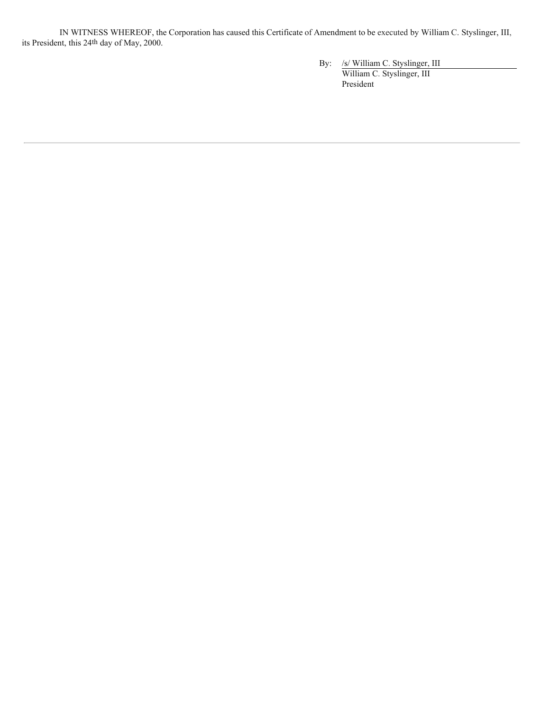IN WITNESS WHEREOF, the Corporation has caused this Certificate of Amendment to be executed by William C. Styslinger, III, its President, this 24th day of May, 2000.

By: /s/ William C. Styslinger, III

William C. Styslinger, III President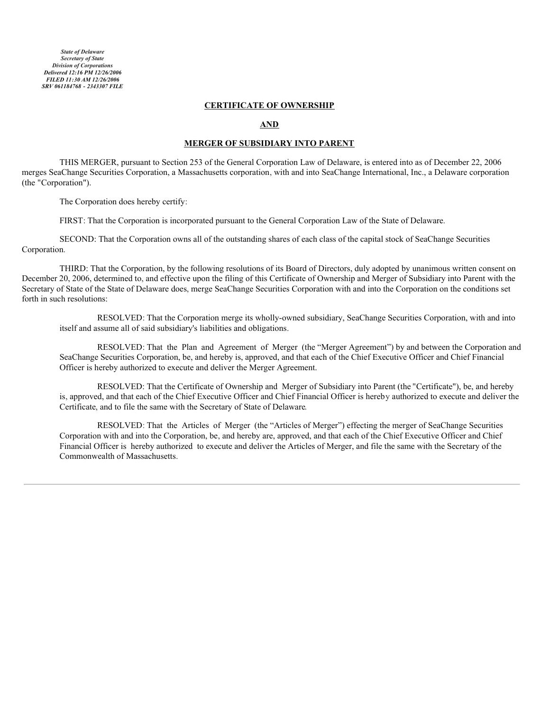*State of Delaware Secretary of State Division of Corporations Delivered 12:16 PM 12/26/2006 FILED 11:30 AM 12/26/2006 SRV 061184768* **-** *2343307 FILE*

## **CERTIFICATE OF OWNERSHIP**

## **AND**

## **MERGER OF SUBSIDIARY INTO PARENT**

THIS MERGER, pursuant to Section 253 of the General Corporation Law of Delaware, is entered into as of December 22, 2006 merges SeaChange Securities Corporation, a Massachusetts corporation, with and into SeaChange International, Inc., a Delaware corporation (the "Corporation").

The Corporation does hereby certify:

FIRST: That the Corporation is incorporated pursuant to the General Corporation Law of the State of Delaware.

SECOND: That the Corporation owns all of the outstanding shares of each class of the capital stock of SeaChange Securities Corporation.

THIRD: That the Corporation, by the following resolutions of its Board of Directors, duly adopted by unanimous written consent on December 20, 2006, determined to, and effective upon the filing of this Certificate of Ownership and Merger of Subsidiary into Parent with the Secretary of State of the State of Delaware does, merge SeaChange Securities Corporation with and into the Corporation on the conditions set forth in such resolutions:

RESOLVED: That the Corporation merge its wholly-owned subsidiary, SeaChange Securities Corporation, with and into itself and assume all of said subsidiary's liabilities and obligations.

RESOLVED: That the Plan and Agreement of Merger (the "Merger Agreement") by and between the Corporation and SeaChange Securities Corporation, be, and hereby is, approved, and that each of the Chief Executive Officer and Chief Financial Officer is hereby authorized to execute and deliver the Merger Agreement.

RESOLVED: That the Certificate of Ownership and Merger of Subsidiary into Parent (the "Certificate"), be, and hereby is, approved, and that each of the Chief Executive Officer and Chief Financial Officer is hereby authorized to execute and deliver the Certificate, and to file the same with the Secretary of State of Delaware.

RESOLVED: That the Articles of Merger (the "Articles of Merger") effecting the merger of SeaChange Securities Corporation with and into the Corporation, be, and hereby are, approved, and that each of the Chief Executive Officer and Chief Financial Officer is hereby authorized to execute and deliver the Articles of Merger, and file the same with the Secretary of the Commonwealth of Massachusetts.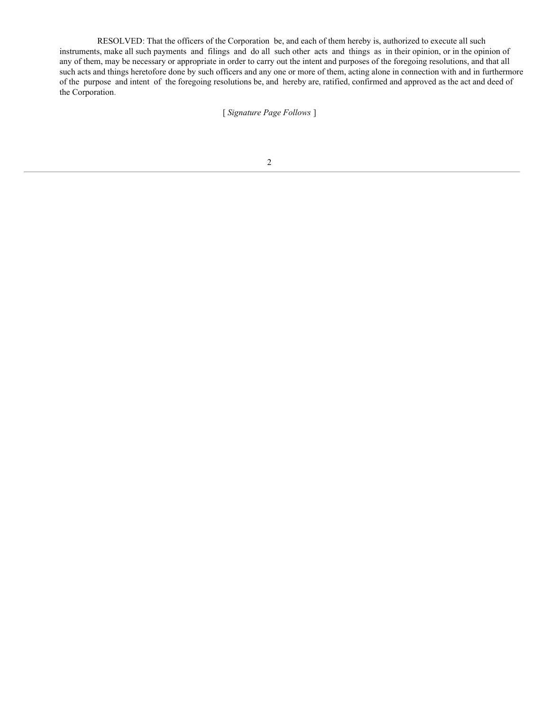RESOLVED: That the officers of the Corporation be, and each of them hereby is, authorized to execute all such instruments, make all such payments and filings and do all such other acts and things as in their opinion, or in the opinion of any of them, may be necessary or appropriate in order to carry out the intent and purposes of the foregoing resolutions, and that all such acts and things heretofore done by such officers and any one or more of them, acting alone in connection with and in furthermore of the purpose and intent of the foregoing resolutions be, and hereby are, ratified, confirmed and approved as the act and deed of the Corporation.

[ *Signature Page Follows* ]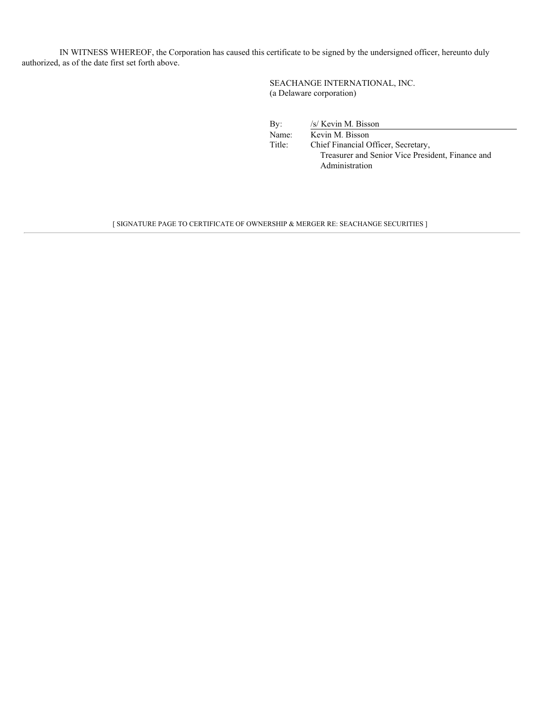IN WITNESS WHEREOF, the Corporation has caused this certificate to be signed by the undersigned officer, hereunto duly authorized, as of the date first set forth above.

> SEACHANGE INTERNATIONAL, INC. (a Delaware corporation)

By: /s/ Kevin M. Bisson Name: Kevin M. Bisson Title: Chief Financial Officer, Secretary, Treasurer and Senior Vice President, Finance and Administration

[ SIGNATURE PAGE TO CERTIFICATE OF OWNERSHIP & MERGER RE: SEACHANGE SECURITIES ]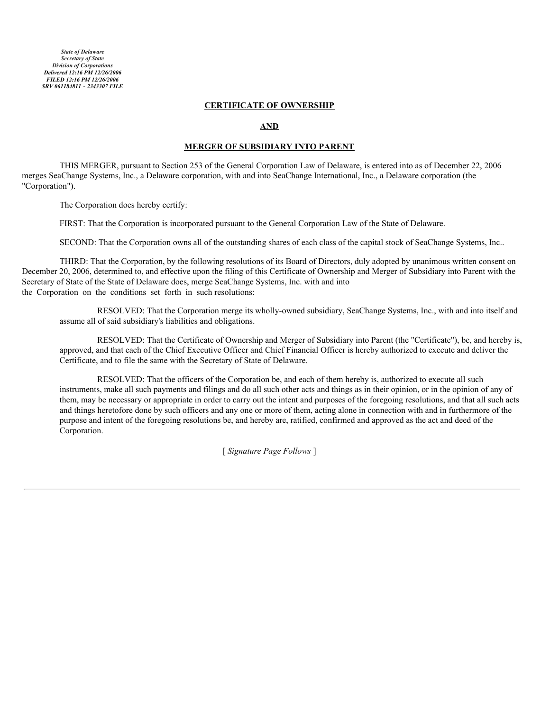<span id="page-47-0"></span>*State of Delaware Secretary of State Division of Corporations Delivered 12:16 PM 12/26/2006 FILED 12:16 PM 12/26/2006 SRV 061184811* **-** *2343307 FILE*

## **CERTIFICATE OF OWNERSHIP**

## **AND**

## **MERGER OF SUBSIDIARY INTO PARENT**

THIS MERGER, pursuant to Section 253 of the General Corporation Law of Delaware, is entered into as of December 22, 2006 merges SeaChange Systems, Inc., a Delaware corporation, with and into SeaChange International, Inc., a Delaware corporation (the "Corporation").

The Corporation does hereby certify:

FIRST: That the Corporation is incorporated pursuant to the General Corporation Law of the State of Delaware.

SECOND: That the Corporation owns all of the outstanding shares of each class of the capital stock of SeaChange Systems, Inc..

THIRD: That the Corporation, by the following resolutions of its Board of Directors, duly adopted by unanimous written consent on December 20, 2006, determined to, and effective upon the filing of this Certificate of Ownership and Merger of Subsidiary into Parent with the Secretary of State of the State of Delaware does, merge SeaChange Systems, Inc. with and into the Corporation on the conditions set forth in such resolutions:

RESOLVED: That the Corporation merge its wholly-owned subsidiary, SeaChange Systems, Inc., with and into itself and assume all of said subsidiary's liabilities and obligations.

RESOLVED: That the Certificate of Ownership and Merger of Subsidiary into Parent (the "Certificate"), be, and hereby is, approved, and that each of the Chief Executive Officer and Chief Financial Officer is hereby authorized to execute and deliver the Certificate, and to file the same with the Secretary of State of Delaware.

RESOLVED: That the officers of the Corporation be, and each of them hereby is, authorized to execute all such instruments, make all such payments and filings and do all such other acts and things as in their opinion, or in the opinion of any of them, may be necessary or appropriate in order to carry out the intent and purposes of the foregoing resolutions, and that all such acts and things heretofore done by such officers and any one or more of them, acting alone in connection with and in furthermore of the purpose and intent of the foregoing resolutions be, and hereby are, ratified, confirmed and approved as the act and deed of the Corporation.

[ *Signature Page Follows* ]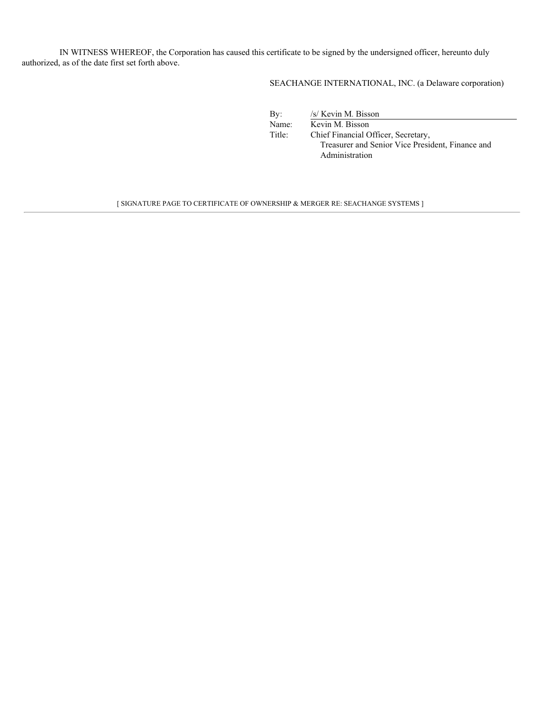IN WITNESS WHEREOF, the Corporation has caused this certificate to be signed by the undersigned officer, hereunto duly authorized, as of the date first set forth above.

## SEACHANGE INTERNATIONAL, INC. (a Delaware corporation)

| By:    | /s/ Kevin M. Bisson                              |
|--------|--------------------------------------------------|
| Name:  | Kevin M. Bisson                                  |
| Title: | Chief Financial Officer, Secretary,              |
|        | Treasurer and Senior Vice President, Finance and |
|        | Administration                                   |

[ SIGNATURE PAGE TO CERTIFICATE OF OWNERSHIP & MERGER RE: SEACHANGE SYSTEMS ]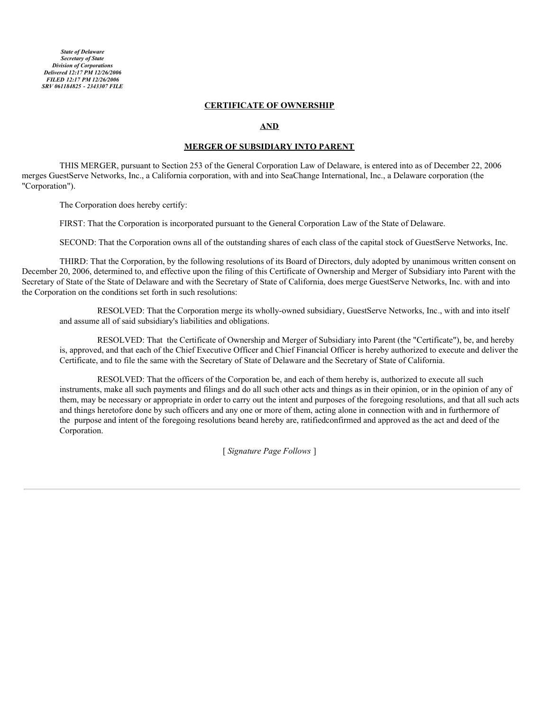*State of Delaware Secretary of State Division of Corporations Delivered 12:17 PM 12/26/2006 FILED 12:17 PM 12/26/2006 SRV 061184825* **-** *2343307 FILE*

## **CERTIFICATE OF OWNERSHIP**

## **AND**

## **MERGER OF SUBSIDIARY INTO PARENT**

THIS MERGER, pursuant to Section 253 of the General Corporation Law of Delaware, is entered into as of December 22, 2006 merges GuestServe Networks, Inc., a California corporation, with and into SeaChange International, Inc., a Delaware corporation (the "Corporation").

The Corporation does hereby certify:

FIRST: That the Corporation is incorporated pursuant to the General Corporation Law of the State of Delaware.

SECOND: That the Corporation owns all of the outstanding shares of each class of the capital stock of GuestServe Networks, Inc.

THIRD: That the Corporation, by the following resolutions of its Board of Directors, duly adopted by unanimous written consent on December 20, 2006, determined to, and effective upon the filing of this Certificate of Ownership and Merger of Subsidiary into Parent with the Secretary of State of the State of Delaware and with the Secretary of State of California, does merge GuestServe Networks, Inc. with and into the Corporation on the conditions set forth in such resolutions:

RESOLVED: That the Corporation merge its wholly-owned subsidiary, GuestServe Networks, Inc., with and into itself and assume all of said subsidiary's liabilities and obligations.

RESOLVED: That the Certificate of Ownership and Merger of Subsidiary into Parent (the "Certificate"), be, and hereby is, approved, and that each of the Chief Executive Officer and Chief Financial Officer is hereby authorized to execute and deliver the Certificate, and to file the same with the Secretary of State of Delaware and the Secretary of State of California.

RESOLVED: That the officers of the Corporation be, and each of them hereby is, authorized to execute all such instruments, make all such payments and filings and do all such other acts and things as in their opinion, or in the opinion of any of them, may be necessary or appropriate in order to carry out the intent and purposes of the foregoing resolutions, and that all such acts and things heretofore done by such officers and any one or more of them, acting alone in connection with and in furthermore of the purpose and intent of the foregoing resolutions beand hereby are, ratifiedconfirmed and approved as the act and deed of the Corporation.

[ *Signature Page Follows* ]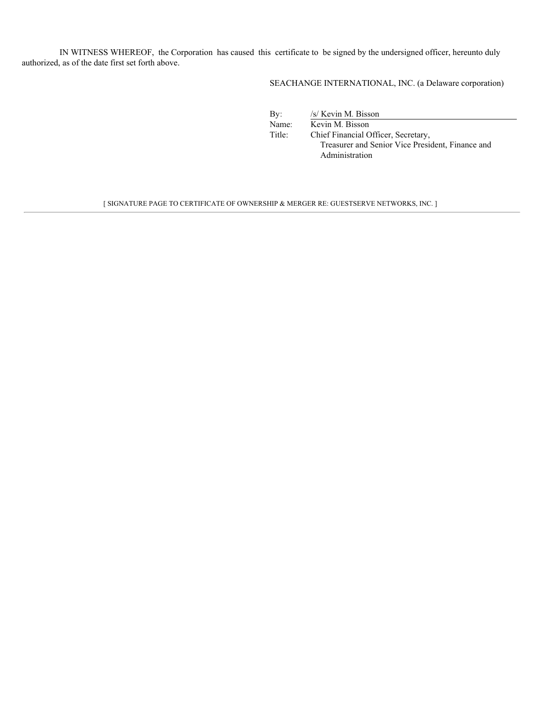IN WITNESS WHEREOF, the Corporation has caused this certificate to be signed by the undersigned officer, hereunto duly authorized, as of the date first set forth above.

## SEACHANGE INTERNATIONAL, INC. (a Delaware corporation)

| $\rm\,By:$ | /s/ Kevin M. Bisson                              |
|------------|--------------------------------------------------|
| Name:      | Kevin M. Bisson                                  |
| Title:     | Chief Financial Officer, Secretary,              |
|            | Treasurer and Senior Vice President, Finance and |
|            | Administration                                   |

[ SIGNATURE PAGE TO CERTIFICATE OF OWNERSHIP & MERGER RE: GUESTSERVE NETWORKS, INC. ]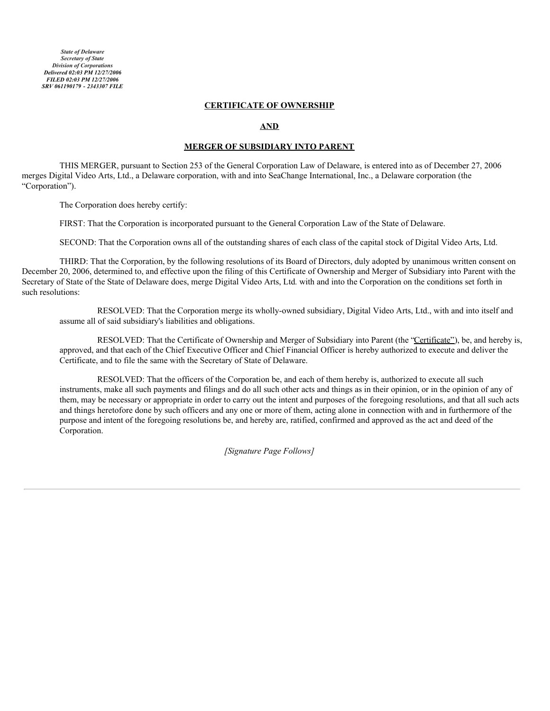*State of Delaware Secretary of State Division of Corporations Delivered 02:03 PM 12/27/2006 FILED 02:03 PM 12/27/2006 SRV 061190179* **-** *2343307 FILE*

## **CERTIFICATE OF OWNERSHIP**

## **AND**

## **MERGER OF SUBSIDIARY INTO PARENT**

THIS MERGER, pursuant to Section 253 of the General Corporation Law of Delaware, is entered into as of December 27, 2006 merges Digital Video Arts, Ltd., a Delaware corporation, with and into SeaChange International, Inc., a Delaware corporation (the "Corporation").

The Corporation does hereby certify:

FIRST: That the Corporation is incorporated pursuant to the General Corporation Law of the State of Delaware.

SECOND: That the Corporation owns all of the outstanding shares of each class of the capital stock of Digital Video Arts, Ltd.

THIRD: That the Corporation, by the following resolutions of its Board of Directors, duly adopted by unanimous written consent on December 20, 2006, determined to, and effective upon the filing of this Certificate of Ownership and Merger of Subsidiary into Parent with the Secretary of State of the State of Delaware does, merge Digital Video Arts, Ltd. with and into the Corporation on the conditions set forth in such resolutions:

RESOLVED: That the Corporation merge its wholly-owned subsidiary, Digital Video Arts, Ltd., with and into itself and assume all of said subsidiary's liabilities and obligations.

RESOLVED: That the Certificate of Ownership and Merger of Subsidiary into Parent (the "Certificate"), be, and hereby is, approved, and that each of the Chief Executive Officer and Chief Financial Officer is hereby authorized to execute and deliver the Certificate, and to file the same with the Secretary of State of Delaware.

RESOLVED: That the officers of the Corporation be, and each of them hereby is, authorized to execute all such instruments, make all such payments and filings and do all such other acts and things as in their opinion, or in the opinion of any of them, may be necessary or appropriate in order to carry out the intent and purposes of the foregoing resolutions, and that all such acts and things heretofore done by such officers and any one or more of them, acting alone in connection with and in furthermore of the purpose and intent of the foregoing resolutions be, and hereby are, ratified, confirmed and approved as the act and deed of the Corporation.

*[Signature Page Follows]*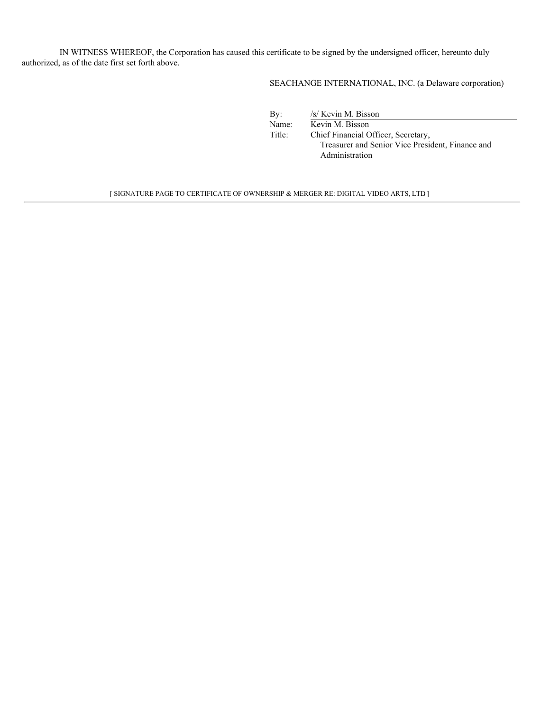IN WITNESS WHEREOF, the Corporation has caused this certificate to be signed by the undersigned officer, hereunto duly authorized, as of the date first set forth above.

## SEACHANGE INTERNATIONAL, INC. (a Delaware corporation)

| $\rm\,By:$ | /s/ Kevin M. Bisson                              |
|------------|--------------------------------------------------|
| Name:      | Kevin M. Bisson                                  |
| Title:     | Chief Financial Officer, Secretary,              |
|            | Treasurer and Senior Vice President, Finance and |
|            | Administration                                   |

[ SIGNATURE PAGE TO CERTIFICATE OF OWNERSHIP & MERGER RE: DIGITAL VIDEO ARTS, LTD ]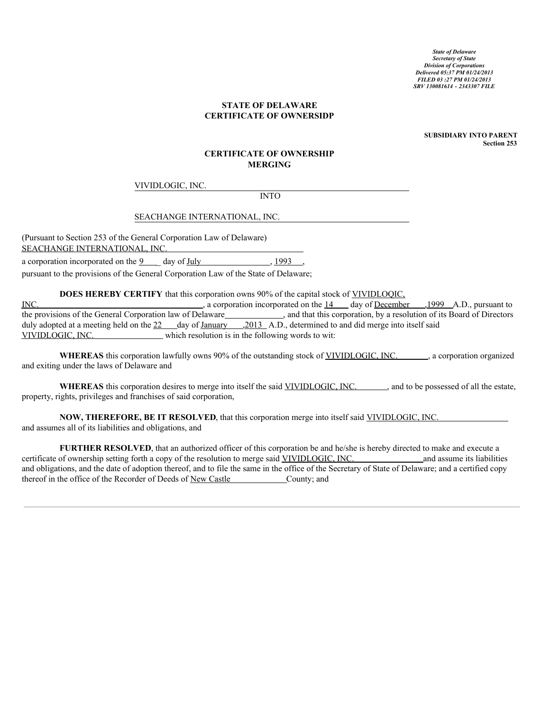*State of Delaware Secretary of State Division of Corporations Delivered 05:37 PM 01/24/2013 FILED 03 :27 PM 01/24/2013 SRV 130081614* **-** *2343307 FILE*

## **STATE OF DELAWARE CERTIFICATE OF OWNERSIDP**

**SUBSIDIARY INTO PARENT Section 253**

## **CERTIFICATE OF OWNERSHIP MERGING**

VIVIDLOGIC, INC.

INTO

## SEACHANGE INTERNATIONAL, INC.

(Pursuant to Section 253 of the General Corporation Law of Delaware) SEACHANGE INTERNATIONAL, INC.

a corporation incorporated on the  $9 \qquad$  day of July , 1993, 1993

pursuant to the provisions of the General Corporation Law of the State of Delaware;

**DOES HEREBY CERTIFY** that this corporation owns 90% of the capital stock of VIVIDLOQIC,

INC. A corporation incorporated on the 14 day of December 1999 A.D., pursuant to the provisions of the General Corporation law of Delaware , and that this corporation, by a resolution of its Board of Directors duly adopted at a meeting held on the 22 day of January , 2013 A.D., determined to and did merge into itself said VIVIDLOGIC, INC. which resolution is in the following words to wit:

**WHEREAS** this corporation lawfully owns 90% of the outstanding stock of VIVIDLOGIC, INC. , a corporation organized and exiting under the laws of Delaware and

**WHEREAS** this corporation desires to merge into itself the said VIVIDLOGIC, INC. , and to be possessed of all the estate, property, rights, privileges and franchises of said corporation,

**NOW, THEREFORE, BE IT RESOLVED**, that this corporation merge into itself said VIVIDLOGIC, INC.

and assumes all of its liabilities and obligations, and

**FURTHER RESOLVED**, that an authorized officer of this corporation be and he/she is hereby directed to make and execute a certificate of ownership setting forth a copy of the resolution to merge said VIVIDLOGIC, INC. and assume its liabilities and obligations, and the date of adoption thereof, and to file the same in the office of the Secretary of State of Delaware; and a certified copy thereof in the office of the Recorder of Deeds of New Castle County; and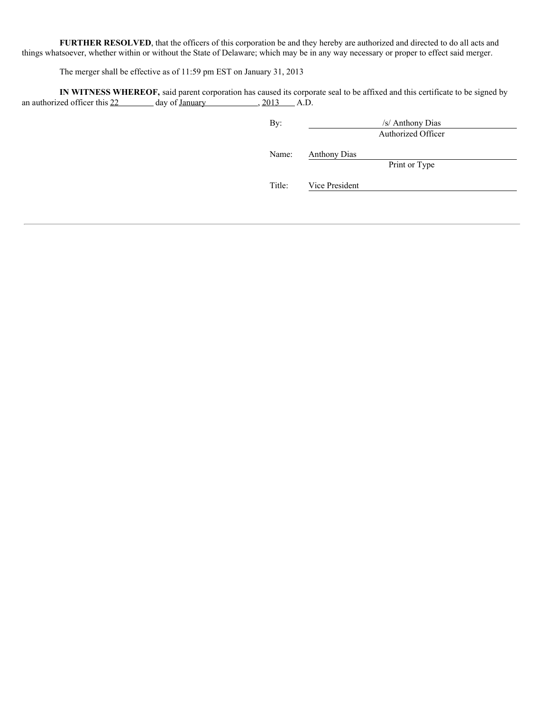**FURTHER RESOLVED**, that the officers of this corporation be and they hereby are authorized and directed to do all acts and things whatsoever, whether within or without the State of Delaware; which may be in any way necessary or proper to effect said merger.

The merger shall be effective as of 11:59 pm EST on January 31, 2013

**IN WITNESS WHEREOF,** said parent corporation has caused its corporate seal to be affixed and this certificate to be signed by an authorized officer this  $\frac{22}{4}$  day of January , 2013 A.D.

| By:    | /s/ Anthony Dias<br>Authorized Officer |
|--------|----------------------------------------|
| Name:  | <b>Anthony Dias</b><br>Print or Type   |
| Title: | Vice President                         |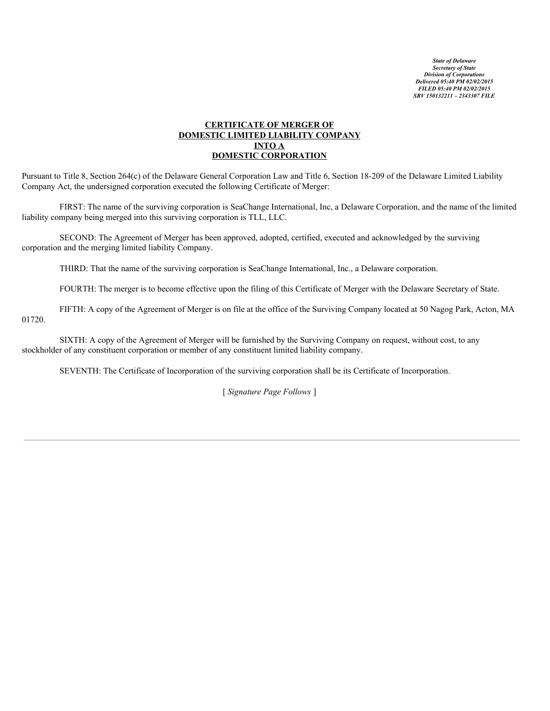*State of Delaware Secretary of State Division of Corporations Delivered 05:40 PM 02/02/2015 FILED 05:40 PM 02/02/2015 SRV 150132211* **-** *2343307 FILE*

## **CERTIFICATE OF MERGER OF DOMESTIC LIMITED LIABILITY COMPANY INTO A DOMESTIC CORPORATION**

Pursuant to Title 8, Section 264(c) of the Delaware General Corporation Law and Title 6, Section 18-209 of the Delaware Limited Liability Company Act, the undersigned corporation executed the following Certificate of Merger:

FIRST: The name of the surviving corporation is SeaChange International, Inc, a Delaware Corporation, and the name of the limited liability company being merged into this surviving corporation is TLL, LLC.

SECOND: The Agreement of Merger has been approved, adopted, certified, executed and acknowledged by the surviving corporation and the merging limited liability Company.

THIRD: That the name of the surviving corporation is SeaChange International, Inc., a Delaware corporation.

FOURTH: The merger is to become effective upon the filing of this Certificate of Merger with the Delaware Secretary of State.

FIFTH: A copy of the Agreement of Merger is on file at the office of the Surviving Company located at 50 Nagog Park, Acton, MA 01720.

SIXTH: A copy of the Agreement of Merger will be furnished by the Surviving Company on request, without cost, to any stockholder of any constituent corporation or member of any constituent limited liability company.

SEVENTH: The Certificate of Incorporation of the surviving corporation shall be its Certificate of Incorporation.

[ *Signature Page Follows* ]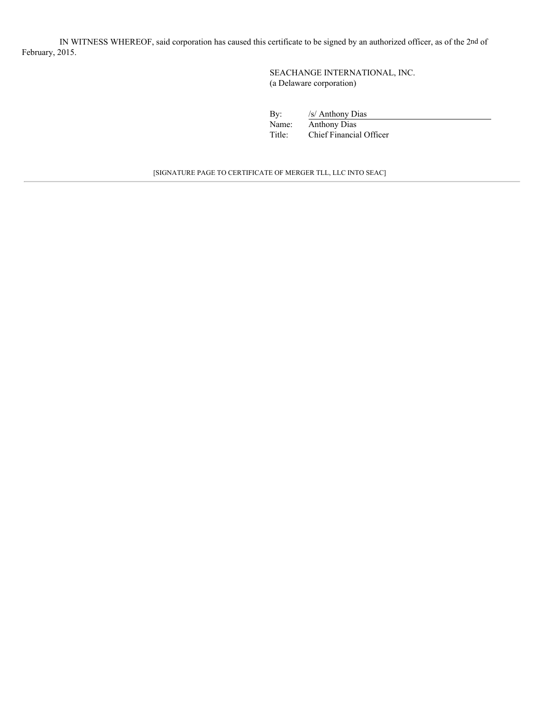IN WITNESS WHEREOF, said corporation has caused this certificate to be signed by an authorized officer, as of the 2nd of February, 2015.

> SEACHANGE INTERNATIONAL, INC. (a Delaware corporation)

By: /s/ Anthony Dias Name: Anthony Dias<br>Title: Chief Financia Chief Financial Officer

[SIGNATURE PAGE TO CERTIFICATE OF MERGER TLL, LLC INTO SEAC]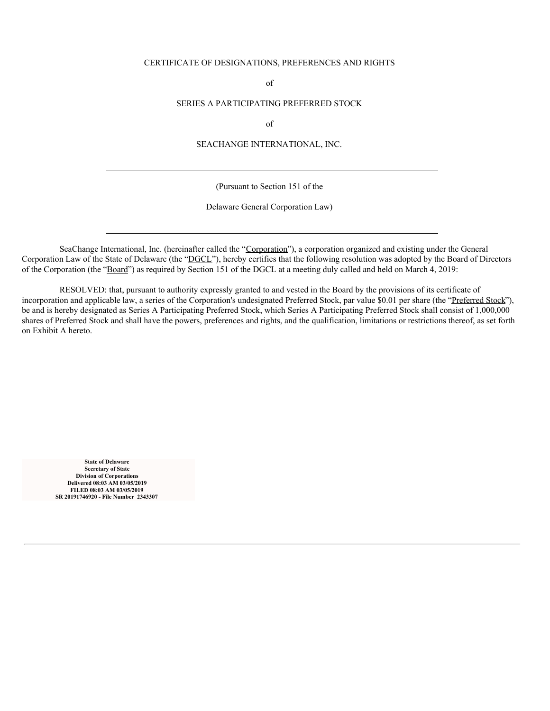## CERTIFICATE OF DESIGNATIONS, PREFERENCES AND RIGHTS

of

## SERIES A PARTICIPATING PREFERRED STOCK

of

#### SEACHANGE INTERNATIONAL, INC.

(Pursuant to Section 151 of the

Delaware General Corporation Law)

SeaChange International, Inc. (hereinafter called the "Corporation"), a corporation organized and existing under the General Corporation Law of the State of Delaware (the "DGCL"), hereby certifies that the following resolution was adopted by the Board of Directors of the Corporation (the "Board") as required by Section 151 of the DGCL at a meeting duly called and held on March 4, 2019:

RESOLVED: that, pursuant to authority expressly granted to and vested in the Board by the provisions of its certificate of incorporation and applicable law, a series of the Corporation's undesignated Preferred Stock, par value \$0.01 per share (the "Preferred Stock"), be and is hereby designated as Series A Participating Preferred Stock, which Series A Participating Preferred Stock shall consist of 1,000,000 shares of Preferred Stock and shall have the powers, preferences and rights, and the qualification, limitations or restrictions thereof, as set forth on Exhibit A hereto.

**State of Delaware Secretary of State Division of Corporations Delivered 08:03 AM 03/05/2019 FILED 08:03 AM 03/05/2019 SR 20191746920 - File Number 2343307**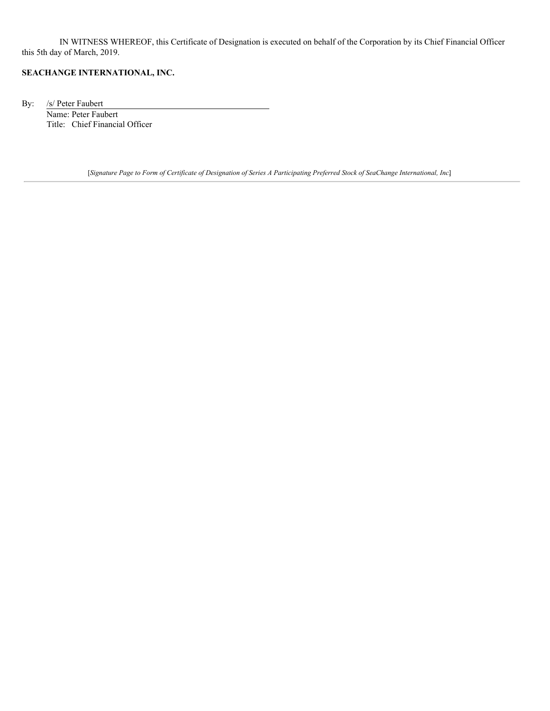IN WITNESS WHEREOF, this Certificate of Designation is executed on behalf of the Corporation by its Chief Financial Officer this 5th day of March, 2019.

## **SEACHANGE INTERNATIONAL, INC.**

By: /s/ Peter Faubert

Name: Peter Faubert Title: Chief Financial Officer

[Signature Page to Form of Certificate of Designation of Series A Participating Preferred Stock of SeaChange International, Inc]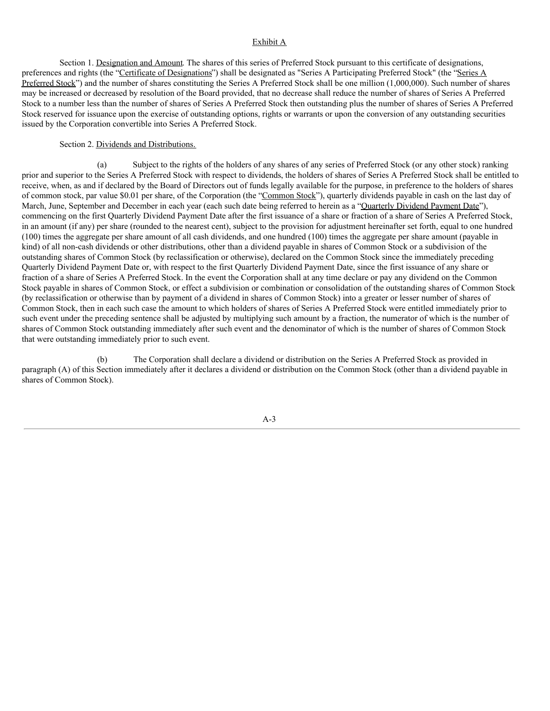## Exhibit A

Section 1. Designation and Amount. The shares of this series of Preferred Stock pursuant to this certificate of designations, preferences and rights (the "Certificate of Designations") shall be designated as "Series A Participating Preferred Stock" (the "Series A Preferred Stock") and the number of shares constituting the Series A Preferred Stock shall be one million (1,000,000). Such number of shares may be increased or decreased by resolution of the Board provided, that no decrease shall reduce the number of shares of Series A Preferred Stock to a number less than the number of shares of Series A Preferred Stock then outstanding plus the number of shares of Series A Preferred Stock reserved for issuance upon the exercise of outstanding options, rights or warrants or upon the conversion of any outstanding securities issued by the Corporation convertible into Series A Preferred Stock.

## Section 2. Dividends and Distributions.

(a) Subject to the rights of the holders of any shares of any series of Preferred Stock (or any other stock) ranking prior and superior to the Series A Preferred Stock with respect to dividends, the holders of shares of Series A Preferred Stock shall be entitled to receive, when, as and if declared by the Board of Directors out of funds legally available for the purpose, in preference to the holders of shares of common stock, par value \$0.01 per share, of the Corporation (the "Common Stock"), quarterly dividends payable in cash on the last day of March, June, September and December in each year (each such date being referred to herein as a "Quarterly Dividend Payment Date"), commencing on the first Quarterly Dividend Payment Date after the first issuance of a share or fraction of a share of Series A Preferred Stock, in an amount (if any) per share (rounded to the nearest cent), subject to the provision for adjustment hereinafter set forth, equal to one hundred (100) times the aggregate per share amount of all cash dividends, and one hundred (100) times the aggregate per share amount (payable in kind) of all non-cash dividends or other distributions, other than a dividend payable in shares of Common Stock or a subdivision of the outstanding shares of Common Stock (by reclassification or otherwise), declared on the Common Stock since the immediately preceding Quarterly Dividend Payment Date or, with respect to the first Quarterly Dividend Payment Date, since the first issuance of any share or fraction of a share of Series A Preferred Stock. In the event the Corporation shall at any time declare or pay any dividend on the Common Stock payable in shares of Common Stock, or effect a subdivision or combination or consolidation of the outstanding shares of Common Stock (by reclassification or otherwise than by payment of a dividend in shares of Common Stock) into a greater or lesser number of shares of Common Stock, then in each such case the amount to which holders of shares of Series A Preferred Stock were entitled immediately prior to such event under the preceding sentence shall be adjusted by multiplying such amount by a fraction, the numerator of which is the number of shares of Common Stock outstanding immediately after such event and the denominator of which is the number of shares of Common Stock that were outstanding immediately prior to such event.

(b) The Corporation shall declare a dividend or distribution on the Series A Preferred Stock as provided in paragraph (A) of this Section immediately after it declares a dividend or distribution on the Common Stock (other than a dividend payable in shares of Common Stock).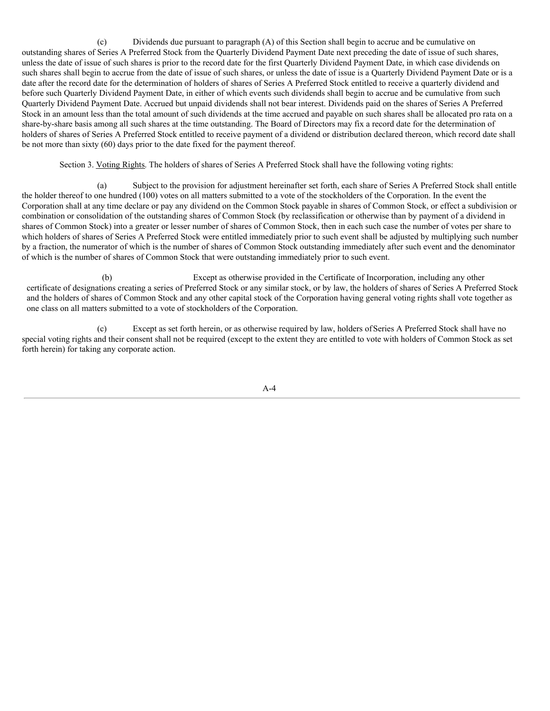(c) Dividends due pursuant to paragraph (A) of this Section shall begin to accrue and be cumulative on outstanding shares of Series A Preferred Stock from the Quarterly Dividend Payment Date next preceding the date of issue of such shares, unless the date of issue of such shares is prior to the record date for the first Quarterly Dividend Payment Date, in which case dividends on such shares shall begin to accrue from the date of issue of such shares, or unless the date of issue is a Quarterly Dividend Payment Date or is a date after the record date for the determination of holders of shares of Series A Preferred Stock entitled to receive a quarterly dividend and before such Quarterly Dividend Payment Date, in either of which events such dividends shall begin to accrue and be cumulative from such Quarterly Dividend Payment Date. Accrued but unpaid dividends shall not bear interest. Dividends paid on the shares of Series A Preferred Stock in an amount less than the total amount of such dividends at the time accrued and payable on such shares shall be allocated pro rata on a share-by-share basis among all such shares at the time outstanding. The Board of Directors may fix a record date for the determination of holders of shares of Series A Preferred Stock entitled to receive payment of a dividend or distribution declared thereon, which record date shall be not more than sixty (60) days prior to the date fixed for the payment thereof.

Section 3. Voting Rights. The holders of shares of Series A Preferred Stock shall have the following voting rights:

(a) Subject to the provision for adjustment hereinafter set forth, each share of Series A Preferred Stock shall entitle the holder thereof to one hundred (100) votes on all matters submitted to a vote of the stockholders of the Corporation. In the event the Corporation shall at any time declare or pay any dividend on the Common Stock payable in shares of Common Stock, or effect a subdivision or combination or consolidation of the outstanding shares of Common Stock (by reclassification or otherwise than by payment of a dividend in shares of Common Stock) into a greater or lesser number of shares of Common Stock, then in each such case the number of votes per share to which holders of shares of Series A Preferred Stock were entitled immediately prior to such event shall be adjusted by multiplying such number by a fraction, the numerator of which is the number of shares of Common Stock outstanding immediately after such event and the denominator of which is the number of shares of Common Stock that were outstanding immediately prior to such event.

(b) Except as otherwise provided in the Certificate of Incorporation, including any other certificate of designations creating a series of Preferred Stock or any similar stock, or by law, the holders of shares of Series A Preferred Stock and the holders of shares of Common Stock and any other capital stock of the Corporation having general voting rights shall vote together as one class on all matters submitted to a vote of stockholders of the Corporation.

(c) Except as set forth herein, or as otherwise required by law, holders ofSeries A Preferred Stock shall have no special voting rights and their consent shall not be required (except to the extent they are entitled to vote with holders of Common Stock as set forth herein) for taking any corporate action.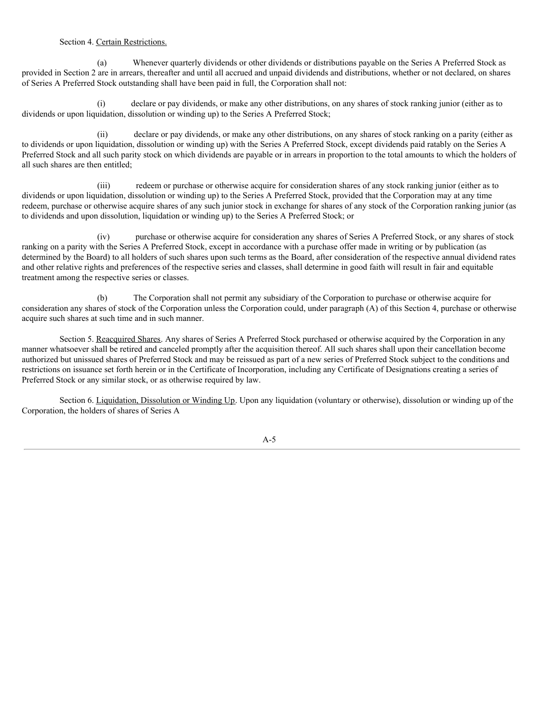## Section 4. Certain Restrictions.

(a) Whenever quarterly dividends or other dividends or distributions payable on the Series A Preferred Stock as provided in Section 2 are in arrears, thereafter and until all accrued and unpaid dividends and distributions, whether or not declared, on shares of Series A Preferred Stock outstanding shall have been paid in full, the Corporation shall not:

(i) declare or pay dividends, or make any other distributions, on any shares of stock ranking junior (either as to dividends or upon liquidation, dissolution or winding up) to the Series A Preferred Stock;

(ii) declare or pay dividends, or make any other distributions, on any shares of stock ranking on a parity (either as to dividends or upon liquidation, dissolution or winding up) with the Series A Preferred Stock, except dividends paid ratably on the Series A Preferred Stock and all such parity stock on which dividends are payable or in arrears in proportion to the total amounts to which the holders of all such shares are then entitled;

(iii) redeem or purchase or otherwise acquire for consideration shares of any stock ranking junior (either as to dividends or upon liquidation, dissolution or winding up) to the Series A Preferred Stock, provided that the Corporation may at any time redeem, purchase or otherwise acquire shares of any such junior stock in exchange for shares of any stock of the Corporation ranking junior (as to dividends and upon dissolution, liquidation or winding up) to the Series A Preferred Stock; or

(iv) purchase or otherwise acquire for consideration any shares of Series A Preferred Stock, or any shares of stock ranking on a parity with the Series A Preferred Stock, except in accordance with a purchase offer made in writing or by publication (as determined by the Board) to all holders of such shares upon such terms as the Board, after consideration of the respective annual dividend rates and other relative rights and preferences of the respective series and classes, shall determine in good faith will result in fair and equitable treatment among the respective series or classes.

(b) The Corporation shall not permit any subsidiary of the Corporation to purchase or otherwise acquire for consideration any shares of stock of the Corporation unless the Corporation could, under paragraph (A) of this Section 4, purchase or otherwise acquire such shares at such time and in such manner.

Section 5. Reacquired Shares. Any shares of Series A Preferred Stock purchased or otherwise acquired by the Corporation in any manner whatsoever shall be retired and canceled promptly after the acquisition thereof. All such shares shall upon their cancellation become authorized but unissued shares of Preferred Stock and may be reissued as part of a new series of Preferred Stock subject to the conditions and restrictions on issuance set forth herein or in the Certificate of Incorporation, including any Certificate of Designations creating a series of Preferred Stock or any similar stock, or as otherwise required by law.

Section 6. Liquidation, Dissolution or Winding Up. Upon any liquidation (voluntary or otherwise), dissolution or winding up of the Corporation, the holders of shares of Series A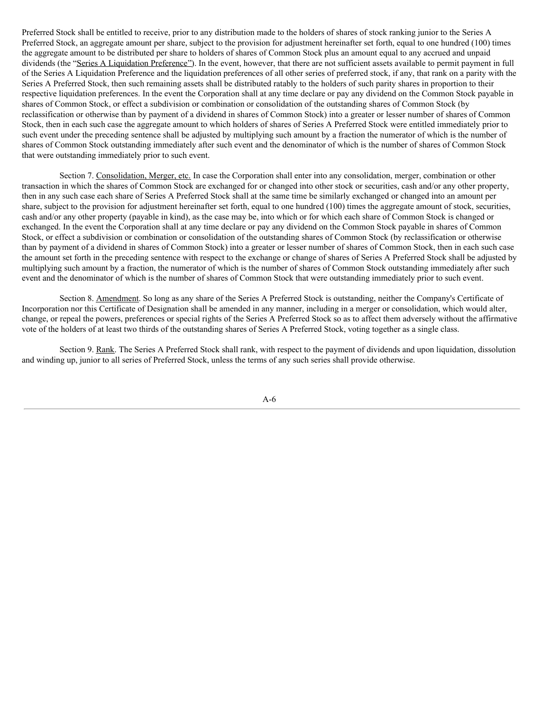Preferred Stock shall be entitled to receive, prior to any distribution made to the holders of shares of stock ranking junior to the Series A Preferred Stock, an aggregate amount per share, subject to the provision for adjustment hereinafter set forth, equal to one hundred (100) times the aggregate amount to be distributed per share to holders of shares of Common Stock plus an amount equal to any accrued and unpaid dividends (the "Series A Liquidation Preference"). In the event, however, that there are not sufficient assets available to permit payment in full of the Series A Liquidation Preference and the liquidation preferences of all other series of preferred stock, if any, that rank on a parity with the Series A Preferred Stock, then such remaining assets shall be distributed ratably to the holders of such parity shares in proportion to their respective liquidation preferences. In the event the Corporation shall at any time declare or pay any dividend on the Common Stock payable in shares of Common Stock, or effect a subdivision or combination or consolidation of the outstanding shares of Common Stock (by reclassification or otherwise than by payment of a dividend in shares of Common Stock) into a greater or lesser number of shares of Common Stock, then in each such case the aggregate amount to which holders of shares of Series A Preferred Stock were entitled immediately prior to such event under the preceding sentence shall be adjusted by multiplying such amount by a fraction the numerator of which is the number of shares of Common Stock outstanding immediately after such event and the denominator of which is the number of shares of Common Stock that were outstanding immediately prior to such event.

Section 7. Consolidation, Merger, etc. In case the Corporation shall enter into any consolidation, merger, combination or other transaction in which the shares of Common Stock are exchanged for or changed into other stock or securities, cash and/or any other property, then in any such case each share of Series A Preferred Stock shall at the same time be similarly exchanged or changed into an amount per share, subject to the provision for adjustment hereinafter set forth, equal to one hundred (100) times the aggregate amount of stock, securities, cash and/or any other property (payable in kind), as the case may be, into which or for which each share of Common Stock is changed or exchanged. In the event the Corporation shall at any time declare or pay any dividend on the Common Stock payable in shares of Common Stock, or effect a subdivision or combination or consolidation of the outstanding shares of Common Stock (by reclassification or otherwise than by payment of a dividend in shares of Common Stock) into a greater or lesser number of shares of Common Stock, then in each such case the amount set forth in the preceding sentence with respect to the exchange or change of shares of Series A Preferred Stock shall be adjusted by multiplying such amount by a fraction, the numerator of which is the number of shares of Common Stock outstanding immediately after such event and the denominator of which is the number of shares of Common Stock that were outstanding immediately prior to such event.

Section 8. Amendment. So long as any share of the Series A Preferred Stock is outstanding, neither the Company's Certificate of Incorporation nor this Certificate of Designation shall be amended in any manner, including in a merger or consolidation, which would alter, change, or repeal the powers, preferences or special rights of the Series A Preferred Stock so as to affect them adversely without the affirmative vote of the holders of at least two thirds of the outstanding shares of Series A Preferred Stock, voting together as a single class.

Section 9. Rank. The Series A Preferred Stock shall rank, with respect to the payment of dividends and upon liquidation, dissolution and winding up, junior to all series of Preferred Stock, unless the terms of any such series shall provide otherwise.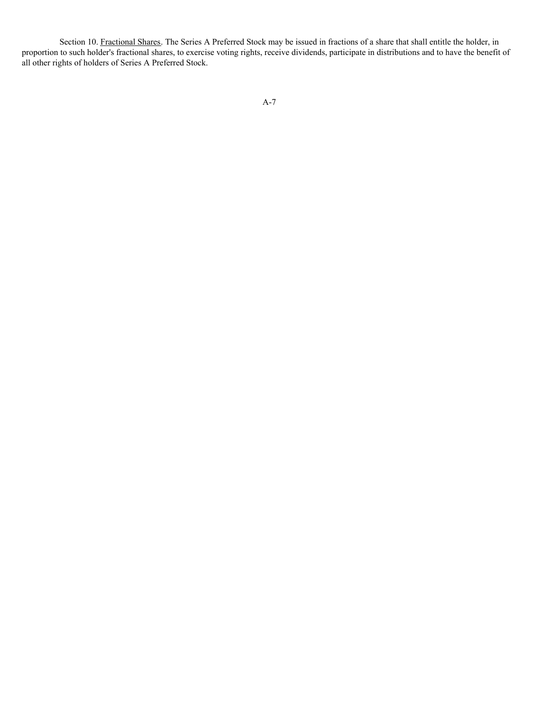Section 10. Fractional Shares. The Series A Preferred Stock may be issued in fractions of a share that shall entitle the holder, in proportion to such holder's fractional shares, to exercise voting rights, receive dividends, participate in distributions and to have the benefit of all other rights of holders of Series A Preferred Stock.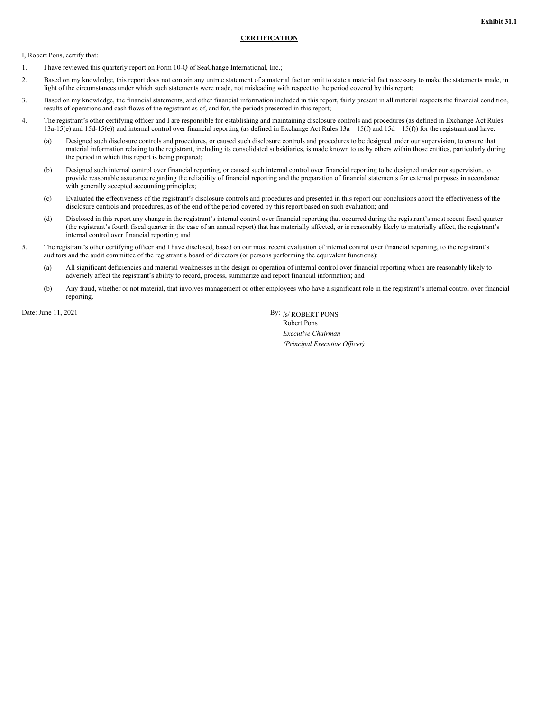#### **CERTIFICATION**

<span id="page-64-0"></span>I, Robert Pons, certify that:

- 1. I have reviewed this quarterly report on Form 10-Q of SeaChange International, Inc.;
- 2. Based on my knowledge, this report does not contain any untrue statement of a material fact or omit to state a material fact necessary to make the statements made, in light of the circumstances under which such statements were made, not misleading with respect to the period covered by this report;
- 3. Based on my knowledge, the financial statements, and other financial information included in this report, fairly present in all material respects the financial condition, results of operations and cash flows of the registrant as of, and for, the periods presented in this report;
- 4. The registrant's other certifying officer and I are responsible for establishing and maintaining disclosure controls and procedures (as defined in Exchange Act Rules 13a-15(e) and 15d-15(e)) and internal control over financial reporting (as defined in Exchange Act Rules 13a – 15(f) and 15d – 15(f)) for the registrant and have:
	- (a) Designed such disclosure controls and procedures, or caused such disclosure controls and procedures to be designed under our supervision, to ensure that material information relating to the registrant, including its consolidated subsidiaries, is made known to us by others within those entities, particularly during the period in which this report is being prepared;
	- (b) Designed such internal control over financial reporting, or caused such internal control over financial reporting to be designed under our supervision, to provide reasonable assurance regarding the reliability of financial reporting and the preparation of financial statements for external purposes in accordance with generally accepted accounting principles;
	- (c) Evaluated the effectiveness of the registrant's disclosure controls and procedures and presented in this report our conclusions about the effectiveness of the disclosure controls and procedures, as of the end of the period covered by this report based on such evaluation; and
	- (d) Disclosed in this report any change in the registrant's internal control over financial reporting that occurred during the registrant's most recent fiscal quarter (the registrant's fourth fiscal quarter in the case of an annual report) that has materially affected, or is reasonably likely to materially affect, the registrant's internal control over financial reporting; and
- 5. The registrant's other certifying officer and I have disclosed, based on our most recent evaluation of internal control over financial reporting, to the registrant's auditors and the audit committee of the registrant's board of directors (or persons performing the equivalent functions):
	- (a) All significant deficiencies and material weaknesses in the design or operation of internal control over financial reporting which are reasonably likely to adversely affect the registrant's ability to record, process, summarize and report financial information; and
	- (b) Any fraud, whether or not material, that involves management or other employees who have a significant role in the registrant's internal control over financial reporting.

Date: June 11, 2021

By: /s/ ROBERT PONS Robert Pons

> *Executive Chairman (Principal Executive Of icer)*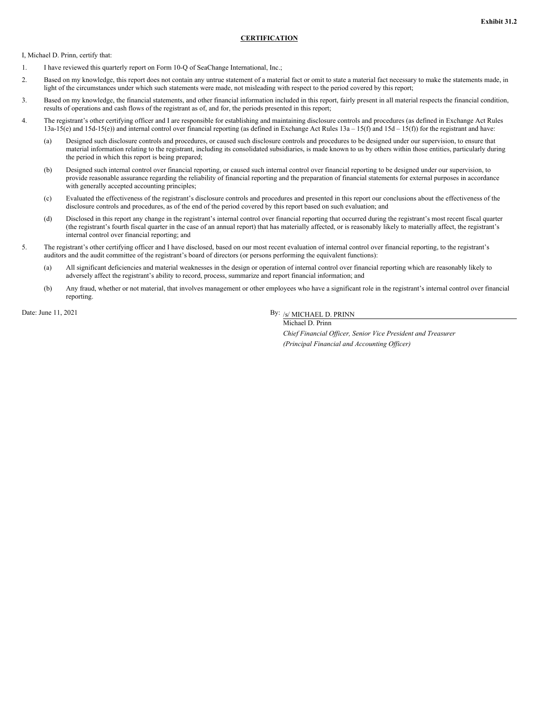#### **CERTIFICATION**

<span id="page-65-0"></span>I, Michael D. Prinn, certify that:

- 1. I have reviewed this quarterly report on Form 10-Q of SeaChange International, Inc.;
- 2. Based on my knowledge, this report does not contain any untrue statement of a material fact or omit to state a material fact necessary to make the statements made, in light of the circumstances under which such statements were made, not misleading with respect to the period covered by this report;
- 3. Based on my knowledge, the financial statements, and other financial information included in this report, fairly present in all material respects the financial condition, results of operations and cash flows of the registrant as of, and for, the periods presented in this report;
- 4. The registrant's other certifying officer and I are responsible for establishing and maintaining disclosure controls and procedures (as defined in Exchange Act Rules 13a-15(e) and 15d-15(e)) and internal control over financial reporting (as defined in Exchange Act Rules 13a – 15(f) and 15d – 15(f)) for the registrant and have:
	- (a) Designed such disclosure controls and procedures, or caused such disclosure controls and procedures to be designed under our supervision, to ensure that material information relating to the registrant, including its consolidated subsidiaries, is made known to us by others within those entities, particularly during the period in which this report is being prepared;
	- (b) Designed such internal control over financial reporting, or caused such internal control over financial reporting to be designed under our supervision, to provide reasonable assurance regarding the reliability of financial reporting and the preparation of financial statements for external purposes in accordance with generally accepted accounting principles;
	- (c) Evaluated the effectiveness of the registrant's disclosure controls and procedures and presented in this report our conclusions about the effectiveness of the disclosure controls and procedures, as of the end of the period covered by this report based on such evaluation; and
	- (d) Disclosed in this report any change in the registrant's internal control over financial reporting that occurred during the registrant's most recent fiscal quarter (the registrant's fourth fiscal quarter in the case of an annual report) that has materially affected, or is reasonably likely to materially affect, the registrant's internal control over financial reporting; and
- 5. The registrant's other certifying officer and I have disclosed, based on our most recent evaluation of internal control over financial reporting, to the registrant's auditors and the audit committee of the registrant's board of directors (or persons performing the equivalent functions):
	- (a) All significant deficiencies and material weaknesses in the design or operation of internal control over financial reporting which are reasonably likely to adversely affect the registrant's ability to record, process, summarize and report financial information; and
	- (b) Any fraud, whether or not material, that involves management or other employees who have a significant role in the registrant's internal control over financial reporting.

Date: June 11, 2021

By: /s/ MICHAEL D. PRINN Michael D. Prinn

> *Chief Financial Of icer, Senior Vice President and Treasurer (Principal Financial and Accounting Of icer)*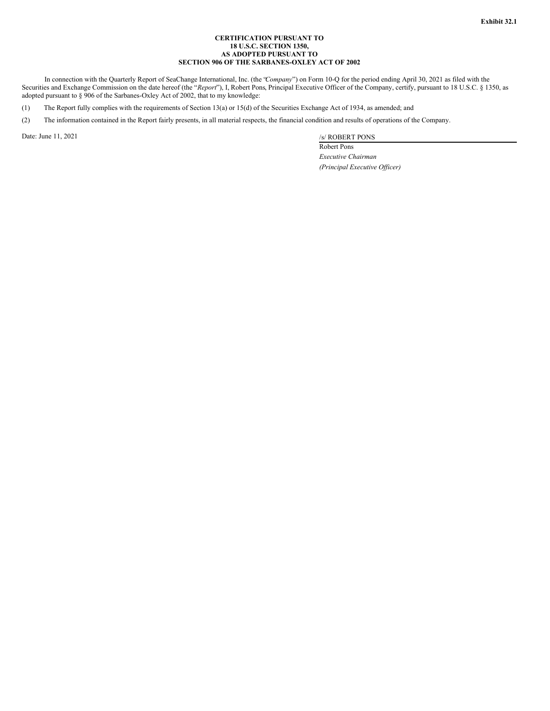#### **CERTIFICATION PURSUANT TO 18 U.S.C. SECTION 1350, AS ADOPTED PURSUANT TO SECTION 906 OF THE SARBANES-OXLEY ACT OF 2002**

<span id="page-66-0"></span>In connection with the Quarterly Report of SeaChange International, Inc. (the "*Company*") on Form 10-Q for the period ending April 30, 2021 as filed with the Securities and Exchange Commission on the date hereof (the "*Report*"), I, Robert Pons, Principal Executive Officer of the Company, certify, pursuant to 18 U.S.C. § 1350, as adopted pursuant to § 906 of the Sarbanes-Oxley Act of 2002, that to my knowledge:

(1) The Report fully complies with the requirements of Section 13(a) or 15(d) of the Securities Exchange Act of 1934, as amended; and

(2) The information contained in the Report fairly presents, in all material respects, the financial condition and results of operations of the Company.

Date: June 11, 2021 /s/ ROBERT PONS

Robert Pons *Executive Chairman (Principal Executive Of icer)*